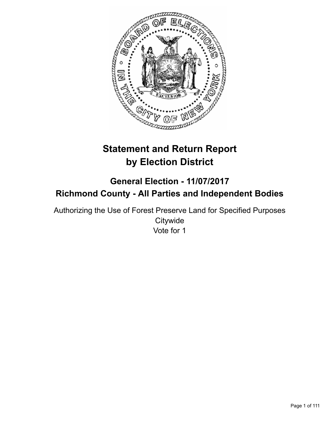

# **Statement and Return Report by Election District**

## **General Election - 11/07/2017 Richmond County - All Parties and Independent Bodies**

Authorizing the Use of Forest Preserve Land for Specified Purposes **Citywide** Vote for 1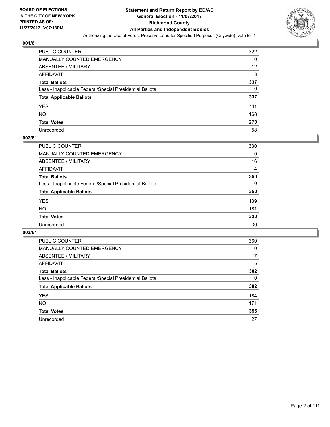

| PUBLIC COUNTER                                           | 322 |
|----------------------------------------------------------|-----|
| <b>MANUALLY COUNTED EMERGENCY</b>                        | 0   |
| ABSENTEE / MILITARY                                      | 12  |
| AFFIDAVIT                                                | 3   |
| <b>Total Ballots</b>                                     | 337 |
| Less - Inapplicable Federal/Special Presidential Ballots | 0   |
| <b>Total Applicable Ballots</b>                          | 337 |
| YES                                                      | 111 |
| NO.                                                      | 168 |
| <b>Total Votes</b>                                       | 279 |
| Unrecorded                                               | 58  |

#### **002/61**

| <b>PUBLIC COUNTER</b>                                    | 330      |
|----------------------------------------------------------|----------|
| <b>MANUALLY COUNTED EMERGENCY</b>                        | 0        |
| <b>ABSENTEE / MILITARY</b>                               | 16       |
| AFFIDAVIT                                                | 4        |
| <b>Total Ballots</b>                                     | 350      |
| Less - Inapplicable Federal/Special Presidential Ballots | $\Omega$ |
| <b>Total Applicable Ballots</b>                          | 350      |
| <b>YES</b>                                               | 139      |
| NO                                                       | 181      |
| <b>Total Votes</b>                                       | 320      |
| Unrecorded                                               | 30       |

| <b>PUBLIC COUNTER</b>                                    | 360      |
|----------------------------------------------------------|----------|
| MANUALLY COUNTED EMERGENCY                               | $\Omega$ |
| ABSENTEE / MILITARY                                      | 17       |
| AFFIDAVIT                                                | 5        |
| <b>Total Ballots</b>                                     | 382      |
| Less - Inapplicable Federal/Special Presidential Ballots | 0        |
| <b>Total Applicable Ballots</b>                          | 382      |
| <b>YES</b>                                               | 184      |
| NO.                                                      | 171      |
| <b>Total Votes</b>                                       | 355      |
| Unrecorded                                               | 27       |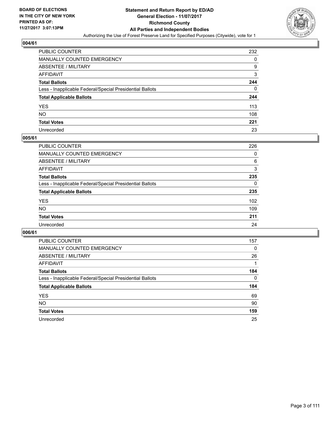

| PUBLIC COUNTER                                           | 232 |
|----------------------------------------------------------|-----|
| MANUALLY COUNTED EMERGENCY                               | 0   |
| ABSENTEE / MILITARY                                      | 9   |
| AFFIDAVIT                                                | 3   |
| <b>Total Ballots</b>                                     | 244 |
| Less - Inapplicable Federal/Special Presidential Ballots | 0   |
| <b>Total Applicable Ballots</b>                          | 244 |
| YES                                                      | 113 |
| NΟ                                                       | 108 |
| <b>Total Votes</b>                                       | 221 |
| Unrecorded                                               | 23  |

#### **005/61**

| <b>PUBLIC COUNTER</b>                                    | 226 |
|----------------------------------------------------------|-----|
| MANUALLY COUNTED EMERGENCY                               | 0   |
| <b>ABSENTEE / MILITARY</b>                               | 6   |
| AFFIDAVIT                                                | 3   |
| <b>Total Ballots</b>                                     | 235 |
| Less - Inapplicable Federal/Special Presidential Ballots | 0   |
| <b>Total Applicable Ballots</b>                          | 235 |
| <b>YES</b>                                               | 102 |
| <b>NO</b>                                                | 109 |
| <b>Total Votes</b>                                       | 211 |
| Unrecorded                                               | 24  |

| <b>PUBLIC COUNTER</b>                                    | 157 |
|----------------------------------------------------------|-----|
| MANUALLY COUNTED EMERGENCY                               | 0   |
| ABSENTEE / MILITARY                                      | 26  |
| AFFIDAVIT                                                |     |
| <b>Total Ballots</b>                                     | 184 |
| Less - Inapplicable Federal/Special Presidential Ballots | 0   |
| <b>Total Applicable Ballots</b>                          | 184 |
| <b>YES</b>                                               | 69  |
| <b>NO</b>                                                | 90  |
| <b>Total Votes</b>                                       | 159 |
| Unrecorded                                               | 25  |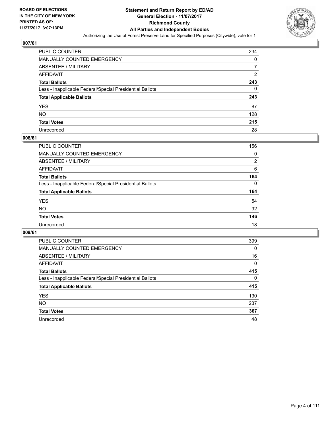

| PUBLIC COUNTER                                           | 234            |
|----------------------------------------------------------|----------------|
| MANUALLY COUNTED EMERGENCY                               | 0              |
| ABSENTEE / MILITARY                                      |                |
| <b>AFFIDAVIT</b>                                         | $\overline{2}$ |
| <b>Total Ballots</b>                                     | 243            |
| Less - Inapplicable Federal/Special Presidential Ballots | 0              |
| <b>Total Applicable Ballots</b>                          | 243            |
| YES                                                      | 87             |
| NO.                                                      | 128            |
| <b>Total Votes</b>                                       | 215            |
| Unrecorded                                               | 28             |

#### **008/61**

| PUBLIC COUNTER                                           | 156      |
|----------------------------------------------------------|----------|
| MANUALLY COUNTED EMERGENCY                               | 0        |
| ABSENTEE / MILITARY                                      | 2        |
| AFFIDAVIT                                                | 6        |
| <b>Total Ballots</b>                                     | 164      |
| Less - Inapplicable Federal/Special Presidential Ballots | $\Omega$ |
| <b>Total Applicable Ballots</b>                          | 164      |
| <b>YES</b>                                               | 54       |
| <b>NO</b>                                                | 92       |
| <b>Total Votes</b>                                       | 146      |
| Unrecorded                                               | 18       |

| <b>PUBLIC COUNTER</b>                                    | 399      |
|----------------------------------------------------------|----------|
| MANUALLY COUNTED EMERGENCY                               | 0        |
| ABSENTEE / MILITARY                                      | 16       |
| AFFIDAVIT                                                | $\Omega$ |
| <b>Total Ballots</b>                                     | 415      |
| Less - Inapplicable Federal/Special Presidential Ballots | 0        |
| <b>Total Applicable Ballots</b>                          | 415      |
| <b>YES</b>                                               | 130      |
| <b>NO</b>                                                | 237      |
| <b>Total Votes</b>                                       | 367      |
| Unrecorded                                               | 48       |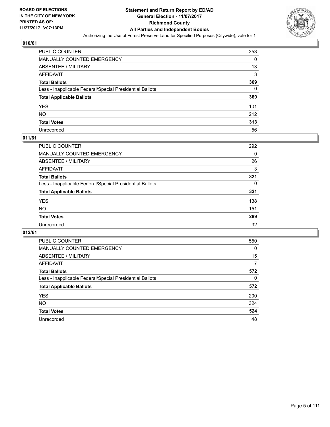

| <b>PUBLIC COUNTER</b>                                    | 353 |
|----------------------------------------------------------|-----|
| MANUALLY COUNTED EMERGENCY                               | 0   |
| <b>ABSENTEE / MILITARY</b>                               | 13  |
| AFFIDAVIT                                                | 3   |
| <b>Total Ballots</b>                                     | 369 |
| Less - Inapplicable Federal/Special Presidential Ballots | 0   |
| <b>Total Applicable Ballots</b>                          | 369 |
| YES                                                      | 101 |
| NO.                                                      | 212 |
| <b>Total Votes</b>                                       | 313 |
| Unrecorded                                               | 56  |

#### **011/61**

| <b>PUBLIC COUNTER</b>                                    | 292      |
|----------------------------------------------------------|----------|
| <b>MANUALLY COUNTED EMERGENCY</b>                        | 0        |
| ABSENTEE / MILITARY                                      | 26       |
| AFFIDAVIT                                                | 3        |
| <b>Total Ballots</b>                                     | 321      |
| Less - Inapplicable Federal/Special Presidential Ballots | $\Omega$ |
| <b>Total Applicable Ballots</b>                          | 321      |
| <b>YES</b>                                               | 138      |
| <b>NO</b>                                                | 151      |
| <b>Total Votes</b>                                       | 289      |
| Unrecorded                                               | 32       |

| <b>PUBLIC COUNTER</b>                                    | 550      |
|----------------------------------------------------------|----------|
| MANUALLY COUNTED EMERGENCY                               | $\Omega$ |
| ABSENTEE / MILITARY                                      | 15       |
| AFFIDAVIT                                                | 7        |
| <b>Total Ballots</b>                                     | 572      |
| Less - Inapplicable Federal/Special Presidential Ballots | 0        |
| <b>Total Applicable Ballots</b>                          | 572      |
| <b>YES</b>                                               | 200      |
| NO.                                                      | 324      |
| <b>Total Votes</b>                                       | 524      |
| Unrecorded                                               | 48       |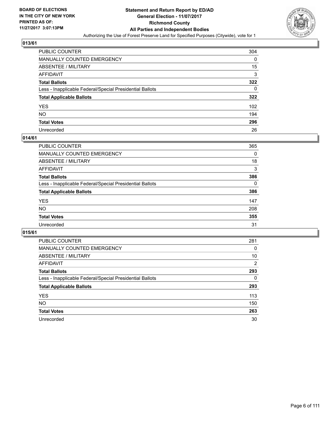

| PUBLIC COUNTER                                           | 304 |
|----------------------------------------------------------|-----|
| <b>MANUALLY COUNTED EMERGENCY</b>                        | 0   |
| ABSENTEE / MILITARY                                      | 15  |
| AFFIDAVIT                                                | 3   |
| <b>Total Ballots</b>                                     | 322 |
| Less - Inapplicable Federal/Special Presidential Ballots | 0   |
| <b>Total Applicable Ballots</b>                          | 322 |
| YES                                                      | 102 |
| NO.                                                      | 194 |
| <b>Total Votes</b>                                       | 296 |
| Unrecorded                                               | 26  |

#### **014/61**

| <b>PUBLIC COUNTER</b>                                    | 365      |
|----------------------------------------------------------|----------|
| <b>MANUALLY COUNTED EMERGENCY</b>                        | 0        |
| ABSENTEE / MILITARY                                      | 18       |
| AFFIDAVIT                                                | 3        |
| <b>Total Ballots</b>                                     | 386      |
| Less - Inapplicable Federal/Special Presidential Ballots | $\Omega$ |
| <b>Total Applicable Ballots</b>                          | 386      |
| <b>YES</b>                                               | 147      |
| <b>NO</b>                                                | 208      |
| <b>Total Votes</b>                                       | 355      |
| Unrecorded                                               | 31       |

| <b>PUBLIC COUNTER</b>                                    | 281            |
|----------------------------------------------------------|----------------|
| MANUALLY COUNTED EMERGENCY                               | 0              |
| ABSENTEE / MILITARY                                      | 10             |
| AFFIDAVIT                                                | $\overline{2}$ |
| <b>Total Ballots</b>                                     | 293            |
| Less - Inapplicable Federal/Special Presidential Ballots | 0              |
| <b>Total Applicable Ballots</b>                          | 293            |
| <b>YES</b>                                               | 113            |
| <b>NO</b>                                                | 150            |
| <b>Total Votes</b>                                       | 263            |
| Unrecorded                                               | 30             |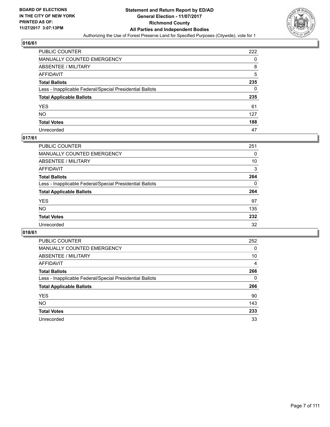

| PUBLIC COUNTER                                           | 222 |
|----------------------------------------------------------|-----|
| MANUALLY COUNTED EMERGENCY                               | 0   |
| ABSENTEE / MILITARY                                      | 8   |
| AFFIDAVIT                                                | 5   |
| Total Ballots                                            | 235 |
| Less - Inapplicable Federal/Special Presidential Ballots | 0   |
| <b>Total Applicable Ballots</b>                          | 235 |
| YES                                                      | 61  |
| NO.                                                      | 127 |
| <b>Total Votes</b>                                       | 188 |
| Unrecorded                                               | 47  |

#### **017/61**

| <b>PUBLIC COUNTER</b>                                    | 251 |
|----------------------------------------------------------|-----|
| <b>MANUALLY COUNTED EMERGENCY</b>                        | 0   |
| ABSENTEE / MILITARY                                      | 10  |
| AFFIDAVIT                                                | 3   |
| <b>Total Ballots</b>                                     | 264 |
| Less - Inapplicable Federal/Special Presidential Ballots | 0   |
| <b>Total Applicable Ballots</b>                          | 264 |
| <b>YES</b>                                               | 97  |
| <b>NO</b>                                                | 135 |
| <b>Total Votes</b>                                       | 232 |
| Unrecorded                                               | 32  |

| <b>PUBLIC COUNTER</b>                                    | 252 |
|----------------------------------------------------------|-----|
| MANUALLY COUNTED EMERGENCY                               | 0   |
| ABSENTEE / MILITARY                                      | 10  |
| AFFIDAVIT                                                | 4   |
| <b>Total Ballots</b>                                     | 266 |
| Less - Inapplicable Federal/Special Presidential Ballots | 0   |
| <b>Total Applicable Ballots</b>                          | 266 |
| <b>YES</b>                                               | 90  |
| NO.                                                      | 143 |
| <b>Total Votes</b>                                       | 233 |
| Unrecorded                                               | 33  |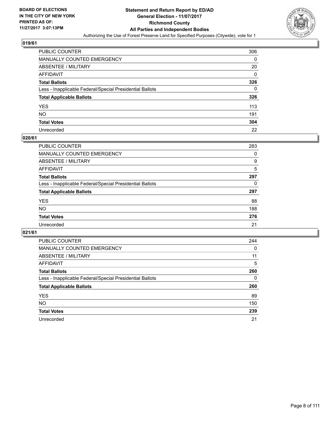

| <b>PUBLIC COUNTER</b>                                    | 306 |
|----------------------------------------------------------|-----|
| MANUALLY COUNTED EMERGENCY                               | 0   |
| <b>ABSENTEE / MILITARY</b>                               | 20  |
| AFFIDAVIT                                                | 0   |
| <b>Total Ballots</b>                                     | 326 |
| Less - Inapplicable Federal/Special Presidential Ballots | 0   |
| <b>Total Applicable Ballots</b>                          | 326 |
| YES                                                      | 113 |
| NΟ                                                       | 191 |
| <b>Total Votes</b>                                       | 304 |
| Unrecorded                                               | 22  |

#### **020/61**

| <b>PUBLIC COUNTER</b>                                    | 283 |
|----------------------------------------------------------|-----|
| <b>MANUALLY COUNTED EMERGENCY</b>                        | 0   |
| ABSENTEE / MILITARY                                      | 9   |
| AFFIDAVIT                                                | 5   |
| <b>Total Ballots</b>                                     | 297 |
| Less - Inapplicable Federal/Special Presidential Ballots | 0   |
| <b>Total Applicable Ballots</b>                          | 297 |
| <b>YES</b>                                               | 88  |
| <b>NO</b>                                                | 188 |
| <b>Total Votes</b>                                       | 276 |
| Unrecorded                                               | 21  |

| PUBLIC COUNTER                                           | 244 |
|----------------------------------------------------------|-----|
| MANUALLY COUNTED EMERGENCY                               | 0   |
| ABSENTEE / MILITARY                                      | 11  |
| AFFIDAVIT                                                | 5   |
| <b>Total Ballots</b>                                     | 260 |
| Less - Inapplicable Federal/Special Presidential Ballots | 0   |
| <b>Total Applicable Ballots</b>                          | 260 |
| <b>YES</b>                                               | 89  |
| <b>NO</b>                                                | 150 |
| <b>Total Votes</b>                                       | 239 |
| Unrecorded                                               | 21  |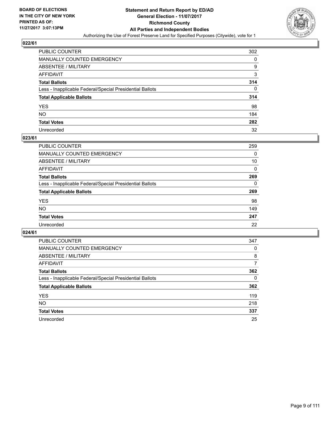

| PUBLIC COUNTER                                           | 302 |
|----------------------------------------------------------|-----|
| MANUALLY COUNTED EMERGENCY                               | 0   |
| ABSENTEE / MILITARY                                      | 9   |
| AFFIDAVIT                                                | 3   |
| Total Ballots                                            | 314 |
| Less - Inapplicable Federal/Special Presidential Ballots | 0   |
| <b>Total Applicable Ballots</b>                          | 314 |
| YES                                                      | 98  |
| NO.                                                      | 184 |
| <b>Total Votes</b>                                       | 282 |
| Unrecorded                                               | 32  |

#### **023/61**

| <b>PUBLIC COUNTER</b>                                    | 259 |
|----------------------------------------------------------|-----|
| <b>MANUALLY COUNTED EMERGENCY</b>                        | 0   |
| ABSENTEE / MILITARY                                      | 10  |
| AFFIDAVIT                                                | 0   |
| <b>Total Ballots</b>                                     | 269 |
| Less - Inapplicable Federal/Special Presidential Ballots | 0   |
| <b>Total Applicable Ballots</b>                          | 269 |
| <b>YES</b>                                               | 98  |
| <b>NO</b>                                                | 149 |
| <b>Total Votes</b>                                       | 247 |
| Unrecorded                                               | 22  |

| <b>PUBLIC COUNTER</b>                                    | 347 |
|----------------------------------------------------------|-----|
| MANUALLY COUNTED EMERGENCY                               | 0   |
| ABSENTEE / MILITARY                                      | 8   |
| AFFIDAVIT                                                | 7   |
| <b>Total Ballots</b>                                     | 362 |
| Less - Inapplicable Federal/Special Presidential Ballots | 0   |
| <b>Total Applicable Ballots</b>                          | 362 |
| <b>YES</b>                                               | 119 |
| <b>NO</b>                                                | 218 |
| <b>Total Votes</b>                                       | 337 |
| Unrecorded                                               | 25  |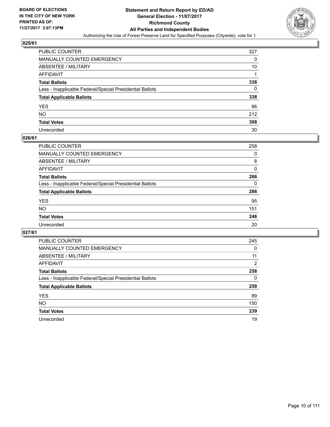

| PUBLIC COUNTER                                           | 327 |
|----------------------------------------------------------|-----|
| MANUALLY COUNTED EMERGENCY                               | 0   |
| <b>ABSENTEE / MILITARY</b>                               | 10  |
| AFFIDAVIT                                                | 1   |
| <b>Total Ballots</b>                                     | 338 |
| Less - Inapplicable Federal/Special Presidential Ballots | 0   |
| <b>Total Applicable Ballots</b>                          | 338 |
| YES                                                      | 96  |
| NO.                                                      | 212 |
| <b>Total Votes</b>                                       | 308 |
| Unrecorded                                               | 30  |

#### **026/61**

| PUBLIC COUNTER                                           | 258 |
|----------------------------------------------------------|-----|
| <b>MANUALLY COUNTED EMERGENCY</b>                        | 0   |
| <b>ABSENTEE / MILITARY</b>                               | 8   |
| AFFIDAVIT                                                | 0   |
| <b>Total Ballots</b>                                     | 266 |
| Less - Inapplicable Federal/Special Presidential Ballots | 0   |
| <b>Total Applicable Ballots</b>                          | 266 |
| <b>YES</b>                                               | 95  |
| <b>NO</b>                                                | 151 |
| <b>Total Votes</b>                                       | 246 |
| Unrecorded                                               | 20  |

| <b>PUBLIC COUNTER</b>                                    | 245 |
|----------------------------------------------------------|-----|
| MANUALLY COUNTED EMERGENCY                               | 0   |
| ABSENTEE / MILITARY                                      | 11  |
| AFFIDAVIT                                                | 2   |
| <b>Total Ballots</b>                                     | 258 |
| Less - Inapplicable Federal/Special Presidential Ballots | 0   |
| <b>Total Applicable Ballots</b>                          | 258 |
| <b>YES</b>                                               | 89  |
| NO.                                                      | 150 |
| <b>Total Votes</b>                                       | 239 |
| Unrecorded                                               | 19  |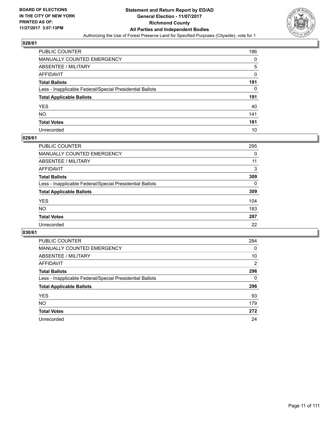

| PUBLIC COUNTER                                           | 186 |
|----------------------------------------------------------|-----|
| MANUALLY COUNTED EMERGENCY                               | 0   |
| <b>ABSENTEE / MILITARY</b>                               | 5   |
| AFFIDAVIT                                                | 0   |
| <b>Total Ballots</b>                                     | 191 |
| Less - Inapplicable Federal/Special Presidential Ballots | 0   |
| <b>Total Applicable Ballots</b>                          | 191 |
| YES                                                      | 40  |
| NO.                                                      | 141 |
| <b>Total Votes</b>                                       | 181 |
| Unrecorded                                               | 10  |

#### **029/61**

| PUBLIC COUNTER                                           | 295      |
|----------------------------------------------------------|----------|
| <b>MANUALLY COUNTED EMERGENCY</b>                        | 0        |
| <b>ABSENTEE / MILITARY</b>                               | 11       |
| AFFIDAVIT                                                | 3        |
| <b>Total Ballots</b>                                     | 309      |
| Less - Inapplicable Federal/Special Presidential Ballots | $\Omega$ |
| <b>Total Applicable Ballots</b>                          | 309      |
| <b>YES</b>                                               | 104      |
| <b>NO</b>                                                | 183      |
| <b>Total Votes</b>                                       | 287      |
| Unrecorded                                               | 22       |

| <b>PUBLIC COUNTER</b>                                    | 284            |
|----------------------------------------------------------|----------------|
| MANUALLY COUNTED EMERGENCY                               | 0              |
| ABSENTEE / MILITARY                                      | 10             |
| AFFIDAVIT                                                | $\overline{2}$ |
| <b>Total Ballots</b>                                     | 296            |
| Less - Inapplicable Federal/Special Presidential Ballots | 0              |
| <b>Total Applicable Ballots</b>                          | 296            |
| <b>YES</b>                                               | 93             |
| NO.                                                      | 179            |
| <b>Total Votes</b>                                       | 272            |
| Unrecorded                                               | 24             |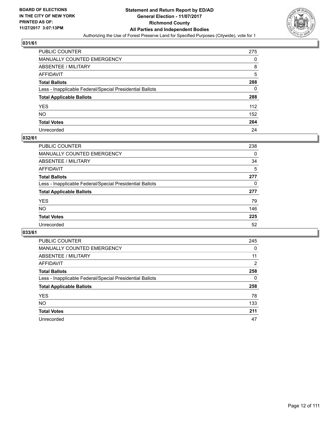

| PUBLIC COUNTER                                           | 275 |
|----------------------------------------------------------|-----|
| MANUALLY COUNTED EMERGENCY                               | 0   |
| ABSENTEE / MILITARY                                      | 8   |
| AFFIDAVIT                                                | 5   |
| Total Ballots                                            | 288 |
| Less - Inapplicable Federal/Special Presidential Ballots | 0   |
| <b>Total Applicable Ballots</b>                          | 288 |
| YES                                                      | 112 |
| NO.                                                      | 152 |
| <b>Total Votes</b>                                       | 264 |
| Unrecorded                                               | 24  |

#### **032/61**

| <b>PUBLIC COUNTER</b>                                    | 238 |
|----------------------------------------------------------|-----|
| <b>MANUALLY COUNTED EMERGENCY</b>                        | 0   |
| ABSENTEE / MILITARY                                      | 34  |
| AFFIDAVIT                                                | 5   |
| <b>Total Ballots</b>                                     | 277 |
| Less - Inapplicable Federal/Special Presidential Ballots | 0   |
| <b>Total Applicable Ballots</b>                          | 277 |
| <b>YES</b>                                               | 79  |
| NO                                                       | 146 |
| <b>Total Votes</b>                                       | 225 |
| Unrecorded                                               | 52  |

| <b>PUBLIC COUNTER</b>                                    | 245 |
|----------------------------------------------------------|-----|
| <b>MANUALLY COUNTED EMERGENCY</b>                        | 0   |
| ABSENTEE / MILITARY                                      | 11  |
| AFFIDAVIT                                                | 2   |
| <b>Total Ballots</b>                                     | 258 |
| Less - Inapplicable Federal/Special Presidential Ballots | 0   |
| <b>Total Applicable Ballots</b>                          | 258 |
| <b>YES</b>                                               | 78  |
| <b>NO</b>                                                | 133 |
| <b>Total Votes</b>                                       | 211 |
| Unrecorded                                               | 47  |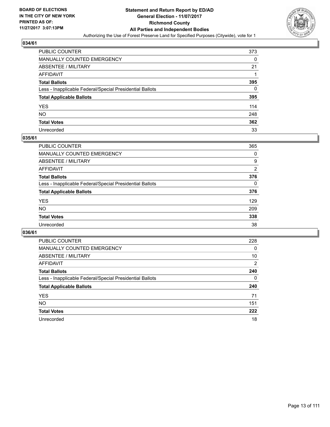

| PUBLIC COUNTER                                           | 373 |
|----------------------------------------------------------|-----|
| MANUALLY COUNTED EMERGENCY                               | 0   |
| <b>ABSENTEE / MILITARY</b>                               | 21  |
| AFFIDAVIT                                                |     |
| <b>Total Ballots</b>                                     | 395 |
| Less - Inapplicable Federal/Special Presidential Ballots | 0   |
| <b>Total Applicable Ballots</b>                          | 395 |
| YES                                                      | 114 |
| NΟ                                                       | 248 |
| <b>Total Votes</b>                                       | 362 |
| Unrecorded                                               | 33  |

#### **035/61**

| <b>PUBLIC COUNTER</b>                                    | 365          |
|----------------------------------------------------------|--------------|
| <b>MANUALLY COUNTED EMERGENCY</b>                        | 0            |
| ABSENTEE / MILITARY                                      | 9            |
| AFFIDAVIT                                                | 2            |
| <b>Total Ballots</b>                                     | 376          |
| Less - Inapplicable Federal/Special Presidential Ballots | $\mathbf{0}$ |
| <b>Total Applicable Ballots</b>                          | 376          |
| <b>YES</b>                                               | 129          |
| <b>NO</b>                                                | 209          |
| <b>Total Votes</b>                                       | 338          |
| Unrecorded                                               | 38           |

| <b>PUBLIC COUNTER</b>                                    | 228            |
|----------------------------------------------------------|----------------|
| MANUALLY COUNTED EMERGENCY                               | 0              |
| ABSENTEE / MILITARY                                      | 10             |
| AFFIDAVIT                                                | $\overline{2}$ |
| <b>Total Ballots</b>                                     | 240            |
| Less - Inapplicable Federal/Special Presidential Ballots | 0              |
| <b>Total Applicable Ballots</b>                          | 240            |
| <b>YES</b>                                               | 71             |
| NO.                                                      | 151            |
| <b>Total Votes</b>                                       | 222            |
| Unrecorded                                               | 18             |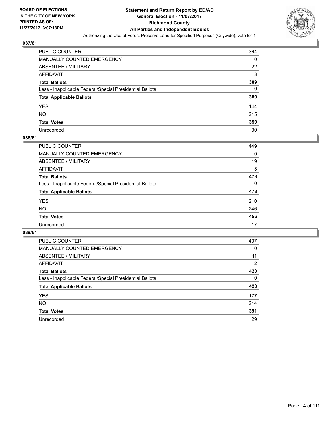

| PUBLIC COUNTER                                           | 364 |
|----------------------------------------------------------|-----|
| MANUALLY COUNTED EMERGENCY                               | 0   |
| <b>ABSENTEE / MILITARY</b>                               | 22  |
| AFFIDAVIT                                                | 3   |
| <b>Total Ballots</b>                                     | 389 |
| Less - Inapplicable Federal/Special Presidential Ballots | 0   |
| <b>Total Applicable Ballots</b>                          | 389 |
| YES                                                      | 144 |
| NO.                                                      | 215 |
| <b>Total Votes</b>                                       | 359 |
| Unrecorded                                               | 30  |

#### **038/61**

| <b>PUBLIC COUNTER</b>                                    | 449      |
|----------------------------------------------------------|----------|
| <b>MANUALLY COUNTED EMERGENCY</b>                        | 0        |
| ABSENTEE / MILITARY                                      | 19       |
| AFFIDAVIT                                                | 5        |
| <b>Total Ballots</b>                                     | 473      |
| Less - Inapplicable Federal/Special Presidential Ballots | $\Omega$ |
| <b>Total Applicable Ballots</b>                          | 473      |
| <b>YES</b>                                               | 210      |
| <b>NO</b>                                                | 246      |
| <b>Total Votes</b>                                       | 456      |
| Unrecorded                                               | 17       |

| <b>PUBLIC COUNTER</b>                                    | 407            |
|----------------------------------------------------------|----------------|
| MANUALLY COUNTED EMERGENCY                               | 0              |
| ABSENTEE / MILITARY                                      | 11             |
| AFFIDAVIT                                                | $\overline{2}$ |
| <b>Total Ballots</b>                                     | 420            |
| Less - Inapplicable Federal/Special Presidential Ballots | 0              |
| <b>Total Applicable Ballots</b>                          | 420            |
| <b>YES</b>                                               | 177            |
| NO.                                                      | 214            |
| <b>Total Votes</b>                                       | 391            |
| Unrecorded                                               | 29             |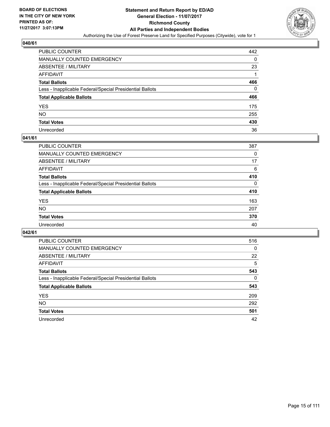

| PUBLIC COUNTER                                           | 442 |
|----------------------------------------------------------|-----|
| MANUALLY COUNTED EMERGENCY                               | 0   |
| <b>ABSENTEE / MILITARY</b>                               | 23  |
| AFFIDAVIT                                                |     |
| <b>Total Ballots</b>                                     | 466 |
| Less - Inapplicable Federal/Special Presidential Ballots | 0   |
| <b>Total Applicable Ballots</b>                          | 466 |
| YES                                                      | 175 |
| NO.                                                      | 255 |
| <b>Total Votes</b>                                       | 430 |
| Unrecorded                                               | 36  |

#### **041/61**

| <b>PUBLIC COUNTER</b>                                    | 387          |
|----------------------------------------------------------|--------------|
| <b>MANUALLY COUNTED EMERGENCY</b>                        | 0            |
| ABSENTEE / MILITARY                                      | 17           |
| AFFIDAVIT                                                | 6            |
| <b>Total Ballots</b>                                     | 410          |
| Less - Inapplicable Federal/Special Presidential Ballots | $\mathbf{0}$ |
| <b>Total Applicable Ballots</b>                          | 410          |
| <b>YES</b>                                               | 163          |
| <b>NO</b>                                                | 207          |
| <b>Total Votes</b>                                       | 370          |
| Unrecorded                                               | 40           |

| <b>PUBLIC COUNTER</b>                                    | 516      |
|----------------------------------------------------------|----------|
| MANUALLY COUNTED EMERGENCY                               | $\Omega$ |
| ABSENTEE / MILITARY                                      | 22       |
| AFFIDAVIT                                                | 5        |
| <b>Total Ballots</b>                                     | 543      |
| Less - Inapplicable Federal/Special Presidential Ballots | 0        |
| <b>Total Applicable Ballots</b>                          | 543      |
| <b>YES</b>                                               | 209      |
| NO.                                                      | 292      |
| <b>Total Votes</b>                                       | 501      |
| Unrecorded                                               | 42       |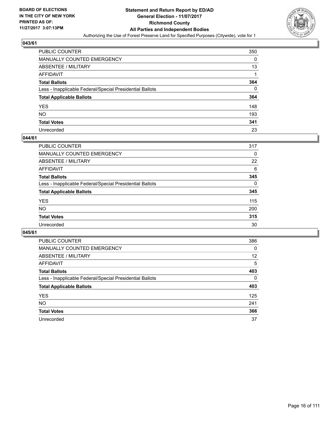

| PUBLIC COUNTER                                           | 350 |
|----------------------------------------------------------|-----|
| MANUALLY COUNTED EMERGENCY                               | 0   |
| ABSENTEE / MILITARY                                      | 13  |
| AFFIDAVIT                                                |     |
| Total Ballots                                            | 364 |
| Less - Inapplicable Federal/Special Presidential Ballots | 0   |
| <b>Total Applicable Ballots</b>                          | 364 |
| YES                                                      | 148 |
| NO.                                                      | 193 |
| <b>Total Votes</b>                                       | 341 |
| Unrecorded                                               | 23  |

#### **044/61**

| <b>PUBLIC COUNTER</b>                                    | 317          |
|----------------------------------------------------------|--------------|
| MANUALLY COUNTED EMERGENCY                               | 0            |
| ABSENTEE / MILITARY                                      | 22           |
| AFFIDAVIT                                                | 6            |
| <b>Total Ballots</b>                                     | 345          |
| Less - Inapplicable Federal/Special Presidential Ballots | $\mathbf{0}$ |
| <b>Total Applicable Ballots</b>                          | 345          |
| <b>YES</b>                                               | 115          |
| <b>NO</b>                                                | 200          |
| <b>Total Votes</b>                                       | 315          |
| Unrecorded                                               | 30           |

| <b>PUBLIC COUNTER</b>                                    | 386 |
|----------------------------------------------------------|-----|
| MANUALLY COUNTED EMERGENCY                               | 0   |
| ABSENTEE / MILITARY                                      | 12  |
| AFFIDAVIT                                                | 5   |
| <b>Total Ballots</b>                                     | 403 |
| Less - Inapplicable Federal/Special Presidential Ballots | 0   |
| <b>Total Applicable Ballots</b>                          | 403 |
| <b>YES</b>                                               | 125 |
| <b>NO</b>                                                | 241 |
| <b>Total Votes</b>                                       | 366 |
| Unrecorded                                               | 37  |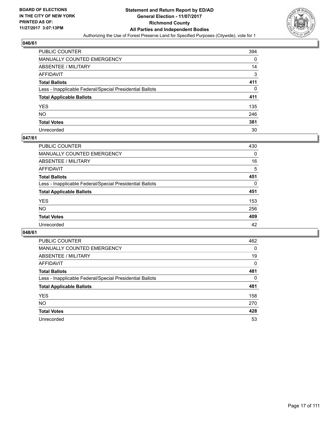

| PUBLIC COUNTER                                           | 394 |
|----------------------------------------------------------|-----|
| MANUALLY COUNTED EMERGENCY                               | 0   |
| ABSENTEE / MILITARY                                      | 14  |
| AFFIDAVIT                                                | 3   |
| Total Ballots                                            | 411 |
| Less - Inapplicable Federal/Special Presidential Ballots | 0   |
| <b>Total Applicable Ballots</b>                          | 411 |
| YES                                                      | 135 |
| NO.                                                      | 246 |
| <b>Total Votes</b>                                       | 381 |
| Unrecorded                                               | 30  |

#### **047/61**

| PUBLIC COUNTER                                           | 430 |
|----------------------------------------------------------|-----|
| <b>MANUALLY COUNTED EMERGENCY</b>                        | 0   |
| <b>ABSENTEE / MILITARY</b>                               | 16  |
| AFFIDAVIT                                                | 5   |
| <b>Total Ballots</b>                                     | 451 |
| Less - Inapplicable Federal/Special Presidential Ballots | 0   |
| <b>Total Applicable Ballots</b>                          | 451 |
| <b>YES</b>                                               | 153 |
| <b>NO</b>                                                | 256 |
| <b>Total Votes</b>                                       | 409 |
| Unrecorded                                               | 42  |

| <b>PUBLIC COUNTER</b>                                    | 462      |
|----------------------------------------------------------|----------|
| MANUALLY COUNTED EMERGENCY                               | 0        |
| ABSENTEE / MILITARY                                      | 19       |
| AFFIDAVIT                                                | 0        |
| <b>Total Ballots</b>                                     | 481      |
| Less - Inapplicable Federal/Special Presidential Ballots | $\Omega$ |
| <b>Total Applicable Ballots</b>                          | 481      |
| <b>YES</b>                                               | 158      |
| NO.                                                      | 270      |
| <b>Total Votes</b>                                       | 428      |
| Unrecorded                                               | 53       |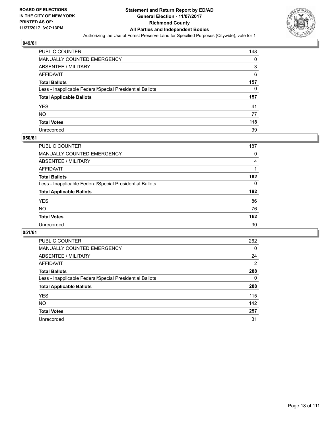

| PUBLIC COUNTER                                           | 148 |
|----------------------------------------------------------|-----|
| MANUALLY COUNTED EMERGENCY                               | 0   |
| <b>ABSENTEE / MILITARY</b>                               | 3   |
| AFFIDAVIT                                                | 6   |
| <b>Total Ballots</b>                                     | 157 |
| Less - Inapplicable Federal/Special Presidential Ballots | 0   |
| <b>Total Applicable Ballots</b>                          | 157 |
| YES                                                      | 41  |
| NO.                                                      | 77  |
| <b>Total Votes</b>                                       | 118 |
| Unrecorded                                               | 39  |

#### **050/61**

| <b>PUBLIC COUNTER</b>                                    | 187      |
|----------------------------------------------------------|----------|
| MANUALLY COUNTED EMERGENCY                               | 0        |
| ABSENTEE / MILITARY                                      | 4        |
| AFFIDAVIT                                                |          |
| <b>Total Ballots</b>                                     | 192      |
| Less - Inapplicable Federal/Special Presidential Ballots | $\Omega$ |
| <b>Total Applicable Ballots</b>                          | 192      |
| <b>YES</b>                                               | 86       |
| <b>NO</b>                                                | 76       |
| <b>Total Votes</b>                                       | 162      |
| Unrecorded                                               | 30       |

| <b>PUBLIC COUNTER</b>                                    | 262            |
|----------------------------------------------------------|----------------|
| MANUALLY COUNTED EMERGENCY                               | 0              |
| ABSENTEE / MILITARY                                      | 24             |
| AFFIDAVIT                                                | $\overline{2}$ |
| <b>Total Ballots</b>                                     | 288            |
| Less - Inapplicable Federal/Special Presidential Ballots | 0              |
| <b>Total Applicable Ballots</b>                          | 288            |
| <b>YES</b>                                               | 115            |
| <b>NO</b>                                                | 142            |
| <b>Total Votes</b>                                       | 257            |
| Unrecorded                                               | 31             |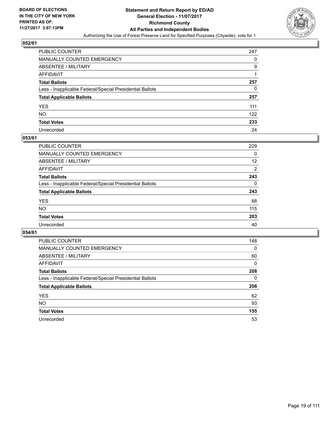

| PUBLIC COUNTER                                           | 247 |
|----------------------------------------------------------|-----|
| MANUALLY COUNTED EMERGENCY                               | 0   |
| ABSENTEE / MILITARY                                      | 9   |
| AFFIDAVIT                                                |     |
| <b>Total Ballots</b>                                     | 257 |
| Less - Inapplicable Federal/Special Presidential Ballots | 0   |
| <b>Total Applicable Ballots</b>                          | 257 |
| YES                                                      | 111 |
| NO.                                                      | 122 |
| <b>Total Votes</b>                                       | 233 |
| Unrecorded                                               | 24  |

#### **053/61**

| <b>PUBLIC COUNTER</b>                                    | 229 |
|----------------------------------------------------------|-----|
| <b>MANUALLY COUNTED EMERGENCY</b>                        | 0   |
| ABSENTEE / MILITARY                                      | 12  |
| AFFIDAVIT                                                | 2   |
| <b>Total Ballots</b>                                     | 243 |
| Less - Inapplicable Federal/Special Presidential Ballots | 0   |
| <b>Total Applicable Ballots</b>                          | 243 |
| <b>YES</b>                                               | 88  |
| <b>NO</b>                                                | 115 |
| <b>Total Votes</b>                                       | 203 |
| Unrecorded                                               | 40  |

| <b>PUBLIC COUNTER</b>                                    | 148      |
|----------------------------------------------------------|----------|
| MANUALLY COUNTED EMERGENCY                               | $\Omega$ |
| ABSENTEE / MILITARY                                      | 60       |
| AFFIDAVIT                                                | 0        |
| <b>Total Ballots</b>                                     | 208      |
| Less - Inapplicable Federal/Special Presidential Ballots | 0        |
| <b>Total Applicable Ballots</b>                          | 208      |
| <b>YES</b>                                               | 62       |
| NO.                                                      | 93       |
| <b>Total Votes</b>                                       | 155      |
| Unrecorded                                               |          |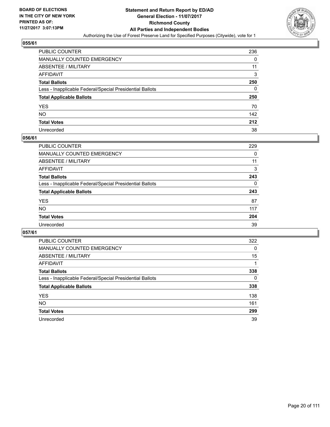

| PUBLIC COUNTER                                           | 236 |
|----------------------------------------------------------|-----|
| MANUALLY COUNTED EMERGENCY                               | 0   |
| <b>ABSENTEE / MILITARY</b>                               | 11  |
| AFFIDAVIT                                                | 3   |
| <b>Total Ballots</b>                                     | 250 |
| Less - Inapplicable Federal/Special Presidential Ballots | 0   |
| <b>Total Applicable Ballots</b>                          | 250 |
| YES                                                      | 70  |
| NO.                                                      | 142 |
| <b>Total Votes</b>                                       | 212 |
| Unrecorded                                               | 38  |

#### **056/61**

| <b>PUBLIC COUNTER</b>                                    | 229 |
|----------------------------------------------------------|-----|
| <b>MANUALLY COUNTED EMERGENCY</b>                        | 0   |
| <b>ABSENTEE / MILITARY</b>                               | 11  |
| AFFIDAVIT                                                | 3   |
| <b>Total Ballots</b>                                     | 243 |
| Less - Inapplicable Federal/Special Presidential Ballots | 0   |
| <b>Total Applicable Ballots</b>                          | 243 |
| <b>YES</b>                                               | 87  |
| NO                                                       | 117 |
| <b>Total Votes</b>                                       | 204 |
| Unrecorded                                               | 39  |

| <b>PUBLIC COUNTER</b>                                    | 322 |
|----------------------------------------------------------|-----|
| <b>MANUALLY COUNTED EMERGENCY</b>                        | 0   |
| ABSENTEE / MILITARY                                      | 15  |
| AFFIDAVIT                                                |     |
| <b>Total Ballots</b>                                     | 338 |
| Less - Inapplicable Federal/Special Presidential Ballots | 0   |
| <b>Total Applicable Ballots</b>                          | 338 |
| <b>YES</b>                                               | 138 |
| NO.                                                      | 161 |
| <b>Total Votes</b>                                       | 299 |
| Unrecorded                                               | 39  |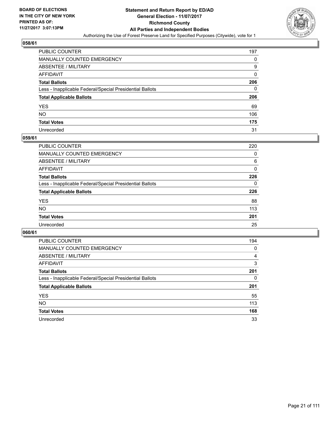

| PUBLIC COUNTER                                           | 197      |
|----------------------------------------------------------|----------|
| MANUALLY COUNTED EMERGENCY                               | 0        |
| ABSENTEE / MILITARY                                      | 9        |
| AFFIDAVIT                                                | $\Omega$ |
| Total Ballots                                            | 206      |
| Less - Inapplicable Federal/Special Presidential Ballots | 0        |
| <b>Total Applicable Ballots</b>                          | 206      |
| YES                                                      | 69       |
| NO.                                                      | 106      |
| <b>Total Votes</b>                                       | 175      |
| Unrecorded                                               | 31       |

#### **059/61**

| <b>PUBLIC COUNTER</b>                                    | 220 |
|----------------------------------------------------------|-----|
| <b>MANUALLY COUNTED EMERGENCY</b>                        | 0   |
| ABSENTEE / MILITARY                                      | 6   |
| AFFIDAVIT                                                | 0   |
| <b>Total Ballots</b>                                     | 226 |
| Less - Inapplicable Federal/Special Presidential Ballots | 0   |
| <b>Total Applicable Ballots</b>                          | 226 |
| <b>YES</b>                                               | 88  |
| <b>NO</b>                                                | 113 |
| <b>Total Votes</b>                                       | 201 |
| Unrecorded                                               | 25  |

| <b>PUBLIC COUNTER</b>                                    | 194 |
|----------------------------------------------------------|-----|
| MANUALLY COUNTED EMERGENCY                               | 0   |
| ABSENTEE / MILITARY                                      | 4   |
| AFFIDAVIT                                                | 3   |
| <b>Total Ballots</b>                                     | 201 |
| Less - Inapplicable Federal/Special Presidential Ballots | 0   |
| <b>Total Applicable Ballots</b>                          | 201 |
| <b>YES</b>                                               | 55  |
| <b>NO</b>                                                | 113 |
| <b>Total Votes</b>                                       | 168 |
| Unrecorded                                               | 33  |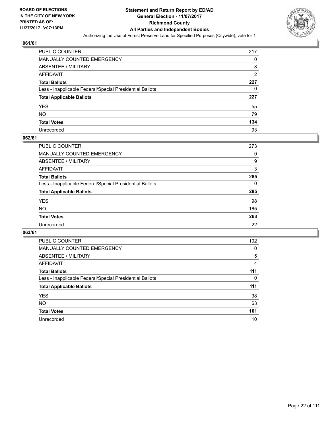

| PUBLIC COUNTER                                           | 217 |
|----------------------------------------------------------|-----|
| MANUALLY COUNTED EMERGENCY                               | 0   |
| ABSENTEE / MILITARY                                      | 8   |
| AFFIDAVIT                                                | 2   |
| <b>Total Ballots</b>                                     | 227 |
| Less - Inapplicable Federal/Special Presidential Ballots | 0   |
| <b>Total Applicable Ballots</b>                          | 227 |
| YES                                                      | 55  |
| NO.                                                      | 79  |
| <b>Total Votes</b>                                       | 134 |
| Unrecorded                                               | 93  |

#### **062/61**

| <b>PUBLIC COUNTER</b>                                    | 273 |
|----------------------------------------------------------|-----|
| <b>MANUALLY COUNTED EMERGENCY</b>                        | 0   |
| ABSENTEE / MILITARY                                      | 9   |
| AFFIDAVIT                                                | 3   |
| <b>Total Ballots</b>                                     | 285 |
| Less - Inapplicable Federal/Special Presidential Ballots | 0   |
| <b>Total Applicable Ballots</b>                          | 285 |
| <b>YES</b>                                               | 98  |
| <b>NO</b>                                                | 165 |
| <b>Total Votes</b>                                       | 263 |
| Unrecorded                                               | 22  |

| <b>PUBLIC COUNTER</b>                                    | 102 |
|----------------------------------------------------------|-----|
| MANUALLY COUNTED EMERGENCY                               | 0   |
| ABSENTEE / MILITARY                                      | 5   |
| AFFIDAVIT                                                | 4   |
| <b>Total Ballots</b>                                     | 111 |
| Less - Inapplicable Federal/Special Presidential Ballots | 0   |
| <b>Total Applicable Ballots</b>                          | 111 |
| <b>YES</b>                                               | 38  |
| <b>NO</b>                                                | 63  |
| <b>Total Votes</b>                                       | 101 |
| Unrecorded                                               | 10  |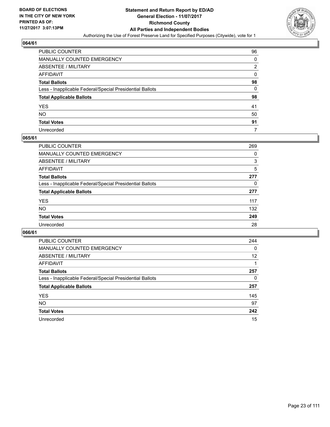

| PUBLIC COUNTER                                           | 96 |
|----------------------------------------------------------|----|
| MANUALLY COUNTED EMERGENCY                               | 0  |
| ABSENTEE / MILITARY                                      | 2  |
| AFFIDAVIT                                                | 0  |
| Total Ballots                                            | 98 |
| Less - Inapplicable Federal/Special Presidential Ballots | 0  |
| <b>Total Applicable Ballots</b>                          | 98 |
| YES                                                      | 41 |
| NO.                                                      | 50 |
| <b>Total Votes</b>                                       | 91 |
| Unrecorded                                               | 7  |

#### **065/61**

| <b>PUBLIC COUNTER</b>                                    | 269 |
|----------------------------------------------------------|-----|
| MANUALLY COUNTED EMERGENCY                               | 0   |
| ABSENTEE / MILITARY                                      | 3   |
| AFFIDAVIT                                                | 5   |
| <b>Total Ballots</b>                                     | 277 |
| Less - Inapplicable Federal/Special Presidential Ballots | 0   |
| <b>Total Applicable Ballots</b>                          | 277 |
| <b>YES</b>                                               | 117 |
| <b>NO</b>                                                | 132 |
| <b>Total Votes</b>                                       | 249 |
| Unrecorded                                               | 28  |

| <b>PUBLIC COUNTER</b>                                    | 244 |
|----------------------------------------------------------|-----|
| <b>MANUALLY COUNTED EMERGENCY</b>                        | 0   |
| ABSENTEE / MILITARY                                      | 12  |
| AFFIDAVIT                                                |     |
| <b>Total Ballots</b>                                     | 257 |
| Less - Inapplicable Federal/Special Presidential Ballots | 0   |
| <b>Total Applicable Ballots</b>                          | 257 |
| <b>YES</b>                                               | 145 |
| <b>NO</b>                                                | 97  |
| <b>Total Votes</b>                                       | 242 |
| Unrecorded                                               | 15  |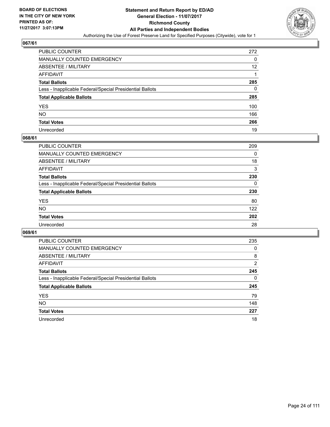

| <b>PUBLIC COUNTER</b>                                    | 272 |
|----------------------------------------------------------|-----|
| MANUALLY COUNTED EMERGENCY                               | 0   |
| ABSENTEE / MILITARY                                      | 12  |
| AFFIDAVIT                                                |     |
| <b>Total Ballots</b>                                     | 285 |
| Less - Inapplicable Federal/Special Presidential Ballots | 0   |
| <b>Total Applicable Ballots</b>                          | 285 |
| YES                                                      | 100 |
| NO.                                                      | 166 |
| <b>Total Votes</b>                                       | 266 |
| Unrecorded                                               | 19  |

#### **068/61**

| PUBLIC COUNTER                                           | 209 |
|----------------------------------------------------------|-----|
| <b>MANUALLY COUNTED EMERGENCY</b>                        | 0   |
| <b>ABSENTEE / MILITARY</b>                               | 18  |
| AFFIDAVIT                                                | 3   |
| <b>Total Ballots</b>                                     | 230 |
| Less - Inapplicable Federal/Special Presidential Ballots | 0   |
| <b>Total Applicable Ballots</b>                          | 230 |
| <b>YES</b>                                               | 80  |
| <b>NO</b>                                                | 122 |
| <b>Total Votes</b>                                       | 202 |
| Unrecorded                                               | 28  |

| <b>PUBLIC COUNTER</b>                                    | 235 |
|----------------------------------------------------------|-----|
| <b>MANUALLY COUNTED EMERGENCY</b>                        | 0   |
| ABSENTEE / MILITARY                                      | 8   |
| AFFIDAVIT                                                | 2   |
| <b>Total Ballots</b>                                     | 245 |
| Less - Inapplicable Federal/Special Presidential Ballots | 0   |
| <b>Total Applicable Ballots</b>                          | 245 |
| <b>YES</b>                                               | 79  |
| <b>NO</b>                                                | 148 |
| <b>Total Votes</b>                                       | 227 |
| Unrecorded                                               | 18  |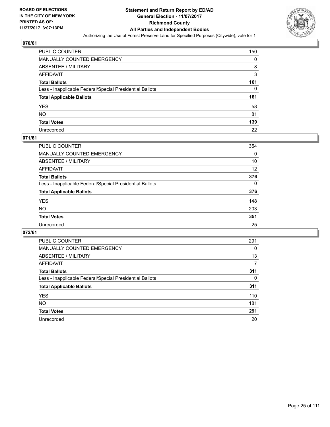

| <b>PUBLIC COUNTER</b>                                    | 150 |
|----------------------------------------------------------|-----|
| MANUALLY COUNTED EMERGENCY                               | 0   |
| <b>ABSENTEE / MILITARY</b>                               | 8   |
| AFFIDAVIT                                                | 3   |
| <b>Total Ballots</b>                                     | 161 |
| Less - Inapplicable Federal/Special Presidential Ballots | 0   |
| <b>Total Applicable Ballots</b>                          | 161 |
| YES                                                      | 58  |
| NO.                                                      | 81  |
| <b>Total Votes</b>                                       | 139 |
| Unrecorded                                               | 22  |

#### **071/61**

| <b>PUBLIC COUNTER</b>                                    | 354      |
|----------------------------------------------------------|----------|
| <b>MANUALLY COUNTED EMERGENCY</b>                        | 0        |
| ABSENTEE / MILITARY                                      | 10       |
| AFFIDAVIT                                                | 12       |
| <b>Total Ballots</b>                                     | 376      |
| Less - Inapplicable Federal/Special Presidential Ballots | $\Omega$ |
| <b>Total Applicable Ballots</b>                          | 376      |
| <b>YES</b>                                               | 148      |
| <b>NO</b>                                                | 203      |
| <b>Total Votes</b>                                       | 351      |
| Unrecorded                                               | 25       |

| <b>PUBLIC COUNTER</b>                                    | 291 |
|----------------------------------------------------------|-----|
| MANUALLY COUNTED EMERGENCY                               | 0   |
| ABSENTEE / MILITARY                                      | 13  |
| AFFIDAVIT                                                | 7   |
| <b>Total Ballots</b>                                     | 311 |
| Less - Inapplicable Federal/Special Presidential Ballots | 0   |
| <b>Total Applicable Ballots</b>                          | 311 |
| <b>YES</b>                                               | 110 |
| NO.                                                      | 181 |
| <b>Total Votes</b>                                       | 291 |
| Unrecorded                                               | 20  |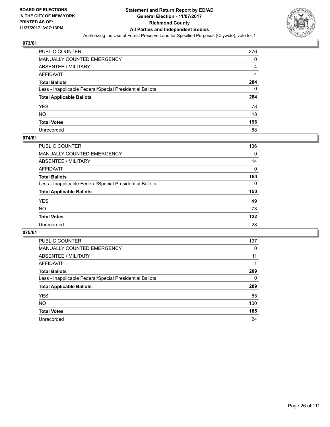

| PUBLIC COUNTER                                           | 276 |
|----------------------------------------------------------|-----|
| MANUALLY COUNTED EMERGENCY                               | 0   |
| ABSENTEE / MILITARY                                      | 4   |
| AFFIDAVIT                                                | 4   |
| Total Ballots                                            | 284 |
| Less - Inapplicable Federal/Special Presidential Ballots | 0   |
| <b>Total Applicable Ballots</b>                          | 284 |
| YES                                                      | 78  |
| NO.                                                      | 118 |
| <b>Total Votes</b>                                       | 196 |
| Unrecorded                                               | 88  |

#### **074/61**

| <b>PUBLIC COUNTER</b>                                    | 136      |
|----------------------------------------------------------|----------|
| <b>MANUALLY COUNTED EMERGENCY</b>                        | 0        |
| ABSENTEE / MILITARY                                      | 14       |
| AFFIDAVIT                                                | 0        |
| <b>Total Ballots</b>                                     | 150      |
| Less - Inapplicable Federal/Special Presidential Ballots | $\Omega$ |
| <b>Total Applicable Ballots</b>                          | 150      |
| <b>YES</b>                                               | 49       |
| <b>NO</b>                                                | 73       |
| <b>Total Votes</b>                                       | 122      |
| Unrecorded                                               | 28       |

| <b>PUBLIC COUNTER</b>                                    | 197 |
|----------------------------------------------------------|-----|
| MANUALLY COUNTED EMERGENCY                               | 0   |
| ABSENTEE / MILITARY                                      | 11  |
| AFFIDAVIT                                                |     |
| <b>Total Ballots</b>                                     | 209 |
| Less - Inapplicable Federal/Special Presidential Ballots | 0   |
| <b>Total Applicable Ballots</b>                          | 209 |
| <b>YES</b>                                               | 85  |
| NO.                                                      | 100 |
| <b>Total Votes</b>                                       | 185 |
| Unrecorded                                               | 24  |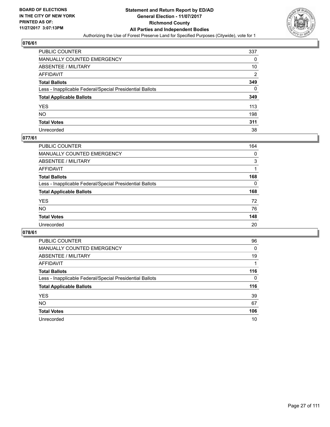

| <b>PUBLIC COUNTER</b>                                    | 337            |
|----------------------------------------------------------|----------------|
| MANUALLY COUNTED EMERGENCY                               | 0              |
| <b>ABSENTEE / MILITARY</b>                               | 10             |
| AFFIDAVIT                                                | $\overline{2}$ |
| <b>Total Ballots</b>                                     | 349            |
| Less - Inapplicable Federal/Special Presidential Ballots | 0              |
| <b>Total Applicable Ballots</b>                          | 349            |
| YES                                                      | 113            |
| NΟ                                                       | 198            |
| <b>Total Votes</b>                                       | 311            |
| Unrecorded                                               | 38             |

#### **077/61**

| <b>PUBLIC COUNTER</b>                                    | 164 |
|----------------------------------------------------------|-----|
| MANUALLY COUNTED EMERGENCY                               | 0   |
| ABSENTEE / MILITARY                                      | 3   |
| AFFIDAVIT                                                |     |
| <b>Total Ballots</b>                                     | 168 |
| Less - Inapplicable Federal/Special Presidential Ballots | 0   |
| <b>Total Applicable Ballots</b>                          | 168 |
| <b>YES</b>                                               | 72  |
| <b>NO</b>                                                | 76  |
| <b>Total Votes</b>                                       | 148 |
| Unrecorded                                               | 20  |

| <b>PUBLIC COUNTER</b>                                    | 96           |
|----------------------------------------------------------|--------------|
| <b>MANUALLY COUNTED EMERGENCY</b>                        | $\mathbf{0}$ |
| ABSENTEE / MILITARY                                      | 19           |
| AFFIDAVIT                                                |              |
| <b>Total Ballots</b>                                     | 116          |
| Less - Inapplicable Federal/Special Presidential Ballots | 0            |
| <b>Total Applicable Ballots</b>                          | 116          |
| <b>YES</b>                                               | 39           |
| <b>NO</b>                                                | 67           |
| <b>Total Votes</b>                                       | 106          |
| Unrecorded                                               | 10           |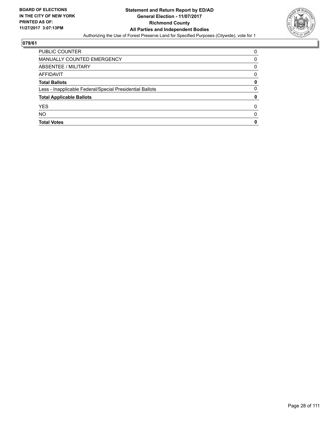

| PUBLIC COUNTER                                           | 0            |
|----------------------------------------------------------|--------------|
| MANUALLY COUNTED EMERGENCY                               | 0            |
| ABSENTEE / MILITARY                                      | 0            |
| AFFIDAVIT                                                | 0            |
| <b>Total Ballots</b>                                     | 0            |
| Less - Inapplicable Federal/Special Presidential Ballots | 0            |
| <b>Total Applicable Ballots</b>                          | 0            |
| <b>YES</b>                                               | <sup>0</sup> |
| <b>NO</b>                                                | 0            |
| <b>Total Votes</b>                                       | 0            |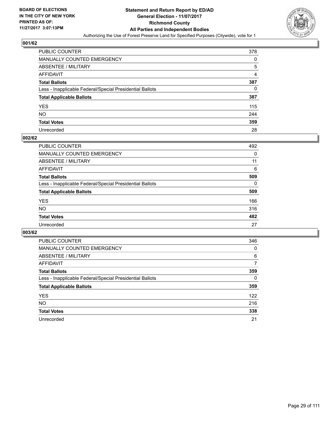

| <b>PUBLIC COUNTER</b>                                    | 378 |
|----------------------------------------------------------|-----|
| MANUALLY COUNTED EMERGENCY                               | 0   |
| <b>ABSENTEE / MILITARY</b>                               | 5   |
| AFFIDAVIT                                                | 4   |
| <b>Total Ballots</b>                                     | 387 |
| Less - Inapplicable Federal/Special Presidential Ballots | 0   |
| <b>Total Applicable Ballots</b>                          | 387 |
| YES                                                      | 115 |
| NΟ                                                       | 244 |
| <b>Total Votes</b>                                       | 359 |
| Unrecorded                                               | 28  |

#### **002/62**

| <b>PUBLIC COUNTER</b>                                    | 492      |
|----------------------------------------------------------|----------|
| MANUALLY COUNTED EMERGENCY                               | 0        |
| ABSENTEE / MILITARY                                      | 11       |
| AFFIDAVIT                                                | 6        |
| <b>Total Ballots</b>                                     | 509      |
| Less - Inapplicable Federal/Special Presidential Ballots | $\Omega$ |
| <b>Total Applicable Ballots</b>                          | 509      |
| <b>YES</b>                                               | 166      |
| <b>NO</b>                                                | 316      |
| <b>Total Votes</b>                                       | 482      |
| Unrecorded                                               | 27       |

| <b>PUBLIC COUNTER</b>                                    | 346 |
|----------------------------------------------------------|-----|
| <b>MANUALLY COUNTED EMERGENCY</b>                        | 0   |
| ABSENTEE / MILITARY                                      | 6   |
| AFFIDAVIT                                                | 7   |
| <b>Total Ballots</b>                                     | 359 |
| Less - Inapplicable Federal/Special Presidential Ballots | 0   |
| <b>Total Applicable Ballots</b>                          | 359 |
| <b>YES</b>                                               | 122 |
| <b>NO</b>                                                | 216 |
| <b>Total Votes</b>                                       | 338 |
| Unrecorded                                               | 21  |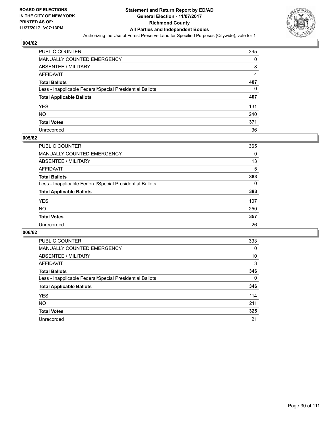

| PUBLIC COUNTER                                           | 395 |
|----------------------------------------------------------|-----|
| MANUALLY COUNTED EMERGENCY                               | 0   |
| ABSENTEE / MILITARY                                      | 8   |
| AFFIDAVIT                                                | 4   |
| Total Ballots                                            | 407 |
| Less - Inapplicable Federal/Special Presidential Ballots | 0   |
| <b>Total Applicable Ballots</b>                          | 407 |
| YES                                                      | 131 |
| NO.                                                      | 240 |
| <b>Total Votes</b>                                       | 371 |
| Unrecorded                                               | 36  |

#### **005/62**

| <b>PUBLIC COUNTER</b>                                    | 365      |
|----------------------------------------------------------|----------|
| <b>MANUALLY COUNTED EMERGENCY</b>                        | 0        |
| <b>ABSENTEE / MILITARY</b>                               | 13       |
| AFFIDAVIT                                                | 5        |
| <b>Total Ballots</b>                                     | 383      |
| Less - Inapplicable Federal/Special Presidential Ballots | $\Omega$ |
| <b>Total Applicable Ballots</b>                          | 383      |
| <b>YES</b>                                               | 107      |
| NO                                                       | 250      |
| <b>Total Votes</b>                                       | 357      |
| Unrecorded                                               | 26       |

| <b>PUBLIC COUNTER</b>                                    | 333 |
|----------------------------------------------------------|-----|
| <b>MANUALLY COUNTED EMERGENCY</b>                        | 0   |
| ABSENTEE / MILITARY                                      | 10  |
| AFFIDAVIT                                                | 3   |
| <b>Total Ballots</b>                                     | 346 |
| Less - Inapplicable Federal/Special Presidential Ballots | 0   |
| <b>Total Applicable Ballots</b>                          | 346 |
| <b>YES</b>                                               | 114 |
| NO.                                                      | 211 |
| <b>Total Votes</b>                                       | 325 |
| Unrecorded                                               | 21  |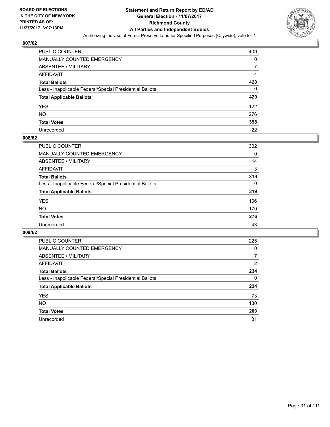

| <b>PUBLIC COUNTER</b>                                    | 409 |
|----------------------------------------------------------|-----|
| MANUALLY COUNTED EMERGENCY                               | 0   |
| <b>ABSENTEE / MILITARY</b>                               |     |
| AFFIDAVIT                                                | 4   |
| <b>Total Ballots</b>                                     | 420 |
| Less - Inapplicable Federal/Special Presidential Ballots | 0   |
| <b>Total Applicable Ballots</b>                          | 420 |
| YES                                                      | 122 |
| NO.                                                      | 276 |
| <b>Total Votes</b>                                       | 398 |
| Unrecorded                                               | 22  |

#### **008/62**

| <b>PUBLIC COUNTER</b>                                    | 302      |
|----------------------------------------------------------|----------|
| <b>MANUALLY COUNTED EMERGENCY</b>                        | 0        |
| ABSENTEE / MILITARY                                      | 14       |
| AFFIDAVIT                                                | 3        |
| <b>Total Ballots</b>                                     | 319      |
| Less - Inapplicable Federal/Special Presidential Ballots | $\Omega$ |
| <b>Total Applicable Ballots</b>                          | 319      |
| <b>YES</b>                                               | 106      |
| <b>NO</b>                                                | 170      |
| <b>Total Votes</b>                                       | 276      |
| Unrecorded                                               | 43       |

| <b>PUBLIC COUNTER</b>                                    | 225 |
|----------------------------------------------------------|-----|
| MANUALLY COUNTED EMERGENCY                               | 0   |
| ABSENTEE / MILITARY                                      | 7   |
| AFFIDAVIT                                                | 2   |
| <b>Total Ballots</b>                                     | 234 |
| Less - Inapplicable Federal/Special Presidential Ballots | 0   |
| <b>Total Applicable Ballots</b>                          | 234 |
| <b>YES</b>                                               | 73  |
| NO.                                                      | 130 |
| <b>Total Votes</b>                                       | 203 |
| Unrecorded                                               | 31  |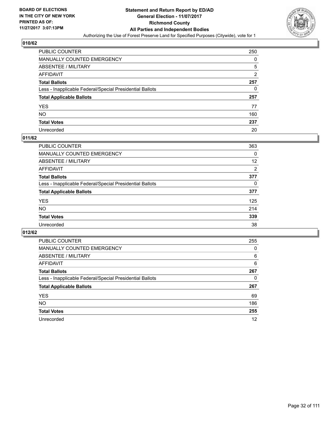

| PUBLIC COUNTER                                           | 250            |
|----------------------------------------------------------|----------------|
| <b>MANUALLY COUNTED EMERGENCY</b>                        | 0              |
| ABSENTEE / MILITARY                                      | 5              |
| AFFIDAVIT                                                | $\overline{2}$ |
| <b>Total Ballots</b>                                     | 257            |
| Less - Inapplicable Federal/Special Presidential Ballots | 0              |
| <b>Total Applicable Ballots</b>                          | 257            |
| YES                                                      | 77             |
| NO.                                                      | 160            |
| <b>Total Votes</b>                                       | 237            |
| Unrecorded                                               | 20             |

#### **011/62**

| <b>PUBLIC COUNTER</b>                                    | 363 |
|----------------------------------------------------------|-----|
| MANUALLY COUNTED EMERGENCY                               | 0   |
| ABSENTEE / MILITARY                                      | 12  |
| AFFIDAVIT                                                | 2   |
| <b>Total Ballots</b>                                     | 377 |
| Less - Inapplicable Federal/Special Presidential Ballots | 0   |
| <b>Total Applicable Ballots</b>                          | 377 |
| <b>YES</b>                                               | 125 |
| <b>NO</b>                                                | 214 |
| <b>Total Votes</b>                                       | 339 |
| Unrecorded                                               | 38  |

| PUBLIC COUNTER                                           | 255 |
|----------------------------------------------------------|-----|
| MANUALLY COUNTED EMERGENCY                               | 0   |
| ABSENTEE / MILITARY                                      | 6   |
| AFFIDAVIT                                                | 6   |
| <b>Total Ballots</b>                                     | 267 |
| Less - Inapplicable Federal/Special Presidential Ballots | 0   |
| <b>Total Applicable Ballots</b>                          | 267 |
| <b>YES</b>                                               | 69  |
| <b>NO</b>                                                | 186 |
| <b>Total Votes</b>                                       | 255 |
| Unrecorded                                               | 12  |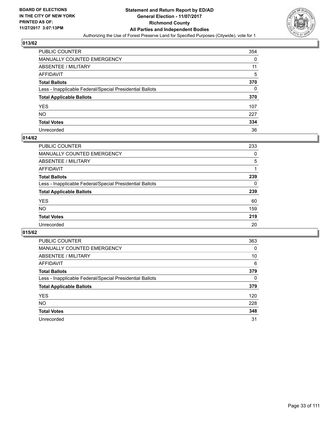

| PUBLIC COUNTER                                           | 354 |
|----------------------------------------------------------|-----|
| MANUALLY COUNTED EMERGENCY                               | 0   |
| ABSENTEE / MILITARY                                      | 11  |
| AFFIDAVIT                                                | 5   |
| <b>Total Ballots</b>                                     | 370 |
| Less - Inapplicable Federal/Special Presidential Ballots | 0   |
| <b>Total Applicable Ballots</b>                          | 370 |
| YES                                                      | 107 |
| NO.                                                      | 227 |
| <b>Total Votes</b>                                       | 334 |
| Unrecorded                                               | 36  |

#### **014/62**

| <b>PUBLIC COUNTER</b>                                    | 233 |
|----------------------------------------------------------|-----|
| <b>MANUALLY COUNTED EMERGENCY</b>                        | 0   |
| <b>ABSENTEE / MILITARY</b>                               | 5   |
| AFFIDAVIT                                                |     |
| <b>Total Ballots</b>                                     | 239 |
| Less - Inapplicable Federal/Special Presidential Ballots | 0   |
| <b>Total Applicable Ballots</b>                          | 239 |
| <b>YES</b>                                               | 60  |
| NO                                                       | 159 |
| <b>Total Votes</b>                                       | 219 |
| Unrecorded                                               | 20  |

| PUBLIC COUNTER                                           | 363 |
|----------------------------------------------------------|-----|
| MANUALLY COUNTED EMERGENCY                               | 0   |
| ABSENTEE / MILITARY                                      | 10  |
| AFFIDAVIT                                                | 6   |
| <b>Total Ballots</b>                                     | 379 |
| Less - Inapplicable Federal/Special Presidential Ballots | 0   |
| <b>Total Applicable Ballots</b>                          | 379 |
| <b>YES</b>                                               | 120 |
| <b>NO</b>                                                | 228 |
| <b>Total Votes</b>                                       | 348 |
| Unrecorded                                               | 31  |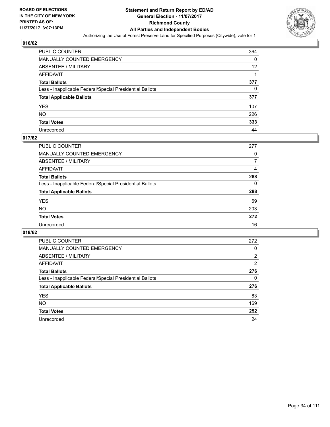

| PUBLIC COUNTER                                           | 364 |
|----------------------------------------------------------|-----|
| MANUALLY COUNTED EMERGENCY                               | 0   |
| ABSENTEE / MILITARY                                      | 12  |
| AFFIDAVIT                                                |     |
| <b>Total Ballots</b>                                     | 377 |
| Less - Inapplicable Federal/Special Presidential Ballots | 0   |
| <b>Total Applicable Ballots</b>                          | 377 |
| YES                                                      | 107 |
| NO.                                                      | 226 |
| <b>Total Votes</b>                                       | 333 |
| Unrecorded                                               | 44  |

#### **017/62**

| <b>PUBLIC COUNTER</b>                                    | 277 |
|----------------------------------------------------------|-----|
| <b>MANUALLY COUNTED EMERGENCY</b>                        | 0   |
| ABSENTEE / MILITARY                                      | 7   |
| AFFIDAVIT                                                | 4   |
| <b>Total Ballots</b>                                     | 288 |
| Less - Inapplicable Federal/Special Presidential Ballots | 0   |
| <b>Total Applicable Ballots</b>                          | 288 |
| <b>YES</b>                                               | 69  |
| <b>NO</b>                                                | 203 |
| <b>Total Votes</b>                                       | 272 |
| Unrecorded                                               | 16  |

| <b>PUBLIC COUNTER</b>                                    | 272            |
|----------------------------------------------------------|----------------|
| MANUALLY COUNTED EMERGENCY                               | 0              |
| ABSENTEE / MILITARY                                      | 2              |
| AFFIDAVIT                                                | $\overline{2}$ |
| <b>Total Ballots</b>                                     | 276            |
| Less - Inapplicable Federal/Special Presidential Ballots | 0              |
| <b>Total Applicable Ballots</b>                          | 276            |
| <b>YES</b>                                               | 83             |
| NO.                                                      | 169            |
| <b>Total Votes</b>                                       | 252            |
| Unrecorded                                               | 24             |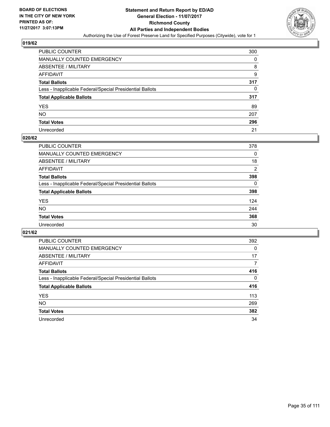

| <b>PUBLIC COUNTER</b>                                    | 300 |
|----------------------------------------------------------|-----|
| MANUALLY COUNTED EMERGENCY                               | 0   |
| <b>ABSENTEE / MILITARY</b>                               | 8   |
| AFFIDAVIT                                                | 9   |
| <b>Total Ballots</b>                                     | 317 |
| Less - Inapplicable Federal/Special Presidential Ballots | 0   |
| <b>Total Applicable Ballots</b>                          | 317 |
| YES                                                      | 89  |
| NO.                                                      | 207 |
| <b>Total Votes</b>                                       | 296 |
| Unrecorded                                               | 21  |

#### **020/62**

| PUBLIC COUNTER                                           | 378            |
|----------------------------------------------------------|----------------|
| <b>MANUALLY COUNTED EMERGENCY</b>                        | 0              |
| <b>ABSENTEE / MILITARY</b>                               | 18             |
| AFFIDAVIT                                                | $\overline{2}$ |
| <b>Total Ballots</b>                                     | 398            |
| Less - Inapplicable Federal/Special Presidential Ballots | 0              |
| <b>Total Applicable Ballots</b>                          | 398            |
| <b>YES</b>                                               | 124            |
| <b>NO</b>                                                | 244            |
| <b>Total Votes</b>                                       | 368            |
| Unrecorded                                               | 30             |

| <b>PUBLIC COUNTER</b>                                    | 392      |
|----------------------------------------------------------|----------|
| MANUALLY COUNTED EMERGENCY                               | 0        |
| ABSENTEE / MILITARY                                      | 17       |
| AFFIDAVIT                                                | 7        |
| <b>Total Ballots</b>                                     | 416      |
| Less - Inapplicable Federal/Special Presidential Ballots | $\Omega$ |
| <b>Total Applicable Ballots</b>                          | 416      |
| <b>YES</b>                                               | 113      |
| <b>NO</b>                                                | 269      |
| <b>Total Votes</b>                                       | 382      |
| Unrecorded                                               | 34       |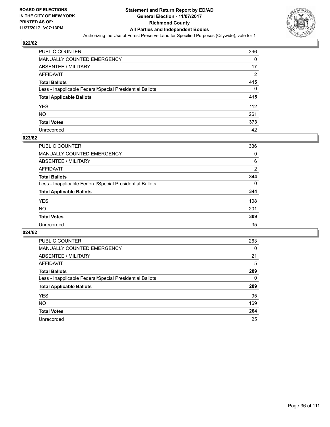

| PUBLIC COUNTER                                           | 396 |
|----------------------------------------------------------|-----|
| MANUALLY COUNTED EMERGENCY                               | 0   |
| ABSENTEE / MILITARY                                      | 17  |
| AFFIDAVIT                                                | 2   |
| Total Ballots                                            | 415 |
| Less - Inapplicable Federal/Special Presidential Ballots | 0   |
| <b>Total Applicable Ballots</b>                          | 415 |
| YES                                                      | 112 |
| NO.                                                      | 261 |
| <b>Total Votes</b>                                       | 373 |
| Unrecorded                                               | 42  |

#### **023/62**

| <b>PUBLIC COUNTER</b>                                    | 336      |
|----------------------------------------------------------|----------|
| <b>MANUALLY COUNTED EMERGENCY</b>                        | 0        |
| ABSENTEE / MILITARY                                      | 6        |
| AFFIDAVIT                                                | 2        |
| <b>Total Ballots</b>                                     | 344      |
| Less - Inapplicable Federal/Special Presidential Ballots | $\Omega$ |
| <b>Total Applicable Ballots</b>                          | 344      |
| <b>YES</b>                                               | 108      |
| <b>NO</b>                                                | 201      |
| <b>Total Votes</b>                                       | 309      |
| Unrecorded                                               | 35       |

| PUBLIC COUNTER                                           | 263 |
|----------------------------------------------------------|-----|
| <b>MANUALLY COUNTED EMERGENCY</b>                        | 0   |
| ABSENTEE / MILITARY                                      | 21  |
| AFFIDAVIT                                                | 5   |
| <b>Total Ballots</b>                                     | 289 |
| Less - Inapplicable Federal/Special Presidential Ballots | 0   |
| <b>Total Applicable Ballots</b>                          | 289 |
| <b>YES</b>                                               | 95  |
| <b>NO</b>                                                | 169 |
| <b>Total Votes</b>                                       | 264 |
| Unrecorded                                               | 25  |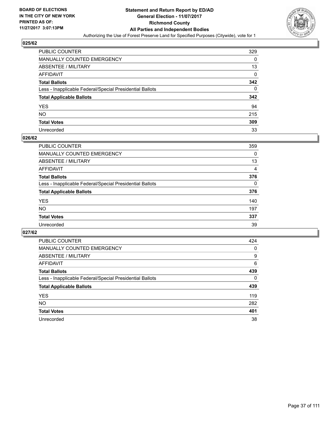

| PUBLIC COUNTER                                           | 329 |
|----------------------------------------------------------|-----|
| MANUALLY COUNTED EMERGENCY                               | 0   |
| <b>ABSENTEE / MILITARY</b>                               | 13  |
| AFFIDAVIT                                                | 0   |
| <b>Total Ballots</b>                                     | 342 |
| Less - Inapplicable Federal/Special Presidential Ballots | 0   |
| <b>Total Applicable Ballots</b>                          | 342 |
| YES                                                      | 94  |
| NO.                                                      | 215 |
| <b>Total Votes</b>                                       | 309 |
| Unrecorded                                               | 33  |

# **026/62**

| <b>PUBLIC COUNTER</b>                                    | 359          |
|----------------------------------------------------------|--------------|
| <b>MANUALLY COUNTED EMERGENCY</b>                        | 0            |
| <b>ABSENTEE / MILITARY</b>                               | 13           |
| AFFIDAVIT                                                | 4            |
| <b>Total Ballots</b>                                     | 376          |
| Less - Inapplicable Federal/Special Presidential Ballots | $\mathbf{0}$ |
| <b>Total Applicable Ballots</b>                          | 376          |
| <b>YES</b>                                               | 140          |
| NO                                                       | 197          |
| <b>Total Votes</b>                                       | 337          |
| Unrecorded                                               | 39           |

| <b>PUBLIC COUNTER</b>                                    | 424 |
|----------------------------------------------------------|-----|
| MANUALLY COUNTED EMERGENCY                               | 0   |
| ABSENTEE / MILITARY                                      | 9   |
| AFFIDAVIT                                                | 6   |
| <b>Total Ballots</b>                                     | 439 |
| Less - Inapplicable Federal/Special Presidential Ballots | 0   |
| <b>Total Applicable Ballots</b>                          | 439 |
| <b>YES</b>                                               | 119 |
| <b>NO</b>                                                | 282 |
| <b>Total Votes</b>                                       | 401 |
| Unrecorded                                               | 38  |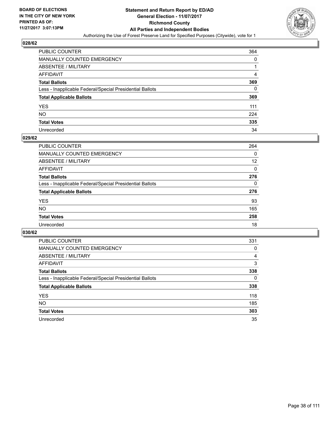

| PUBLIC COUNTER                                           | 364 |
|----------------------------------------------------------|-----|
| MANUALLY COUNTED EMERGENCY                               | 0   |
| ABSENTEE / MILITARY                                      |     |
| AFFIDAVIT                                                | 4   |
| Total Ballots                                            | 369 |
| Less - Inapplicable Federal/Special Presidential Ballots | 0   |
| <b>Total Applicable Ballots</b>                          | 369 |
| YES                                                      | 111 |
| NO.                                                      | 224 |
| <b>Total Votes</b>                                       | 335 |
| Unrecorded                                               | 34  |

#### **029/62**

| PUBLIC COUNTER                                           | 264      |
|----------------------------------------------------------|----------|
| <b>MANUALLY COUNTED EMERGENCY</b>                        | 0        |
| <b>ABSENTEE / MILITARY</b>                               | 12       |
| AFFIDAVIT                                                | $\Omega$ |
| <b>Total Ballots</b>                                     | 276      |
| Less - Inapplicable Federal/Special Presidential Ballots | 0        |
| <b>Total Applicable Ballots</b>                          | 276      |
| <b>YES</b>                                               | 93       |
| <b>NO</b>                                                | 165      |
| <b>Total Votes</b>                                       | 258      |
| Unrecorded                                               | 18       |

| <b>PUBLIC COUNTER</b>                                    | 331 |
|----------------------------------------------------------|-----|
| <b>MANUALLY COUNTED EMERGENCY</b>                        | 0   |
| ABSENTEE / MILITARY                                      | 4   |
| AFFIDAVIT                                                | 3   |
| <b>Total Ballots</b>                                     | 338 |
| Less - Inapplicable Federal/Special Presidential Ballots | 0   |
| <b>Total Applicable Ballots</b>                          | 338 |
| <b>YES</b>                                               | 118 |
| NO.                                                      | 185 |
| <b>Total Votes</b>                                       | 303 |
| Unrecorded                                               | 35  |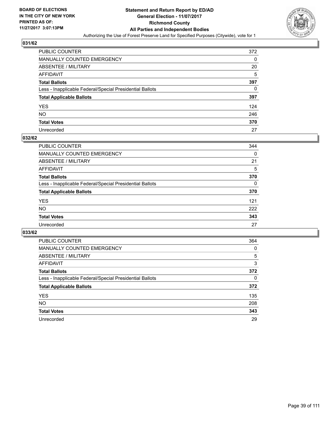

| PUBLIC COUNTER                                           | 372 |
|----------------------------------------------------------|-----|
| MANUALLY COUNTED EMERGENCY                               | 0   |
| ABSENTEE / MILITARY                                      | 20  |
| AFFIDAVIT                                                | 5   |
| <b>Total Ballots</b>                                     | 397 |
| Less - Inapplicable Federal/Special Presidential Ballots | 0   |
| <b>Total Applicable Ballots</b>                          | 397 |
| YES                                                      | 124 |
| NO.                                                      | 246 |
| <b>Total Votes</b>                                       | 370 |
| Unrecorded                                               | 27  |

#### **032/62**

| <b>PUBLIC COUNTER</b>                                    | 344 |
|----------------------------------------------------------|-----|
| <b>MANUALLY COUNTED EMERGENCY</b>                        | 0   |
| ABSENTEE / MILITARY                                      | 21  |
| AFFIDAVIT                                                | 5   |
| <b>Total Ballots</b>                                     | 370 |
| Less - Inapplicable Federal/Special Presidential Ballots | 0   |
| <b>Total Applicable Ballots</b>                          | 370 |
| <b>YES</b>                                               | 121 |
| <b>NO</b>                                                | 222 |
| <b>Total Votes</b>                                       | 343 |
| Unrecorded                                               | 27  |

| <b>PUBLIC COUNTER</b>                                    | 364 |
|----------------------------------------------------------|-----|
| <b>MANUALLY COUNTED EMERGENCY</b>                        | 0   |
| ABSENTEE / MILITARY                                      | 5   |
| AFFIDAVIT                                                | 3   |
| <b>Total Ballots</b>                                     | 372 |
| Less - Inapplicable Federal/Special Presidential Ballots | 0   |
| <b>Total Applicable Ballots</b>                          | 372 |
| <b>YES</b>                                               | 135 |
| NO.                                                      | 208 |
| <b>Total Votes</b>                                       | 343 |
| Unrecorded                                               | 29  |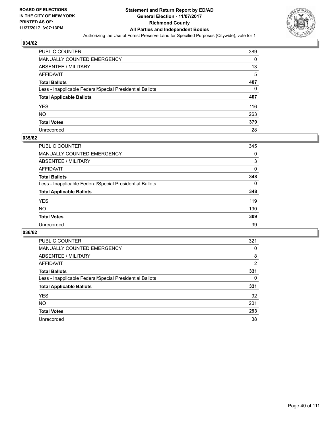

| PUBLIC COUNTER                                           | 389 |
|----------------------------------------------------------|-----|
| <b>MANUALLY COUNTED EMERGENCY</b>                        | 0   |
| ABSENTEE / MILITARY                                      | 13  |
| AFFIDAVIT                                                | 5   |
| <b>Total Ballots</b>                                     | 407 |
| Less - Inapplicable Federal/Special Presidential Ballots | 0   |
| <b>Total Applicable Ballots</b>                          | 407 |
| YES                                                      | 116 |
| NΟ                                                       | 263 |
| <b>Total Votes</b>                                       | 379 |
| Unrecorded                                               | 28  |

#### **035/62**

| <b>PUBLIC COUNTER</b>                                    | 345 |
|----------------------------------------------------------|-----|
| <b>MANUALLY COUNTED EMERGENCY</b>                        | 0   |
| ABSENTEE / MILITARY                                      | 3   |
| AFFIDAVIT                                                | 0   |
| <b>Total Ballots</b>                                     | 348 |
| Less - Inapplicable Federal/Special Presidential Ballots | 0   |
| <b>Total Applicable Ballots</b>                          | 348 |
| <b>YES</b>                                               | 119 |
| <b>NO</b>                                                | 190 |
| <b>Total Votes</b>                                       | 309 |
| Unrecorded                                               | 39  |

| <b>PUBLIC COUNTER</b>                                    | 321            |
|----------------------------------------------------------|----------------|
| MANUALLY COUNTED EMERGENCY                               | 0              |
| ABSENTEE / MILITARY                                      | 8              |
| AFFIDAVIT                                                | $\overline{2}$ |
| <b>Total Ballots</b>                                     | 331            |
| Less - Inapplicable Federal/Special Presidential Ballots | 0              |
| <b>Total Applicable Ballots</b>                          | 331            |
| <b>YES</b>                                               | 92             |
| <b>NO</b>                                                | 201            |
| <b>Total Votes</b>                                       | 293            |
| Unrecorded                                               | 38             |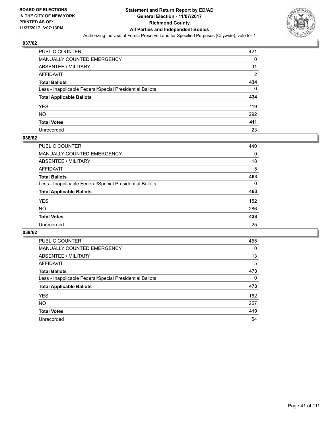

| <b>PUBLIC COUNTER</b>                                    | 421            |
|----------------------------------------------------------|----------------|
| MANUALLY COUNTED EMERGENCY                               | 0              |
| <b>ABSENTEE / MILITARY</b>                               | 11             |
| AFFIDAVIT                                                | $\overline{2}$ |
| <b>Total Ballots</b>                                     | 434            |
| Less - Inapplicable Federal/Special Presidential Ballots | 0              |
| <b>Total Applicable Ballots</b>                          | 434            |
| YES                                                      | 119            |
| NO                                                       | 292            |
| <b>Total Votes</b>                                       | 411            |
| Unrecorded                                               | 23             |

#### **038/62**

| <b>PUBLIC COUNTER</b>                                    | 440 |
|----------------------------------------------------------|-----|
|                                                          |     |
| <b>MANUALLY COUNTED EMERGENCY</b>                        | 0   |
| <b>ABSENTEE / MILITARY</b>                               | 18  |
| AFFIDAVIT                                                | 5   |
| <b>Total Ballots</b>                                     | 463 |
| Less - Inapplicable Federal/Special Presidential Ballots | 0   |
| <b>Total Applicable Ballots</b>                          | 463 |
| <b>YES</b>                                               | 152 |
| <b>NO</b>                                                | 286 |
| <b>Total Votes</b>                                       | 438 |
| Unrecorded                                               | 25  |

| <b>PUBLIC COUNTER</b>                                    | 455      |
|----------------------------------------------------------|----------|
| <b>MANUALLY COUNTED EMERGENCY</b>                        | $\Omega$ |
| ABSENTEE / MILITARY                                      | 13       |
| AFFIDAVIT                                                | 5        |
| <b>Total Ballots</b>                                     | 473      |
| Less - Inapplicable Federal/Special Presidential Ballots | 0        |
| <b>Total Applicable Ballots</b>                          | 473      |
| <b>YES</b>                                               | 162      |
| <b>NO</b>                                                | 257      |
| <b>Total Votes</b>                                       | 419      |
| Unrecorded                                               | 54       |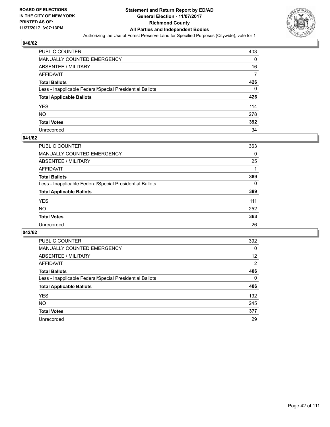

| <b>PUBLIC COUNTER</b>                                    | 403 |
|----------------------------------------------------------|-----|
| MANUALLY COUNTED EMERGENCY                               | 0   |
| <b>ABSENTEE / MILITARY</b>                               | 16  |
| AFFIDAVIT                                                |     |
| <b>Total Ballots</b>                                     | 426 |
| Less - Inapplicable Federal/Special Presidential Ballots | 0   |
| <b>Total Applicable Ballots</b>                          | 426 |
| YES                                                      | 114 |
| NΟ                                                       | 278 |
| <b>Total Votes</b>                                       | 392 |
| Unrecorded                                               | 34  |

#### **041/62**

| <b>PUBLIC COUNTER</b>                                    | 363      |
|----------------------------------------------------------|----------|
| <b>MANUALLY COUNTED EMERGENCY</b>                        | 0        |
| <b>ABSENTEE / MILITARY</b>                               | 25       |
| AFFIDAVIT                                                |          |
| <b>Total Ballots</b>                                     | 389      |
| Less - Inapplicable Federal/Special Presidential Ballots | $\Omega$ |
| <b>Total Applicable Ballots</b>                          | 389      |
| <b>YES</b>                                               | 111      |
| NO                                                       | 252      |
| <b>Total Votes</b>                                       | 363      |
| Unrecorded                                               | 26       |

| <b>PUBLIC COUNTER</b>                                    | 392            |
|----------------------------------------------------------|----------------|
| MANUALLY COUNTED EMERGENCY                               | 0              |
| ABSENTEE / MILITARY                                      | 12             |
| AFFIDAVIT                                                | $\overline{2}$ |
| <b>Total Ballots</b>                                     | 406            |
| Less - Inapplicable Federal/Special Presidential Ballots | 0              |
| <b>Total Applicable Ballots</b>                          | 406            |
| <b>YES</b>                                               | 132            |
| NO.                                                      | 245            |
| <b>Total Votes</b>                                       | 377            |
| Unrecorded                                               | 29             |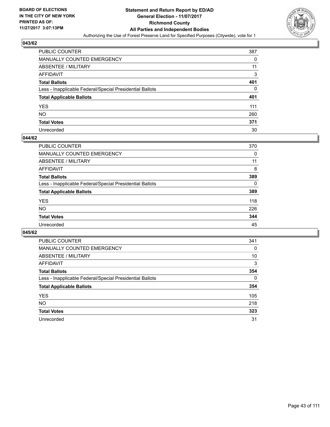

| PUBLIC COUNTER                                           | 387 |
|----------------------------------------------------------|-----|
| MANUALLY COUNTED EMERGENCY                               | 0   |
| ABSENTEE / MILITARY                                      | 11  |
| AFFIDAVIT                                                | 3   |
| <b>Total Ballots</b>                                     | 401 |
| Less - Inapplicable Federal/Special Presidential Ballots | 0   |
| <b>Total Applicable Ballots</b>                          | 401 |
| YES                                                      | 111 |
| NO.                                                      | 260 |
| <b>Total Votes</b>                                       | 371 |
| Unrecorded                                               | 30  |

#### **044/62**

| <b>PUBLIC COUNTER</b>                                    | 370      |
|----------------------------------------------------------|----------|
| <b>MANUALLY COUNTED EMERGENCY</b>                        | 0        |
| <b>ABSENTEE / MILITARY</b>                               | 11       |
| AFFIDAVIT                                                | 8        |
| <b>Total Ballots</b>                                     | 389      |
| Less - Inapplicable Federal/Special Presidential Ballots | $\Omega$ |
| <b>Total Applicable Ballots</b>                          | 389      |
| <b>YES</b>                                               | 118      |
| <b>NO</b>                                                | 226      |
| <b>Total Votes</b>                                       | 344      |
| Unrecorded                                               | 45       |

| <b>PUBLIC COUNTER</b>                                    | 341 |
|----------------------------------------------------------|-----|
| MANUALLY COUNTED EMERGENCY                               | 0   |
| ABSENTEE / MILITARY                                      | 10  |
| <b>AFFIDAVIT</b>                                         | 3   |
| <b>Total Ballots</b>                                     | 354 |
| Less - Inapplicable Federal/Special Presidential Ballots | 0   |
| <b>Total Applicable Ballots</b>                          | 354 |
| <b>YES</b>                                               | 105 |
| NO.                                                      | 218 |
| <b>Total Votes</b>                                       | 323 |
| Unrecorded                                               | 31  |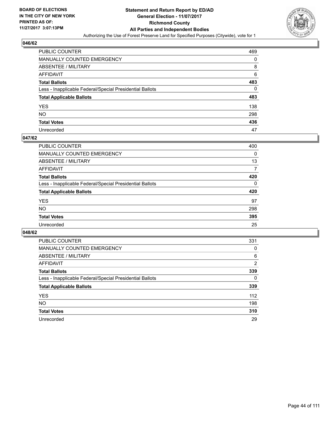

| PUBLIC COUNTER                                           | 469 |
|----------------------------------------------------------|-----|
| MANUALLY COUNTED EMERGENCY                               | 0   |
| ABSENTEE / MILITARY                                      | 8   |
| AFFIDAVIT                                                | 6   |
| Total Ballots                                            | 483 |
| Less - Inapplicable Federal/Special Presidential Ballots | 0   |
| <b>Total Applicable Ballots</b>                          | 483 |
| YES                                                      | 138 |
| NO.                                                      | 298 |
| <b>Total Votes</b>                                       | 436 |
| Unrecorded                                               | 47  |

#### **047/62**

| <b>PUBLIC COUNTER</b>                                    | 400 |
|----------------------------------------------------------|-----|
| <b>MANUALLY COUNTED EMERGENCY</b>                        | 0   |
| <b>ABSENTEE / MILITARY</b>                               | 13  |
| AFFIDAVIT                                                | 7   |
| <b>Total Ballots</b>                                     | 420 |
| Less - Inapplicable Federal/Special Presidential Ballots | 0   |
| <b>Total Applicable Ballots</b>                          | 420 |
| <b>YES</b>                                               | 97  |
| <b>NO</b>                                                | 298 |
| <b>Total Votes</b>                                       | 395 |
| Unrecorded                                               | 25  |

| <b>PUBLIC COUNTER</b>                                    | 331 |
|----------------------------------------------------------|-----|
| <b>MANUALLY COUNTED EMERGENCY</b>                        | 0   |
| ABSENTEE / MILITARY                                      | 6   |
| AFFIDAVIT                                                | 2   |
| <b>Total Ballots</b>                                     | 339 |
| Less - Inapplicable Federal/Special Presidential Ballots | 0   |
| <b>Total Applicable Ballots</b>                          | 339 |
| <b>YES</b>                                               | 112 |
| <b>NO</b>                                                | 198 |
| <b>Total Votes</b>                                       | 310 |
| Unrecorded                                               | 29  |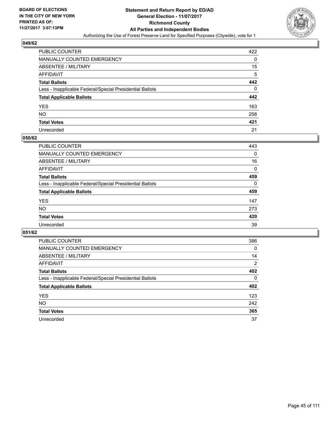

| PUBLIC COUNTER                                           | 422 |
|----------------------------------------------------------|-----|
| MANUALLY COUNTED EMERGENCY                               | 0   |
| ABSENTEE / MILITARY                                      | 15  |
| AFFIDAVIT                                                | 5   |
| Total Ballots                                            | 442 |
| Less - Inapplicable Federal/Special Presidential Ballots | 0   |
| <b>Total Applicable Ballots</b>                          | 442 |
| YES                                                      | 163 |
| NO.                                                      | 258 |
| <b>Total Votes</b>                                       | 421 |
| Unrecorded                                               | 21  |

#### **050/62**

| <b>PUBLIC COUNTER</b>                                    | 443      |
|----------------------------------------------------------|----------|
| <b>MANUALLY COUNTED EMERGENCY</b>                        | 0        |
| ABSENTEE / MILITARY                                      | 16       |
| AFFIDAVIT                                                | $\Omega$ |
| <b>Total Ballots</b>                                     | 459      |
| Less - Inapplicable Federal/Special Presidential Ballots | 0        |
| <b>Total Applicable Ballots</b>                          | 459      |
| <b>YES</b>                                               | 147      |
| <b>NO</b>                                                | 273      |
| <b>Total Votes</b>                                       | 420      |
| Unrecorded                                               | 39       |

| <b>PUBLIC COUNTER</b>                                    | 386            |
|----------------------------------------------------------|----------------|
| MANUALLY COUNTED EMERGENCY                               | 0              |
| ABSENTEE / MILITARY                                      | 14             |
| <b>AFFIDAVIT</b>                                         | $\overline{2}$ |
| <b>Total Ballots</b>                                     | 402            |
| Less - Inapplicable Federal/Special Presidential Ballots | 0              |
| <b>Total Applicable Ballots</b>                          | 402            |
| <b>YES</b>                                               | 123            |
| NO.                                                      | 242            |
| <b>Total Votes</b>                                       | 365            |
| Unrecorded                                               | 37             |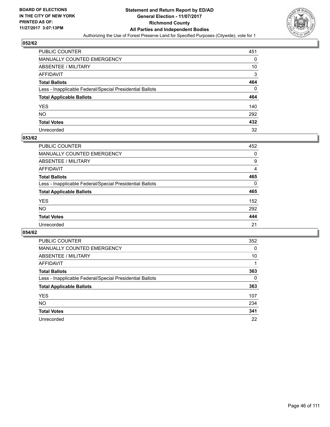

| <b>PUBLIC COUNTER</b>                                    | 451 |
|----------------------------------------------------------|-----|
| MANUALLY COUNTED EMERGENCY                               | 0   |
| <b>ABSENTEE / MILITARY</b>                               | 10  |
| AFFIDAVIT                                                | 3   |
| <b>Total Ballots</b>                                     | 464 |
| Less - Inapplicable Federal/Special Presidential Ballots | 0   |
| <b>Total Applicable Ballots</b>                          | 464 |
| YES                                                      | 140 |
| NO.                                                      | 292 |
| <b>Total Votes</b>                                       | 432 |
| Unrecorded                                               | 32  |

#### **053/62**

| PUBLIC COUNTER                                           | 452 |
|----------------------------------------------------------|-----|
| <b>MANUALLY COUNTED EMERGENCY</b>                        | 0   |
| <b>ABSENTEE / MILITARY</b>                               | 9   |
| AFFIDAVIT                                                | 4   |
| <b>Total Ballots</b>                                     | 465 |
| Less - Inapplicable Federal/Special Presidential Ballots | 0   |
| <b>Total Applicable Ballots</b>                          | 465 |
| <b>YES</b>                                               | 152 |
| <b>NO</b>                                                | 292 |
| <b>Total Votes</b>                                       | 444 |
| Unrecorded                                               | 21  |

| <b>PUBLIC COUNTER</b>                                    | 352 |
|----------------------------------------------------------|-----|
| MANUALLY COUNTED EMERGENCY                               | 0   |
| ABSENTEE / MILITARY                                      | 10  |
| <b>AFFIDAVIT</b>                                         |     |
| <b>Total Ballots</b>                                     | 363 |
| Less - Inapplicable Federal/Special Presidential Ballots | 0   |
| <b>Total Applicable Ballots</b>                          | 363 |
| <b>YES</b>                                               | 107 |
| NO.                                                      | 234 |
| <b>Total Votes</b>                                       | 341 |
| Unrecorded                                               | 22  |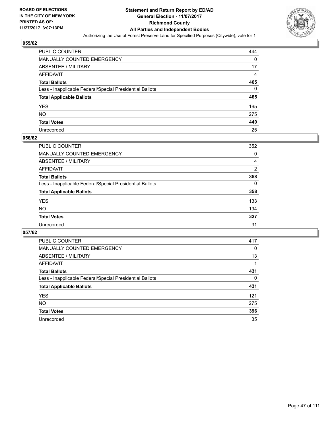

| <b>PUBLIC COUNTER</b>                                    | 444 |
|----------------------------------------------------------|-----|
| MANUALLY COUNTED EMERGENCY                               | 0   |
| <b>ABSENTEE / MILITARY</b>                               | 17  |
| AFFIDAVIT                                                | 4   |
| <b>Total Ballots</b>                                     | 465 |
| Less - Inapplicable Federal/Special Presidential Ballots | 0   |
| <b>Total Applicable Ballots</b>                          | 465 |
| YES                                                      | 165 |
| <b>NO</b>                                                | 275 |
| <b>Total Votes</b>                                       | 440 |
| Unrecorded                                               | 25  |

#### **056/62**

| <b>PUBLIC COUNTER</b>                                    | 352 |
|----------------------------------------------------------|-----|
| <b>MANUALLY COUNTED EMERGENCY</b>                        | 0   |
| ABSENTEE / MILITARY                                      | 4   |
| AFFIDAVIT                                                | 2   |
| <b>Total Ballots</b>                                     | 358 |
| Less - Inapplicable Federal/Special Presidential Ballots | 0   |
| <b>Total Applicable Ballots</b>                          | 358 |
| <b>YES</b>                                               | 133 |
| <b>NO</b>                                                | 194 |
| <b>Total Votes</b>                                       | 327 |
| Unrecorded                                               | 31  |

| <b>PUBLIC COUNTER</b>                                    | 417 |
|----------------------------------------------------------|-----|
| MANUALLY COUNTED EMERGENCY                               | 0   |
| ABSENTEE / MILITARY                                      | 13  |
| <b>AFFIDAVIT</b>                                         |     |
| <b>Total Ballots</b>                                     | 431 |
| Less - Inapplicable Federal/Special Presidential Ballots | 0   |
| <b>Total Applicable Ballots</b>                          | 431 |
| <b>YES</b>                                               | 121 |
| NO.                                                      | 275 |
| <b>Total Votes</b>                                       | 396 |
| Unrecorded                                               | 35  |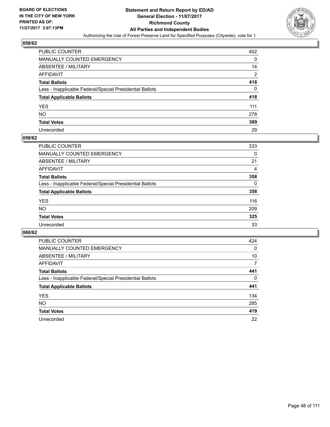

| <b>PUBLIC COUNTER</b>                                    | 402            |
|----------------------------------------------------------|----------------|
| MANUALLY COUNTED EMERGENCY                               | 0              |
| <b>ABSENTEE / MILITARY</b>                               | 14             |
| AFFIDAVIT                                                | $\overline{2}$ |
| <b>Total Ballots</b>                                     | 418            |
| Less - Inapplicable Federal/Special Presidential Ballots | 0              |
| <b>Total Applicable Ballots</b>                          | 418            |
| YES                                                      | 111            |
| NO.                                                      | 278            |
| <b>Total Votes</b>                                       | 389            |
| Unrecorded                                               | 29             |

#### **059/62**

| <b>PUBLIC COUNTER</b>                                    | 333 |
|----------------------------------------------------------|-----|
| <b>MANUALLY COUNTED EMERGENCY</b>                        | 0   |
| ABSENTEE / MILITARY                                      | 21  |
| AFFIDAVIT                                                | 4   |
| <b>Total Ballots</b>                                     | 358 |
| Less - Inapplicable Federal/Special Presidential Ballots | 0   |
| <b>Total Applicable Ballots</b>                          | 358 |
| <b>YES</b>                                               | 116 |
| <b>NO</b>                                                | 209 |
| <b>Total Votes</b>                                       | 325 |
| Unrecorded                                               | 33  |

| <b>PUBLIC COUNTER</b>                                    | 424 |
|----------------------------------------------------------|-----|
| <b>MANUALLY COUNTED EMERGENCY</b>                        | 0   |
| ABSENTEE / MILITARY                                      | 10  |
| AFFIDAVIT                                                | 7   |
| <b>Total Ballots</b>                                     | 441 |
| Less - Inapplicable Federal/Special Presidential Ballots | 0   |
| <b>Total Applicable Ballots</b>                          | 441 |
| <b>YES</b>                                               | 134 |
| <b>NO</b>                                                | 285 |
| <b>Total Votes</b>                                       | 419 |
| Unrecorded                                               | 22  |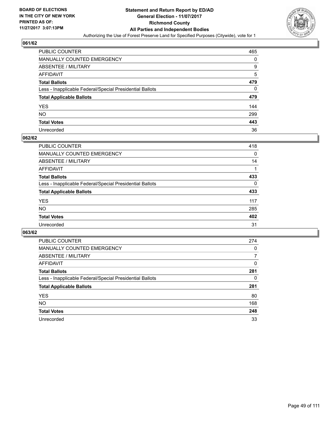

| PUBLIC COUNTER                                           | 465 |
|----------------------------------------------------------|-----|
| MANUALLY COUNTED EMERGENCY                               | 0   |
| ABSENTEE / MILITARY                                      | 9   |
| AFFIDAVIT                                                | 5   |
| <b>Total Ballots</b>                                     | 479 |
| Less - Inapplicable Federal/Special Presidential Ballots | 0   |
| <b>Total Applicable Ballots</b>                          | 479 |
| YES                                                      | 144 |
| NO.                                                      | 299 |
| <b>Total Votes</b>                                       | 443 |
| Unrecorded                                               | 36  |

#### **062/62**

| <b>PUBLIC COUNTER</b>                                    | 418      |
|----------------------------------------------------------|----------|
| <b>MANUALLY COUNTED EMERGENCY</b>                        | $\Omega$ |
| ABSENTEE / MILITARY                                      | 14       |
| AFFIDAVIT                                                |          |
| <b>Total Ballots</b>                                     | 433      |
| Less - Inapplicable Federal/Special Presidential Ballots | 0        |
| <b>Total Applicable Ballots</b>                          | 433      |
| <b>YES</b>                                               | 117      |
| <b>NO</b>                                                | 285      |
| <b>Total Votes</b>                                       | 402      |
| Unrecorded                                               | 31       |

| <b>PUBLIC COUNTER</b>                                    | 274 |
|----------------------------------------------------------|-----|
| MANUALLY COUNTED EMERGENCY                               | 0   |
| ABSENTEE / MILITARY                                      | 7   |
| AFFIDAVIT                                                | 0   |
| <b>Total Ballots</b>                                     | 281 |
| Less - Inapplicable Federal/Special Presidential Ballots | 0   |
| <b>Total Applicable Ballots</b>                          | 281 |
| <b>YES</b>                                               | 80  |
| <b>NO</b>                                                | 168 |
| <b>Total Votes</b>                                       | 248 |
| Unrecorded                                               | 33  |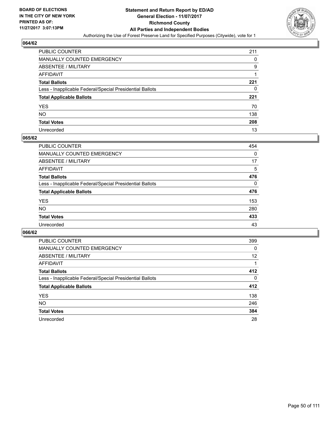

| <b>PUBLIC COUNTER</b>                                    | 211 |
|----------------------------------------------------------|-----|
| MANUALLY COUNTED EMERGENCY                               | 0   |
| <b>ABSENTEE / MILITARY</b>                               | 9   |
| AFFIDAVIT                                                |     |
| <b>Total Ballots</b>                                     | 221 |
| Less - Inapplicable Federal/Special Presidential Ballots | 0   |
| <b>Total Applicable Ballots</b>                          | 221 |
| YES                                                      | 70  |
| NO.                                                      | 138 |
| <b>Total Votes</b>                                       | 208 |
| Unrecorded                                               | 13  |

#### **065/62**

| PUBLIC COUNTER                                           | 454      |
|----------------------------------------------------------|----------|
| <b>MANUALLY COUNTED EMERGENCY</b>                        | $\Omega$ |
| <b>ABSENTEE / MILITARY</b>                               | 17       |
| AFFIDAVIT                                                | 5        |
| <b>Total Ballots</b>                                     | 476      |
| Less - Inapplicable Federal/Special Presidential Ballots | $\Omega$ |
| <b>Total Applicable Ballots</b>                          | 476      |
| <b>YES</b>                                               | 153      |
| <b>NO</b>                                                | 280      |
| <b>Total Votes</b>                                       | 433      |
| Unrecorded                                               | 43       |

| <b>PUBLIC COUNTER</b>                                    | 399 |
|----------------------------------------------------------|-----|
| <b>MANUALLY COUNTED EMERGENCY</b>                        | 0   |
| ABSENTEE / MILITARY                                      | 12  |
| AFFIDAVIT                                                |     |
| <b>Total Ballots</b>                                     | 412 |
| Less - Inapplicable Federal/Special Presidential Ballots | 0   |
| <b>Total Applicable Ballots</b>                          | 412 |
| <b>YES</b>                                               | 138 |
| <b>NO</b>                                                | 246 |
| <b>Total Votes</b>                                       | 384 |
| Unrecorded                                               | 28  |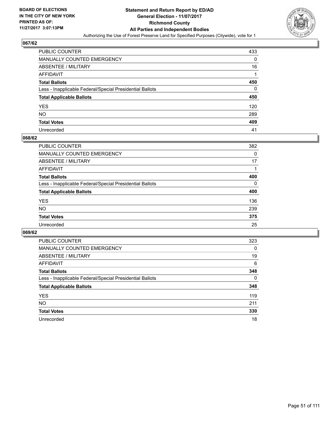

| PUBLIC COUNTER                                           | 433 |
|----------------------------------------------------------|-----|
| <b>MANUALLY COUNTED EMERGENCY</b>                        | 0   |
| ABSENTEE / MILITARY                                      | 16  |
| AFFIDAVIT                                                |     |
| <b>Total Ballots</b>                                     | 450 |
| Less - Inapplicable Federal/Special Presidential Ballots | 0   |
| <b>Total Applicable Ballots</b>                          | 450 |
| YES                                                      | 120 |
| NO.                                                      | 289 |
| <b>Total Votes</b>                                       | 409 |
| Unrecorded                                               | 41  |

#### **068/62**

| <b>PUBLIC COUNTER</b>                                    | 382      |
|----------------------------------------------------------|----------|
| <b>MANUALLY COUNTED EMERGENCY</b>                        | 0        |
| <b>ABSENTEE / MILITARY</b>                               | 17       |
| AFFIDAVIT                                                |          |
| <b>Total Ballots</b>                                     | 400      |
| Less - Inapplicable Federal/Special Presidential Ballots | $\Omega$ |
| <b>Total Applicable Ballots</b>                          | 400      |
| <b>YES</b>                                               | 136      |
| <b>NO</b>                                                | 239      |
| <b>Total Votes</b>                                       | 375      |
| Unrecorded                                               | 25       |

| <b>PUBLIC COUNTER</b>                                    | 323 |
|----------------------------------------------------------|-----|
| <b>MANUALLY COUNTED EMERGENCY</b>                        | 0   |
| ABSENTEE / MILITARY                                      | 19  |
| AFFIDAVIT                                                | 6   |
| <b>Total Ballots</b>                                     | 348 |
| Less - Inapplicable Federal/Special Presidential Ballots | 0   |
| <b>Total Applicable Ballots</b>                          | 348 |
| <b>YES</b>                                               | 119 |
| NO.                                                      | 211 |
| <b>Total Votes</b>                                       | 330 |
| Unrecorded                                               | 18  |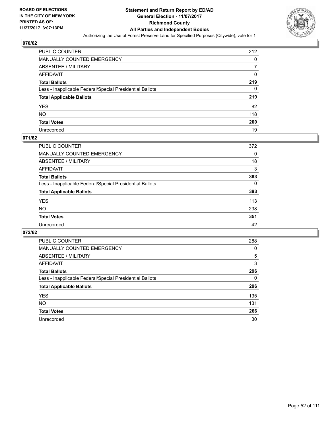

| <b>PUBLIC COUNTER</b>                                    | 212 |
|----------------------------------------------------------|-----|
| MANUALLY COUNTED EMERGENCY                               | 0   |
| ABSENTEE / MILITARY                                      |     |
| AFFIDAVIT                                                | 0   |
| <b>Total Ballots</b>                                     | 219 |
| Less - Inapplicable Federal/Special Presidential Ballots | 0   |
| <b>Total Applicable Ballots</b>                          | 219 |
| YES                                                      | 82  |
| NO.                                                      | 118 |
| <b>Total Votes</b>                                       | 200 |
| Unrecorded                                               | 19  |

# **071/62**

| <b>PUBLIC COUNTER</b>                                    | 372      |
|----------------------------------------------------------|----------|
| <b>MANUALLY COUNTED EMERGENCY</b>                        | 0        |
| <b>ABSENTEE / MILITARY</b>                               | 18       |
| AFFIDAVIT                                                | 3        |
| <b>Total Ballots</b>                                     | 393      |
| Less - Inapplicable Federal/Special Presidential Ballots | $\Omega$ |
| <b>Total Applicable Ballots</b>                          | 393      |
| <b>YES</b>                                               | 113      |
| <b>NO</b>                                                | 238      |
| <b>Total Votes</b>                                       | 351      |
| Unrecorded                                               | 42       |

| <b>PUBLIC COUNTER</b>                                    | 288 |
|----------------------------------------------------------|-----|
| MANUALLY COUNTED EMERGENCY                               | 0   |
| ABSENTEE / MILITARY                                      | 5   |
| <b>AFFIDAVIT</b>                                         | 3   |
| <b>Total Ballots</b>                                     | 296 |
| Less - Inapplicable Federal/Special Presidential Ballots | 0   |
| <b>Total Applicable Ballots</b>                          | 296 |
| <b>YES</b>                                               | 135 |
| NO.                                                      | 131 |
| <b>Total Votes</b>                                       | 266 |
| Unrecorded                                               | 30  |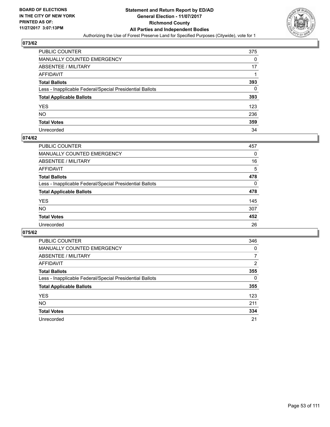

| <b>PUBLIC COUNTER</b>                                    | 375 |
|----------------------------------------------------------|-----|
| MANUALLY COUNTED EMERGENCY                               | 0   |
| <b>ABSENTEE / MILITARY</b>                               | 17  |
| AFFIDAVIT                                                |     |
| <b>Total Ballots</b>                                     | 393 |
| Less - Inapplicable Federal/Special Presidential Ballots | 0   |
| <b>Total Applicable Ballots</b>                          | 393 |
| YES                                                      | 123 |
| NO.                                                      | 236 |
| <b>Total Votes</b>                                       | 359 |
| Unrecorded                                               | 34  |

#### **074/62**

| <b>PUBLIC COUNTER</b>                                    | 457 |
|----------------------------------------------------------|-----|
| <b>MANUALLY COUNTED EMERGENCY</b>                        | 0   |
| ABSENTEE / MILITARY                                      | 16  |
| AFFIDAVIT                                                | 5   |
| <b>Total Ballots</b>                                     | 478 |
| Less - Inapplicable Federal/Special Presidential Ballots | 0   |
| <b>Total Applicable Ballots</b>                          | 478 |
| <b>YES</b>                                               | 145 |
| <b>NO</b>                                                | 307 |
| <b>Total Votes</b>                                       | 452 |
| Unrecorded                                               | 26  |

| <b>PUBLIC COUNTER</b>                                    | 346            |
|----------------------------------------------------------|----------------|
| <b>MANUALLY COUNTED EMERGENCY</b>                        | 0              |
| ABSENTEE / MILITARY                                      | 7              |
| AFFIDAVIT                                                | $\overline{2}$ |
| <b>Total Ballots</b>                                     | 355            |
| Less - Inapplicable Federal/Special Presidential Ballots | 0              |
| <b>Total Applicable Ballots</b>                          | 355            |
| <b>YES</b>                                               | 123            |
| <b>NO</b>                                                | 211            |
| <b>Total Votes</b>                                       | 334            |
| Unrecorded                                               | 21             |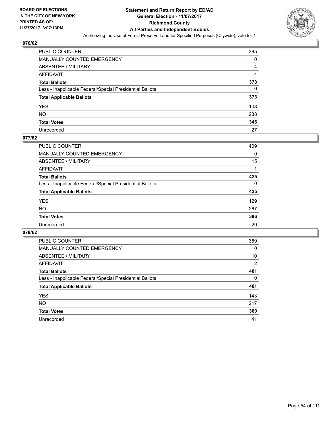

| PUBLIC COUNTER                                           | 365 |
|----------------------------------------------------------|-----|
| MANUALLY COUNTED EMERGENCY                               | 0   |
| ABSENTEE / MILITARY                                      | 4   |
| AFFIDAVIT                                                | 4   |
| Total Ballots                                            | 373 |
| Less - Inapplicable Federal/Special Presidential Ballots | 0   |
| <b>Total Applicable Ballots</b>                          | 373 |
| YES                                                      | 108 |
| NO.                                                      | 238 |
| <b>Total Votes</b>                                       | 346 |
| Unrecorded                                               | 27  |

#### **077/62**

| <b>PUBLIC COUNTER</b>                                    | 409 |
|----------------------------------------------------------|-----|
| <b>MANUALLY COUNTED EMERGENCY</b>                        | 0   |
| ABSENTEE / MILITARY                                      | 15  |
| AFFIDAVIT                                                |     |
| <b>Total Ballots</b>                                     | 425 |
| Less - Inapplicable Federal/Special Presidential Ballots | 0   |
| <b>Total Applicable Ballots</b>                          | 425 |
| <b>YES</b>                                               | 129 |
| <b>NO</b>                                                | 267 |
| <b>Total Votes</b>                                       | 396 |
| Unrecorded                                               | 29  |

| PUBLIC COUNTER                                           | 389            |
|----------------------------------------------------------|----------------|
| MANUALLY COUNTED EMERGENCY                               | 0              |
| ABSENTEE / MILITARY                                      | 10             |
| AFFIDAVIT                                                | $\overline{2}$ |
| <b>Total Ballots</b>                                     | 401            |
| Less - Inapplicable Federal/Special Presidential Ballots | 0              |
| <b>Total Applicable Ballots</b>                          | 401            |
| <b>YES</b>                                               | 143            |
| <b>NO</b>                                                | 217            |
| <b>Total Votes</b>                                       | 360            |
| Unrecorded                                               | 41             |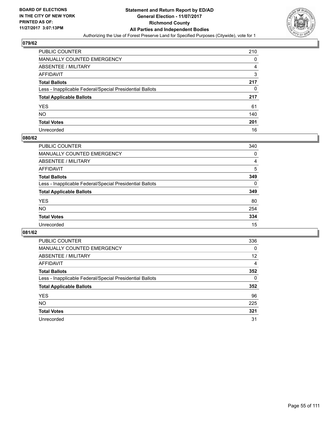

| <b>PUBLIC COUNTER</b>                                    | 210 |
|----------------------------------------------------------|-----|
| MANUALLY COUNTED EMERGENCY                               | 0   |
| <b>ABSENTEE / MILITARY</b>                               | 4   |
| <b>AFFIDAVIT</b>                                         | 3   |
| <b>Total Ballots</b>                                     | 217 |
| Less - Inapplicable Federal/Special Presidential Ballots | 0   |
| <b>Total Applicable Ballots</b>                          | 217 |
| YES                                                      | 61  |
| NO.                                                      | 140 |
| <b>Total Votes</b>                                       | 201 |
| Unrecorded                                               | 16  |

#### **080/62**

| PUBLIC COUNTER                                           | 340      |
|----------------------------------------------------------|----------|
| <b>MANUALLY COUNTED EMERGENCY</b>                        | 0        |
| <b>ABSENTEE / MILITARY</b>                               | 4        |
| AFFIDAVIT                                                | 5        |
| <b>Total Ballots</b>                                     | 349      |
| Less - Inapplicable Federal/Special Presidential Ballots | $\Omega$ |
| <b>Total Applicable Ballots</b>                          | 349      |
| <b>YES</b>                                               | 80       |
| <b>NO</b>                                                | 254      |
| <b>Total Votes</b>                                       | 334      |
| Unrecorded                                               | 15       |

| <b>PUBLIC COUNTER</b>                                    | 336 |
|----------------------------------------------------------|-----|
| MANUALLY COUNTED EMERGENCY                               | 0   |
| ABSENTEE / MILITARY                                      | 12  |
| AFFIDAVIT                                                | 4   |
| <b>Total Ballots</b>                                     | 352 |
| Less - Inapplicable Federal/Special Presidential Ballots | 0   |
| <b>Total Applicable Ballots</b>                          | 352 |
| <b>YES</b>                                               | 96  |
| <b>NO</b>                                                | 225 |
| <b>Total Votes</b>                                       | 321 |
| Unrecorded                                               | 31  |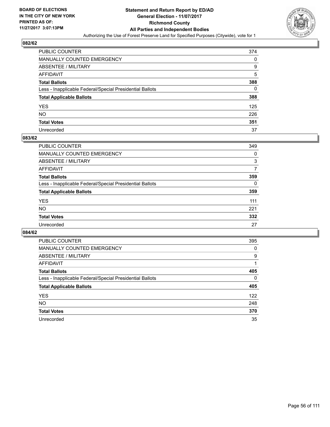

| PUBLIC COUNTER                                           | 374 |
|----------------------------------------------------------|-----|
| MANUALLY COUNTED EMERGENCY                               | 0   |
| <b>ABSENTEE / MILITARY</b>                               | 9   |
| AFFIDAVIT                                                | 5   |
| <b>Total Ballots</b>                                     | 388 |
| Less - Inapplicable Federal/Special Presidential Ballots | 0   |
| <b>Total Applicable Ballots</b>                          | 388 |
| YES                                                      | 125 |
| NO.                                                      | 226 |
| <b>Total Votes</b>                                       | 351 |
| Unrecorded                                               | 37  |

#### **083/62**

| <b>PUBLIC COUNTER</b>                                    | 349 |
|----------------------------------------------------------|-----|
| <b>MANUALLY COUNTED EMERGENCY</b>                        | 0   |
| <b>ABSENTEE / MILITARY</b>                               | 3   |
| AFFIDAVIT                                                | 7   |
| <b>Total Ballots</b>                                     | 359 |
| Less - Inapplicable Federal/Special Presidential Ballots | 0   |
| <b>Total Applicable Ballots</b>                          | 359 |
| <b>YES</b>                                               | 111 |
| <b>NO</b>                                                | 221 |
| <b>Total Votes</b>                                       | 332 |
| Unrecorded                                               | 27  |

| <b>PUBLIC COUNTER</b>                                    | 395 |
|----------------------------------------------------------|-----|
| MANUALLY COUNTED EMERGENCY                               | 0   |
| ABSENTEE / MILITARY                                      | 9   |
| <b>AFFIDAVIT</b>                                         |     |
| <b>Total Ballots</b>                                     | 405 |
| Less - Inapplicable Federal/Special Presidential Ballots | 0   |
| <b>Total Applicable Ballots</b>                          | 405 |
| <b>YES</b>                                               | 122 |
| NO.                                                      | 248 |
| <b>Total Votes</b>                                       | 370 |
| Unrecorded                                               | 35  |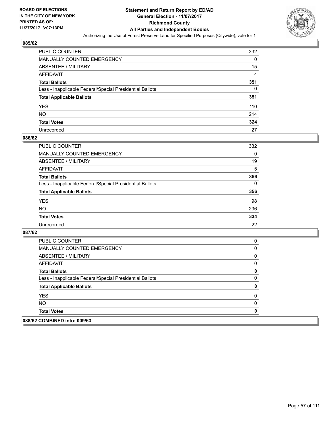

| <b>PUBLIC COUNTER</b>                                    | 332 |
|----------------------------------------------------------|-----|
| MANUALLY COUNTED EMERGENCY                               | 0   |
| <b>ABSENTEE / MILITARY</b>                               | 15  |
| AFFIDAVIT                                                | 4   |
| <b>Total Ballots</b>                                     | 351 |
| Less - Inapplicable Federal/Special Presidential Ballots | 0   |
| <b>Total Applicable Ballots</b>                          | 351 |
| YES                                                      | 110 |
| NO                                                       | 214 |
| <b>Total Votes</b>                                       | 324 |
| Unrecorded                                               | 27  |

#### **086/62**

| <b>PUBLIC COUNTER</b>                                    | 332 |
|----------------------------------------------------------|-----|
| <b>MANUALLY COUNTED EMERGENCY</b>                        | 0   |
| ABSENTEE / MILITARY                                      | 19  |
| AFFIDAVIT                                                | 5   |
| <b>Total Ballots</b>                                     | 356 |
| Less - Inapplicable Federal/Special Presidential Ballots | 0   |
| <b>Total Applicable Ballots</b>                          | 356 |
| <b>YES</b>                                               | 98  |
| <b>NO</b>                                                | 236 |
| <b>Total Votes</b>                                       | 334 |
| Unrecorded                                               | 22  |

| 088/62 COMBINED into: 009/63                             |   |
|----------------------------------------------------------|---|
| <b>Total Votes</b>                                       | 0 |
| NO.                                                      | 0 |
| <b>YES</b>                                               | 0 |
| <b>Total Applicable Ballots</b>                          | 0 |
| Less - Inapplicable Federal/Special Presidential Ballots | 0 |
| <b>Total Ballots</b>                                     | 0 |
| AFFIDAVIT                                                | 0 |
| ABSENTEE / MILITARY                                      | 0 |
| MANUALLY COUNTED EMERGENCY                               | 0 |
| <b>PUBLIC COUNTER</b>                                    | 0 |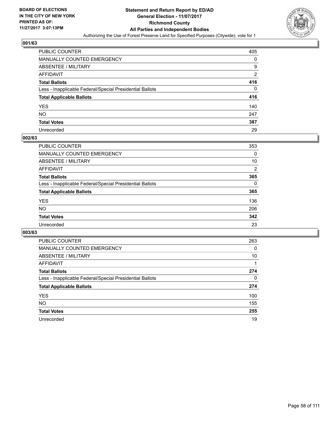

| PUBLIC COUNTER                                           | 405            |
|----------------------------------------------------------|----------------|
| MANUALLY COUNTED EMERGENCY                               | 0              |
| ABSENTEE / MILITARY                                      | 9              |
| AFFIDAVIT                                                | $\overline{2}$ |
| <b>Total Ballots</b>                                     | 416            |
| Less - Inapplicable Federal/Special Presidential Ballots | 0              |
| <b>Total Applicable Ballots</b>                          | 416            |
| YES                                                      | 140            |
| NO.                                                      | 247            |
| <b>Total Votes</b>                                       | 387            |
| Unrecorded                                               | 29             |

#### **002/63**

| PUBLIC COUNTER                                           | 353 |
|----------------------------------------------------------|-----|
| <b>MANUALLY COUNTED EMERGENCY</b>                        | 0   |
| <b>ABSENTEE / MILITARY</b>                               | 10  |
| AFFIDAVIT                                                | 2   |
| <b>Total Ballots</b>                                     | 365 |
| Less - Inapplicable Federal/Special Presidential Ballots | 0   |
| <b>Total Applicable Ballots</b>                          | 365 |
| <b>YES</b>                                               | 136 |
| <b>NO</b>                                                | 206 |
| <b>Total Votes</b>                                       | 342 |
| Unrecorded                                               | 23  |

| <b>PUBLIC COUNTER</b>                                    | 263 |
|----------------------------------------------------------|-----|
| MANUALLY COUNTED EMERGENCY                               | 0   |
| ABSENTEE / MILITARY                                      | 10  |
| AFFIDAVIT                                                |     |
| <b>Total Ballots</b>                                     | 274 |
| Less - Inapplicable Federal/Special Presidential Ballots | 0   |
| <b>Total Applicable Ballots</b>                          | 274 |
| <b>YES</b>                                               | 100 |
| <b>NO</b>                                                | 155 |
| <b>Total Votes</b>                                       | 255 |
| Unrecorded                                               | 19  |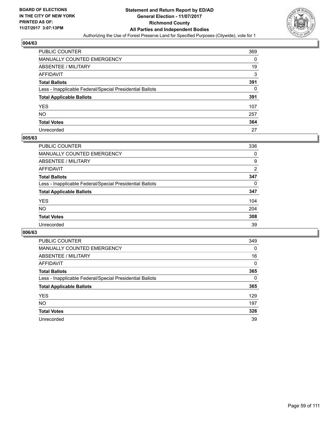

| <b>PUBLIC COUNTER</b>                                    | 369 |
|----------------------------------------------------------|-----|
| MANUALLY COUNTED EMERGENCY                               | 0   |
| <b>ABSENTEE / MILITARY</b>                               | 19  |
| AFFIDAVIT                                                | 3   |
| <b>Total Ballots</b>                                     | 391 |
| Less - Inapplicable Federal/Special Presidential Ballots | 0   |
| <b>Total Applicable Ballots</b>                          | 391 |
| YES                                                      | 107 |
| NO.                                                      | 257 |
| <b>Total Votes</b>                                       | 364 |
| Unrecorded                                               | 27  |

#### **005/63**

| PUBLIC COUNTER                                           | 336 |
|----------------------------------------------------------|-----|
| <b>MANUALLY COUNTED EMERGENCY</b>                        | 0   |
| <b>ABSENTEE / MILITARY</b>                               | 9   |
| <b>AFFIDAVIT</b>                                         | 2   |
| <b>Total Ballots</b>                                     | 347 |
| Less - Inapplicable Federal/Special Presidential Ballots | 0   |
| <b>Total Applicable Ballots</b>                          | 347 |
| <b>YES</b>                                               | 104 |
| <b>NO</b>                                                | 204 |
| <b>Total Votes</b>                                       | 308 |
| Unrecorded                                               | 39  |

| <b>PUBLIC COUNTER</b>                                    | 349      |
|----------------------------------------------------------|----------|
| <b>MANUALLY COUNTED EMERGENCY</b>                        | $\Omega$ |
| ABSENTEE / MILITARY                                      | 16       |
| AFFIDAVIT                                                | $\Omega$ |
| <b>Total Ballots</b>                                     | 365      |
| Less - Inapplicable Federal/Special Presidential Ballots | 0        |
| <b>Total Applicable Ballots</b>                          | 365      |
| <b>YES</b>                                               | 129      |
| NO.                                                      | 197      |
| <b>Total Votes</b>                                       | 326      |
| Unrecorded                                               | 39       |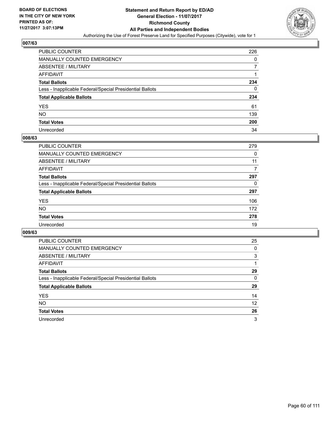

| PUBLIC COUNTER                                           | 226 |
|----------------------------------------------------------|-----|
| MANUALLY COUNTED EMERGENCY                               | 0   |
| ABSENTEE / MILITARY                                      |     |
| AFFIDAVIT                                                |     |
| <b>Total Ballots</b>                                     | 234 |
| Less - Inapplicable Federal/Special Presidential Ballots | 0   |
| <b>Total Applicable Ballots</b>                          | 234 |
| YES                                                      | 61  |
| NO.                                                      | 139 |
| <b>Total Votes</b>                                       | 200 |
| Unrecorded                                               | 34  |

#### **008/63**

| <b>PUBLIC COUNTER</b>                                    | 279 |
|----------------------------------------------------------|-----|
| MANUALLY COUNTED EMERGENCY                               | 0   |
| ABSENTEE / MILITARY                                      | 11  |
| AFFIDAVIT                                                | 7   |
| <b>Total Ballots</b>                                     | 297 |
| Less - Inapplicable Federal/Special Presidential Ballots | 0   |
| <b>Total Applicable Ballots</b>                          | 297 |
| <b>YES</b>                                               | 106 |
| <b>NO</b>                                                | 172 |
| <b>Total Votes</b>                                       | 278 |
| Unrecorded                                               | 19  |

| <b>PUBLIC COUNTER</b>                                    | 25 |
|----------------------------------------------------------|----|
| <b>MANUALLY COUNTED EMERGENCY</b>                        | 0  |
| ABSENTEE / MILITARY                                      | 3  |
| AFFIDAVIT                                                |    |
| <b>Total Ballots</b>                                     | 29 |
| Less - Inapplicable Federal/Special Presidential Ballots | 0  |
| <b>Total Applicable Ballots</b>                          | 29 |
| <b>YES</b>                                               | 14 |
| NO.                                                      | 12 |
| <b>Total Votes</b>                                       | 26 |
| Unrecorded                                               | 3  |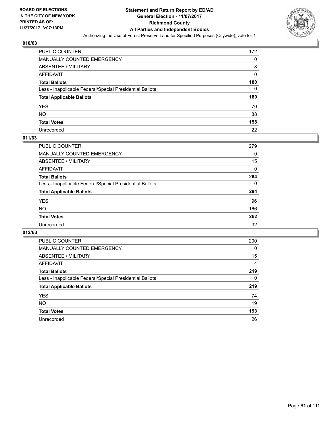

| PUBLIC COUNTER                                           | 172 |
|----------------------------------------------------------|-----|
| MANUALLY COUNTED EMERGENCY                               | 0   |
| ABSENTEE / MILITARY                                      | 8   |
| AFFIDAVIT                                                | 0   |
| <b>Total Ballots</b>                                     | 180 |
| Less - Inapplicable Federal/Special Presidential Ballots | 0   |
| <b>Total Applicable Ballots</b>                          | 180 |
| YES                                                      | 70  |
| NO.                                                      | 88  |
| <b>Total Votes</b>                                       | 158 |
| Unrecorded                                               | 22  |

#### **011/63**

| <b>PUBLIC COUNTER</b>                                    | 279 |
|----------------------------------------------------------|-----|
| <b>MANUALLY COUNTED EMERGENCY</b>                        | 0   |
| ABSENTEE / MILITARY                                      | 15  |
| AFFIDAVIT                                                | 0   |
| <b>Total Ballots</b>                                     | 294 |
| Less - Inapplicable Federal/Special Presidential Ballots | 0   |
| <b>Total Applicable Ballots</b>                          | 294 |
| <b>YES</b>                                               | 96  |
| <b>NO</b>                                                | 166 |
| <b>Total Votes</b>                                       | 262 |
| Unrecorded                                               | 32  |

| <b>PUBLIC COUNTER</b>                                    | 200      |
|----------------------------------------------------------|----------|
| MANUALLY COUNTED EMERGENCY                               | $\Omega$ |
| ABSENTEE / MILITARY                                      | 15       |
| AFFIDAVIT                                                | 4        |
| <b>Total Ballots</b>                                     | 219      |
| Less - Inapplicable Federal/Special Presidential Ballots | 0        |
| <b>Total Applicable Ballots</b>                          | 219      |
| <b>YES</b>                                               | 74       |
| NO.                                                      | 119      |
| <b>Total Votes</b>                                       | 193      |
| Unrecorded                                               | 26       |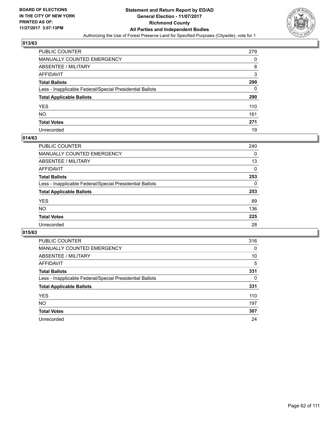

| PUBLIC COUNTER                                           | 279 |
|----------------------------------------------------------|-----|
| <b>MANUALLY COUNTED EMERGENCY</b>                        | 0   |
| ABSENTEE / MILITARY                                      | 8   |
| AFFIDAVIT                                                | 3   |
| <b>Total Ballots</b>                                     | 290 |
| Less - Inapplicable Federal/Special Presidential Ballots | 0   |
| <b>Total Applicable Ballots</b>                          | 290 |
| YES                                                      | 110 |
| NΟ                                                       | 161 |
| <b>Total Votes</b>                                       | 271 |
| Unrecorded                                               | 19  |

#### **014/63**

| PUBLIC COUNTER                                           | 240 |
|----------------------------------------------------------|-----|
| <b>MANUALLY COUNTED EMERGENCY</b>                        | 0   |
| ABSENTEE / MILITARY                                      | 13  |
| AFFIDAVIT                                                | 0   |
| <b>Total Ballots</b>                                     | 253 |
| Less - Inapplicable Federal/Special Presidential Ballots | 0   |
| <b>Total Applicable Ballots</b>                          | 253 |
| <b>YES</b>                                               | 89  |
| <b>NO</b>                                                | 136 |
| <b>Total Votes</b>                                       | 225 |
| Unrecorded                                               | 28  |

| <b>PUBLIC COUNTER</b>                                    | 316 |
|----------------------------------------------------------|-----|
| MANUALLY COUNTED EMERGENCY                               | 0   |
| ABSENTEE / MILITARY                                      | 10  |
| AFFIDAVIT                                                | 5   |
| <b>Total Ballots</b>                                     | 331 |
| Less - Inapplicable Federal/Special Presidential Ballots | 0   |
| <b>Total Applicable Ballots</b>                          | 331 |
| <b>YES</b>                                               | 110 |
| <b>NO</b>                                                | 197 |
| <b>Total Votes</b>                                       | 307 |
| Unrecorded                                               | 24  |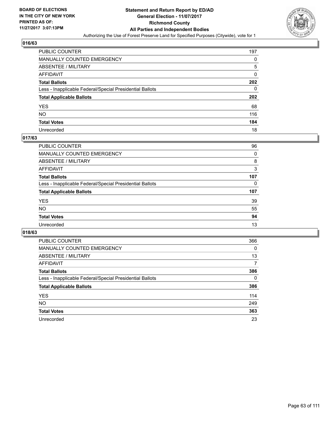

| <b>PUBLIC COUNTER</b>                                    | 197 |
|----------------------------------------------------------|-----|
| MANUALLY COUNTED EMERGENCY                               | 0   |
| <b>ABSENTEE / MILITARY</b>                               | 5   |
| AFFIDAVIT                                                | 0   |
| <b>Total Ballots</b>                                     | 202 |
| Less - Inapplicable Federal/Special Presidential Ballots | 0   |
| <b>Total Applicable Ballots</b>                          | 202 |
| YES                                                      | 68  |
| NO.                                                      | 116 |
| <b>Total Votes</b>                                       | 184 |
| Unrecorded                                               | 18  |

# **017/63**

| <b>PUBLIC COUNTER</b>                                    | 96  |
|----------------------------------------------------------|-----|
| <b>MANUALLY COUNTED EMERGENCY</b>                        | 0   |
| ABSENTEE / MILITARY                                      | 8   |
| AFFIDAVIT                                                | 3   |
| <b>Total Ballots</b>                                     | 107 |
| Less - Inapplicable Federal/Special Presidential Ballots | 0   |
| <b>Total Applicable Ballots</b>                          | 107 |
| <b>YES</b>                                               | 39  |
| <b>NO</b>                                                | 55  |
| <b>Total Votes</b>                                       | 94  |
| Unrecorded                                               | 13  |

| <b>PUBLIC COUNTER</b>                                    | 366      |
|----------------------------------------------------------|----------|
| MANUALLY COUNTED EMERGENCY                               | $\Omega$ |
| ABSENTEE / MILITARY                                      | 13       |
| AFFIDAVIT                                                | 7        |
| <b>Total Ballots</b>                                     | 386      |
| Less - Inapplicable Federal/Special Presidential Ballots | 0        |
| <b>Total Applicable Ballots</b>                          | 386      |
| <b>YES</b>                                               | 114      |
| <b>NO</b>                                                | 249      |
| <b>Total Votes</b>                                       | 363      |
| Unrecorded                                               | 23       |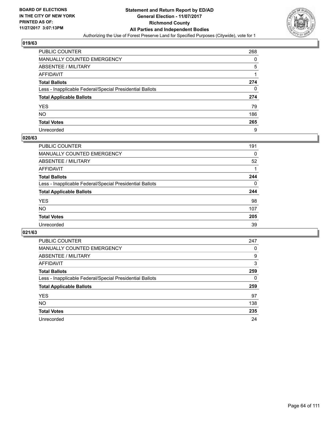

| PUBLIC COUNTER                                           | 268 |
|----------------------------------------------------------|-----|
| <b>MANUALLY COUNTED EMERGENCY</b>                        | 0   |
| ABSENTEE / MILITARY                                      | 5   |
| AFFIDAVIT                                                |     |
| <b>Total Ballots</b>                                     | 274 |
| Less - Inapplicable Federal/Special Presidential Ballots | 0   |
| <b>Total Applicable Ballots</b>                          | 274 |
| YES                                                      | 79  |
| NO.                                                      | 186 |
| <b>Total Votes</b>                                       | 265 |
| Unrecorded                                               | 9   |

#### **020/63**

| PUBLIC COUNTER                                           | 191 |
|----------------------------------------------------------|-----|
| <b>MANUALLY COUNTED EMERGENCY</b>                        | 0   |
| <b>ABSENTEE / MILITARY</b>                               | 52  |
| AFFIDAVIT                                                |     |
| <b>Total Ballots</b>                                     | 244 |
| Less - Inapplicable Federal/Special Presidential Ballots | 0   |
| <b>Total Applicable Ballots</b>                          | 244 |
| <b>YES</b>                                               | 98  |
| <b>NO</b>                                                | 107 |
| <b>Total Votes</b>                                       | 205 |
| Unrecorded                                               | 39  |

| <b>PUBLIC COUNTER</b>                                    | 247 |
|----------------------------------------------------------|-----|
| MANUALLY COUNTED EMERGENCY                               | 0   |
| ABSENTEE / MILITARY                                      | 9   |
| AFFIDAVIT                                                | 3   |
| <b>Total Ballots</b>                                     | 259 |
| Less - Inapplicable Federal/Special Presidential Ballots | 0   |
| <b>Total Applicable Ballots</b>                          | 259 |
| <b>YES</b>                                               | 97  |
| <b>NO</b>                                                | 138 |
| <b>Total Votes</b>                                       | 235 |
| Unrecorded                                               |     |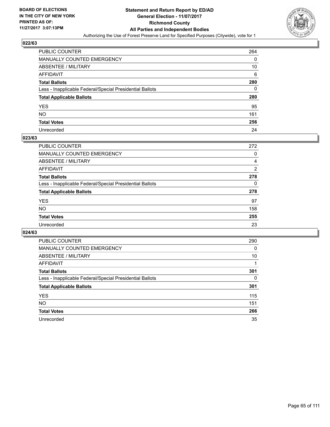

| PUBLIC COUNTER                                           | 264 |
|----------------------------------------------------------|-----|
| <b>MANUALLY COUNTED EMERGENCY</b>                        | 0   |
| ABSENTEE / MILITARY                                      | 10  |
| AFFIDAVIT                                                | 6   |
| <b>Total Ballots</b>                                     | 280 |
| Less - Inapplicable Federal/Special Presidential Ballots | 0   |
| <b>Total Applicable Ballots</b>                          | 280 |
| YES                                                      | 95  |
| NO.                                                      | 161 |
| <b>Total Votes</b>                                       | 256 |
| Unrecorded                                               | 24  |

#### **023/63**

| <b>PUBLIC COUNTER</b>                                    | 272            |
|----------------------------------------------------------|----------------|
| <b>MANUALLY COUNTED EMERGENCY</b>                        | 0              |
| ABSENTEE / MILITARY                                      | 4              |
| AFFIDAVIT                                                | $\overline{2}$ |
| <b>Total Ballots</b>                                     | 278            |
| Less - Inapplicable Federal/Special Presidential Ballots | 0              |
| <b>Total Applicable Ballots</b>                          | 278            |
| <b>YES</b>                                               | 97             |
| <b>NO</b>                                                | 158            |
| <b>Total Votes</b>                                       | 255            |
| Unrecorded                                               | 23             |

| <b>PUBLIC COUNTER</b>                                    | 290 |
|----------------------------------------------------------|-----|
| <b>MANUALLY COUNTED EMERGENCY</b>                        | 0   |
| ABSENTEE / MILITARY                                      | 10  |
| AFFIDAVIT                                                |     |
| <b>Total Ballots</b>                                     | 301 |
| Less - Inapplicable Federal/Special Presidential Ballots | 0   |
| <b>Total Applicable Ballots</b>                          | 301 |
| <b>YES</b>                                               | 115 |
| NO.                                                      | 151 |
| <b>Total Votes</b>                                       | 266 |
| Unrecorded                                               | 35  |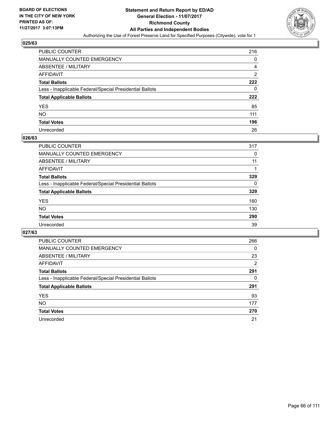

| PUBLIC COUNTER                                           | 216            |
|----------------------------------------------------------|----------------|
| <b>MANUALLY COUNTED EMERGENCY</b>                        | 0              |
| ABSENTEE / MILITARY                                      | 4              |
| AFFIDAVIT                                                | $\overline{2}$ |
| <b>Total Ballots</b>                                     | 222            |
| Less - Inapplicable Federal/Special Presidential Ballots | 0              |
| <b>Total Applicable Ballots</b>                          | 222            |
| YES                                                      | 85             |
| NO.                                                      | 111            |
| <b>Total Votes</b>                                       | 196            |
| Unrecorded                                               | 26             |

#### **026/63**

| <b>PUBLIC COUNTER</b>                                    | 317      |
|----------------------------------------------------------|----------|
| <b>MANUALLY COUNTED EMERGENCY</b>                        | 0        |
| <b>ABSENTEE / MILITARY</b>                               | 11       |
| AFFIDAVIT                                                |          |
| <b>Total Ballots</b>                                     | 329      |
| Less - Inapplicable Federal/Special Presidential Ballots | $\Omega$ |
| <b>Total Applicable Ballots</b>                          | 329      |
| <b>YES</b>                                               | 160      |
| NO                                                       | 130      |
| <b>Total Votes</b>                                       | 290      |
| Unrecorded                                               | 39       |

| <b>PUBLIC COUNTER</b>                                    | 266 |
|----------------------------------------------------------|-----|
| <b>MANUALLY COUNTED EMERGENCY</b>                        | 0   |
| ABSENTEE / MILITARY                                      | 23  |
| AFFIDAVIT                                                | 2   |
| <b>Total Ballots</b>                                     | 291 |
| Less - Inapplicable Federal/Special Presidential Ballots | 0   |
| <b>Total Applicable Ballots</b>                          | 291 |
| <b>YES</b>                                               | 93  |
| <b>NO</b>                                                | 177 |
| <b>Total Votes</b>                                       | 270 |
| Unrecorded                                               | 21  |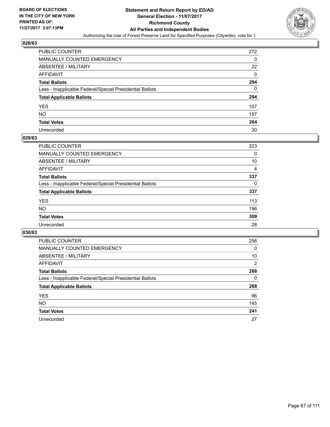

| PUBLIC COUNTER                                           | 272 |
|----------------------------------------------------------|-----|
| <b>MANUALLY COUNTED EMERGENCY</b>                        | 0   |
| ABSENTEE / MILITARY                                      | 22  |
| AFFIDAVIT                                                | 0   |
| <b>Total Ballots</b>                                     | 294 |
| Less - Inapplicable Federal/Special Presidential Ballots | 0   |
| <b>Total Applicable Ballots</b>                          | 294 |
| YES                                                      | 107 |
| NO.                                                      | 157 |
| <b>Total Votes</b>                                       | 264 |
| Unrecorded                                               | 30  |

#### **029/63**

| <b>PUBLIC COUNTER</b>                                    | 323      |
|----------------------------------------------------------|----------|
| <b>MANUALLY COUNTED EMERGENCY</b>                        | 0        |
| <b>ABSENTEE / MILITARY</b>                               | 10       |
| AFFIDAVIT                                                | 4        |
| <b>Total Ballots</b>                                     | 337      |
| Less - Inapplicable Federal/Special Presidential Ballots | $\Omega$ |
| <b>Total Applicable Ballots</b>                          | 337      |
| <b>YES</b>                                               | 113      |
| NO.                                                      | 196      |
| <b>Total Votes</b>                                       | 309      |
| Unrecorded                                               | 28       |

| <b>PUBLIC COUNTER</b>                                    | 256 |
|----------------------------------------------------------|-----|
| MANUALLY COUNTED EMERGENCY                               | 0   |
| ABSENTEE / MILITARY                                      | 10  |
| AFFIDAVIT                                                | 2   |
| <b>Total Ballots</b>                                     | 268 |
| Less - Inapplicable Federal/Special Presidential Ballots | 0   |
| <b>Total Applicable Ballots</b>                          | 268 |
| <b>YES</b>                                               | 96  |
| <b>NO</b>                                                | 145 |
| <b>Total Votes</b>                                       | 241 |
| Unrecorded                                               | 27  |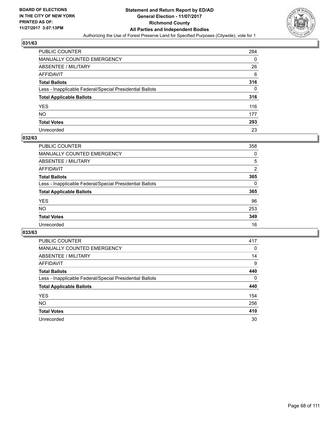

| <b>PUBLIC COUNTER</b>                                    | 284 |
|----------------------------------------------------------|-----|
| MANUALLY COUNTED EMERGENCY                               | 0   |
| <b>ABSENTEE / MILITARY</b>                               | 26  |
| AFFIDAVIT                                                | 6   |
| <b>Total Ballots</b>                                     | 316 |
| Less - Inapplicable Federal/Special Presidential Ballots | 0   |
| <b>Total Applicable Ballots</b>                          | 316 |
| YES                                                      | 116 |
| NΟ                                                       | 177 |
| <b>Total Votes</b>                                       | 293 |
| Unrecorded                                               | 23  |

#### **032/63**

| <b>PUBLIC COUNTER</b>                                    | 358 |
|----------------------------------------------------------|-----|
| <b>MANUALLY COUNTED EMERGENCY</b>                        | 0   |
| ABSENTEE / MILITARY                                      | 5   |
| AFFIDAVIT                                                | 2   |
| <b>Total Ballots</b>                                     | 365 |
| Less - Inapplicable Federal/Special Presidential Ballots | 0   |
| <b>Total Applicable Ballots</b>                          | 365 |
| <b>YES</b>                                               | 96  |
| <b>NO</b>                                                | 253 |
| <b>Total Votes</b>                                       | 349 |
| Unrecorded                                               | 16  |

| <b>PUBLIC COUNTER</b>                                    | 417 |
|----------------------------------------------------------|-----|
| MANUALLY COUNTED EMERGENCY                               | 0   |
| ABSENTEE / MILITARY                                      | 14  |
| AFFIDAVIT                                                | 9   |
| <b>Total Ballots</b>                                     | 440 |
| Less - Inapplicable Federal/Special Presidential Ballots | 0   |
| <b>Total Applicable Ballots</b>                          | 440 |
| <b>YES</b>                                               | 154 |
| NO.                                                      | 256 |
| <b>Total Votes</b>                                       | 410 |
| Unrecorded                                               | 30  |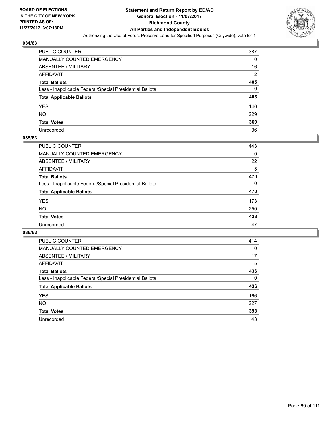

| <b>PUBLIC COUNTER</b>                                    | 387            |
|----------------------------------------------------------|----------------|
| MANUALLY COUNTED EMERGENCY                               | 0              |
| <b>ABSENTEE / MILITARY</b>                               | 16             |
| AFFIDAVIT                                                | $\overline{2}$ |
| <b>Total Ballots</b>                                     | 405            |
| Less - Inapplicable Federal/Special Presidential Ballots | 0              |
| <b>Total Applicable Ballots</b>                          | 405            |
| YES                                                      | 140            |
| NO.                                                      | 229            |
| <b>Total Votes</b>                                       | 369            |
| Unrecorded                                               | 36             |

#### **035/63**

| <b>PUBLIC COUNTER</b>                                    | 443      |
|----------------------------------------------------------|----------|
| <b>MANUALLY COUNTED EMERGENCY</b>                        | 0        |
| ABSENTEE / MILITARY                                      | 22       |
| AFFIDAVIT                                                | 5        |
| <b>Total Ballots</b>                                     | 470      |
| Less - Inapplicable Federal/Special Presidential Ballots | $\Omega$ |
| <b>Total Applicable Ballots</b>                          | 470      |
| <b>YES</b>                                               | 173      |
| <b>NO</b>                                                | 250      |
| <b>Total Votes</b>                                       | 423      |
| Unrecorded                                               | 47       |

| <b>PUBLIC COUNTER</b>                                    | 414 |
|----------------------------------------------------------|-----|
| <b>MANUALLY COUNTED EMERGENCY</b>                        | 0   |
| ABSENTEE / MILITARY                                      | 17  |
| AFFIDAVIT                                                | 5   |
| <b>Total Ballots</b>                                     | 436 |
| Less - Inapplicable Federal/Special Presidential Ballots | 0   |
| <b>Total Applicable Ballots</b>                          | 436 |
| <b>YES</b>                                               | 166 |
| <b>NO</b>                                                | 227 |
| <b>Total Votes</b>                                       | 393 |
| Unrecorded                                               | 43  |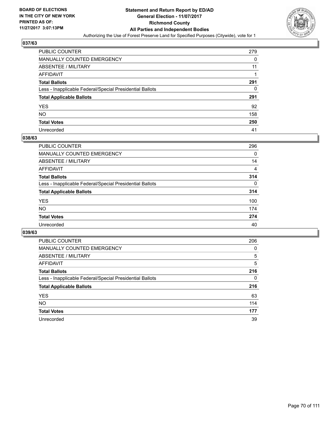

| PUBLIC COUNTER                                           | 279 |
|----------------------------------------------------------|-----|
| <b>MANUALLY COUNTED EMERGENCY</b>                        | 0   |
| <b>ABSENTEE / MILITARY</b>                               | 11  |
| <b>AFFIDAVIT</b>                                         |     |
| <b>Total Ballots</b>                                     | 291 |
| Less - Inapplicable Federal/Special Presidential Ballots | 0   |
| <b>Total Applicable Ballots</b>                          | 291 |
| <b>YES</b>                                               | 92  |
| <b>NO</b>                                                | 158 |
| <b>Total Votes</b>                                       | 250 |
| Unrecorded                                               | 41  |

#### **038/63**

| <b>PUBLIC COUNTER</b>                                    | 296      |
|----------------------------------------------------------|----------|
| <b>MANUALLY COUNTED EMERGENCY</b>                        | 0        |
| ABSENTEE / MILITARY                                      | 14       |
| AFFIDAVIT                                                | 4        |
| <b>Total Ballots</b>                                     | 314      |
| Less - Inapplicable Federal/Special Presidential Ballots | $\Omega$ |
| <b>Total Applicable Ballots</b>                          | 314      |
| <b>YES</b>                                               | 100      |
| <b>NO</b>                                                | 174      |
| <b>Total Votes</b>                                       | 274      |
| Unrecorded                                               | 40       |

| <b>PUBLIC COUNTER</b>                                    | 206 |
|----------------------------------------------------------|-----|
| <b>MANUALLY COUNTED EMERGENCY</b>                        | 0   |
| ABSENTEE / MILITARY                                      | 5   |
| AFFIDAVIT                                                | 5   |
| <b>Total Ballots</b>                                     | 216 |
| Less - Inapplicable Federal/Special Presidential Ballots | 0   |
| <b>Total Applicable Ballots</b>                          | 216 |
| <b>YES</b>                                               | 63  |
| <b>NO</b>                                                | 114 |
| <b>Total Votes</b>                                       | 177 |
| Unrecorded                                               | 39  |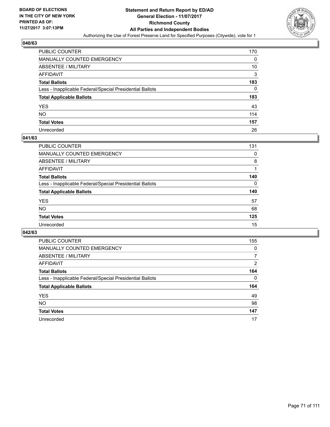

| <b>PUBLIC COUNTER</b>                                    | 170 |
|----------------------------------------------------------|-----|
| <b>MANUALLY COUNTED EMERGENCY</b>                        | 0   |
| ABSENTEE / MILITARY                                      | 10  |
| <b>AFFIDAVIT</b>                                         | 3   |
| <b>Total Ballots</b>                                     | 183 |
| Less - Inapplicable Federal/Special Presidential Ballots | 0   |
| <b>Total Applicable Ballots</b>                          | 183 |
| <b>YES</b>                                               | 43  |
| NO.                                                      | 114 |
| <b>Total Votes</b>                                       | 157 |
| Unrecorded                                               | 26  |

#### **041/63**

| <b>PUBLIC COUNTER</b>                                    | 131 |
|----------------------------------------------------------|-----|
| <b>MANUALLY COUNTED EMERGENCY</b>                        | 0   |
| ABSENTEE / MILITARY                                      | 8   |
| AFFIDAVIT                                                |     |
| <b>Total Ballots</b>                                     | 140 |
| Less - Inapplicable Federal/Special Presidential Ballots | 0   |
| <b>Total Applicable Ballots</b>                          | 140 |
| <b>YES</b>                                               | 57  |
| <b>NO</b>                                                | 68  |
| <b>Total Votes</b>                                       | 125 |
| Unrecorded                                               | 15  |

| <b>PUBLIC COUNTER</b>                                    | 155 |
|----------------------------------------------------------|-----|
| <b>MANUALLY COUNTED EMERGENCY</b>                        | 0   |
| ABSENTEE / MILITARY                                      | 7   |
| AFFIDAVIT                                                | 2   |
| <b>Total Ballots</b>                                     | 164 |
| Less - Inapplicable Federal/Special Presidential Ballots | 0   |
| <b>Total Applicable Ballots</b>                          | 164 |
| <b>YES</b>                                               | 49  |
| <b>NO</b>                                                | 98  |
| <b>Total Votes</b>                                       | 147 |
| Unrecorded                                               | 17  |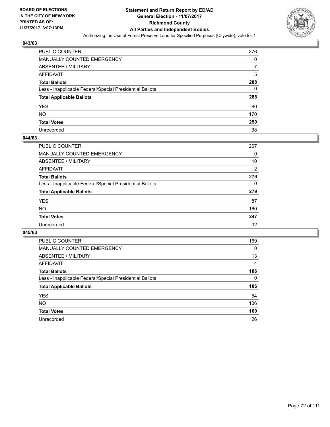

| <b>PUBLIC COUNTER</b>                                    | 276 |
|----------------------------------------------------------|-----|
| MANUALLY COUNTED EMERGENCY                               | 0   |
| <b>ABSENTEE / MILITARY</b>                               |     |
| AFFIDAVIT                                                | 5   |
| <b>Total Ballots</b>                                     | 288 |
| Less - Inapplicable Federal/Special Presidential Ballots | 0   |
| <b>Total Applicable Ballots</b>                          | 288 |
| YES                                                      | 80  |
| NO.                                                      | 170 |
| <b>Total Votes</b>                                       | 250 |
| Unrecorded                                               | 38  |

#### **044/63**

| <b>PUBLIC COUNTER</b>                                    | 267 |
|----------------------------------------------------------|-----|
| MANUALLY COUNTED EMERGENCY                               | 0   |
| ABSENTEE / MILITARY                                      | 10  |
| AFFIDAVIT                                                | 2   |
| <b>Total Ballots</b>                                     | 279 |
| Less - Inapplicable Federal/Special Presidential Ballots | 0   |
| <b>Total Applicable Ballots</b>                          | 279 |
| <b>YES</b>                                               | 87  |
| <b>NO</b>                                                | 160 |
| <b>Total Votes</b>                                       | 247 |
| Unrecorded                                               | 32  |

| <b>PUBLIC COUNTER</b>                                    | 169      |
|----------------------------------------------------------|----------|
| MANUALLY COUNTED EMERGENCY                               | $\Omega$ |
| ABSENTEE / MILITARY                                      | 13       |
| AFFIDAVIT                                                | 4        |
| <b>Total Ballots</b>                                     | 186      |
| Less - Inapplicable Federal/Special Presidential Ballots | 0        |
| <b>Total Applicable Ballots</b>                          | 186      |
| <b>YES</b>                                               | 54       |
| NO.                                                      | 106      |
| <b>Total Votes</b>                                       | 160      |
| Unrecorded                                               | 26       |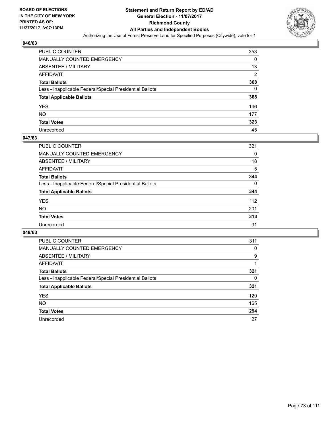

| <b>PUBLIC COUNTER</b>                                    | 353            |
|----------------------------------------------------------|----------------|
| MANUALLY COUNTED EMERGENCY                               | 0              |
| <b>ABSENTEE / MILITARY</b>                               | 13             |
| AFFIDAVIT                                                | $\overline{2}$ |
| <b>Total Ballots</b>                                     | 368            |
| Less - Inapplicable Federal/Special Presidential Ballots | 0              |
| <b>Total Applicable Ballots</b>                          | 368            |
| YES                                                      | 146            |
| NO.                                                      | 177            |
| <b>Total Votes</b>                                       | 323            |
| Unrecorded                                               | 45             |

#### **047/63**

| PUBLIC COUNTER                                           | 321      |
|----------------------------------------------------------|----------|
| <b>MANUALLY COUNTED EMERGENCY</b>                        | 0        |
| <b>ABSENTEE / MILITARY</b>                               | 18       |
| <b>AFFIDAVIT</b>                                         | 5        |
| <b>Total Ballots</b>                                     | 344      |
| Less - Inapplicable Federal/Special Presidential Ballots | $\Omega$ |
| <b>Total Applicable Ballots</b>                          | 344      |
| <b>YES</b>                                               | 112      |
| <b>NO</b>                                                | 201      |
| <b>Total Votes</b>                                       | 313      |
| Unrecorded                                               | 31       |

| <b>PUBLIC COUNTER</b>                                    | 311 |
|----------------------------------------------------------|-----|
| <b>MANUALLY COUNTED EMERGENCY</b>                        | 0   |
| ABSENTEE / MILITARY                                      | 9   |
| AFFIDAVIT                                                |     |
| <b>Total Ballots</b>                                     | 321 |
| Less - Inapplicable Federal/Special Presidential Ballots | 0   |
| <b>Total Applicable Ballots</b>                          | 321 |
| <b>YES</b>                                               | 129 |
| <b>NO</b>                                                | 165 |
| <b>Total Votes</b>                                       | 294 |
| Unrecorded                                               | 27  |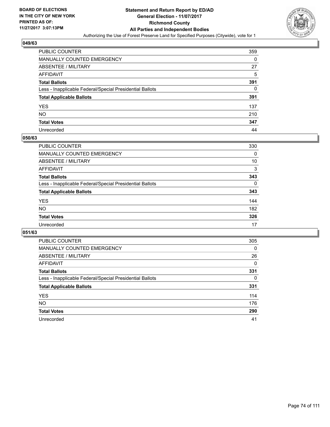

| <b>PUBLIC COUNTER</b>                                    | 359 |
|----------------------------------------------------------|-----|
| MANUALLY COUNTED EMERGENCY                               | 0   |
| <b>ABSENTEE / MILITARY</b>                               | 27  |
| AFFIDAVIT                                                | 5   |
| <b>Total Ballots</b>                                     | 391 |
| Less - Inapplicable Federal/Special Presidential Ballots | 0   |
| <b>Total Applicable Ballots</b>                          | 391 |
| YES                                                      | 137 |
| NO.                                                      | 210 |
| <b>Total Votes</b>                                       | 347 |
| Unrecorded                                               | 44  |

#### **050/63**

| PUBLIC COUNTER                                           | 330      |
|----------------------------------------------------------|----------|
| <b>MANUALLY COUNTED EMERGENCY</b>                        | 0        |
| <b>ABSENTEE / MILITARY</b>                               | 10       |
| <b>AFFIDAVIT</b>                                         | 3        |
| <b>Total Ballots</b>                                     | 343      |
| Less - Inapplicable Federal/Special Presidential Ballots | $\Omega$ |
| <b>Total Applicable Ballots</b>                          | 343      |
| <b>YES</b>                                               | 144      |
| <b>NO</b>                                                | 182      |
| <b>Total Votes</b>                                       | 326      |
| Unrecorded                                               | 17       |

| <b>PUBLIC COUNTER</b>                                    | 305      |
|----------------------------------------------------------|----------|
| <b>MANUALLY COUNTED EMERGENCY</b>                        | $\Omega$ |
| ABSENTEE / MILITARY                                      | 26       |
| AFFIDAVIT                                                | 0        |
| <b>Total Ballots</b>                                     | 331      |
| Less - Inapplicable Federal/Special Presidential Ballots | 0        |
| <b>Total Applicable Ballots</b>                          | 331      |
| <b>YES</b>                                               | 114      |
| <b>NO</b>                                                | 176      |
| <b>Total Votes</b>                                       | 290      |
| Unrecorded                                               | 41       |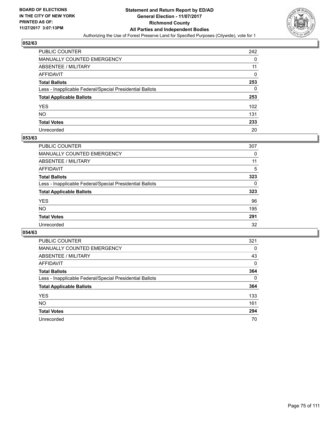

| <b>PUBLIC COUNTER</b>                                    | 242 |
|----------------------------------------------------------|-----|
| MANUALLY COUNTED EMERGENCY                               | 0   |
| <b>ABSENTEE / MILITARY</b>                               | 11  |
| AFFIDAVIT                                                | 0   |
| <b>Total Ballots</b>                                     | 253 |
| Less - Inapplicable Federal/Special Presidential Ballots | 0   |
| <b>Total Applicable Ballots</b>                          | 253 |
| YES                                                      | 102 |
| NO.                                                      | 131 |
| <b>Total Votes</b>                                       | 233 |
| Unrecorded                                               | 20  |

#### **053/63**

| <b>PUBLIC COUNTER</b>                                    | 307 |
|----------------------------------------------------------|-----|
| <b>MANUALLY COUNTED EMERGENCY</b>                        | 0   |
| ABSENTEE / MILITARY                                      | 11  |
| AFFIDAVIT                                                | 5   |
| <b>Total Ballots</b>                                     | 323 |
| Less - Inapplicable Federal/Special Presidential Ballots | 0   |
| <b>Total Applicable Ballots</b>                          | 323 |
| <b>YES</b>                                               | 96  |
| <b>NO</b>                                                | 195 |
| <b>Total Votes</b>                                       | 291 |
| Unrecorded                                               | 32  |

| <b>PUBLIC COUNTER</b>                                    | 321          |
|----------------------------------------------------------|--------------|
| MANUALLY COUNTED EMERGENCY                               | 0            |
| ABSENTEE / MILITARY                                      | 43           |
| AFFIDAVIT                                                | $\mathbf{0}$ |
| <b>Total Ballots</b>                                     | 364          |
| Less - Inapplicable Federal/Special Presidential Ballots | 0            |
| <b>Total Applicable Ballots</b>                          | 364          |
| <b>YES</b>                                               | 133          |
| <b>NO</b>                                                | 161          |
| <b>Total Votes</b>                                       | 294          |
| Unrecorded                                               | 70           |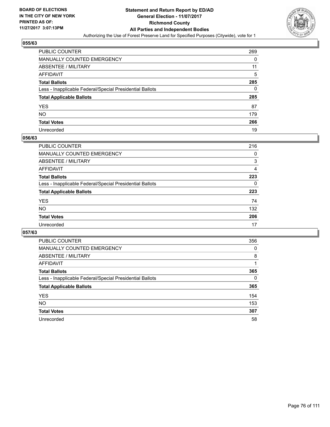

| <b>PUBLIC COUNTER</b>                                    | 269 |
|----------------------------------------------------------|-----|
| MANUALLY COUNTED EMERGENCY                               | 0   |
| ABSENTEE / MILITARY                                      | 11  |
| AFFIDAVIT                                                | 5   |
| <b>Total Ballots</b>                                     | 285 |
| Less - Inapplicable Federal/Special Presidential Ballots | 0   |
| <b>Total Applicable Ballots</b>                          | 285 |
| YES                                                      | 87  |
| NO.                                                      | 179 |
| <b>Total Votes</b>                                       | 266 |
| Unrecorded                                               | 19  |

#### **056/63**

| PUBLIC COUNTER                                           | 216 |
|----------------------------------------------------------|-----|
| <b>MANUALLY COUNTED EMERGENCY</b>                        | 0   |
| <b>ABSENTEE / MILITARY</b>                               | 3   |
| AFFIDAVIT                                                | 4   |
| <b>Total Ballots</b>                                     | 223 |
| Less - Inapplicable Federal/Special Presidential Ballots | 0   |
| <b>Total Applicable Ballots</b>                          | 223 |
| <b>YES</b>                                               | 74  |
| <b>NO</b>                                                | 132 |
| <b>Total Votes</b>                                       | 206 |
| Unrecorded                                               | 17  |

| <b>PUBLIC COUNTER</b>                                    | 356 |
|----------------------------------------------------------|-----|
| MANUALLY COUNTED EMERGENCY                               | 0   |
| ABSENTEE / MILITARY                                      | 8   |
| AFFIDAVIT                                                |     |
| <b>Total Ballots</b>                                     | 365 |
| Less - Inapplicable Federal/Special Presidential Ballots | 0   |
| <b>Total Applicable Ballots</b>                          | 365 |
| <b>YES</b>                                               | 154 |
| <b>NO</b>                                                | 153 |
| <b>Total Votes</b>                                       | 307 |
| Unrecorded                                               | 58  |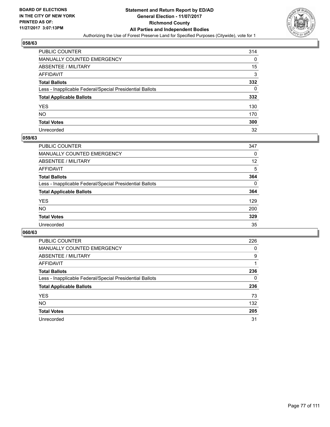

| <b>PUBLIC COUNTER</b>                                    | 314 |
|----------------------------------------------------------|-----|
| MANUALLY COUNTED EMERGENCY                               | 0   |
| <b>ABSENTEE / MILITARY</b>                               | 15  |
| AFFIDAVIT                                                | 3   |
| <b>Total Ballots</b>                                     | 332 |
| Less - Inapplicable Federal/Special Presidential Ballots | 0   |
| <b>Total Applicable Ballots</b>                          | 332 |
| YES                                                      | 130 |
| NO.                                                      | 170 |
| <b>Total Votes</b>                                       | 300 |
| Unrecorded                                               | 32  |

#### **059/63**

| <b>PUBLIC COUNTER</b>                                    | 347 |
|----------------------------------------------------------|-----|
| <b>MANUALLY COUNTED EMERGENCY</b>                        | 0   |
| <b>ABSENTEE / MILITARY</b>                               | 12  |
| AFFIDAVIT                                                | 5   |
| <b>Total Ballots</b>                                     | 364 |
| Less - Inapplicable Federal/Special Presidential Ballots | 0   |
| <b>Total Applicable Ballots</b>                          | 364 |
| <b>YES</b>                                               | 129 |
| <b>NO</b>                                                | 200 |
| <b>Total Votes</b>                                       | 329 |
| Unrecorded                                               | 35  |

| <b>PUBLIC COUNTER</b>                                    | 226 |
|----------------------------------------------------------|-----|
| <b>MANUALLY COUNTED EMERGENCY</b>                        | 0   |
| ABSENTEE / MILITARY                                      | 9   |
| AFFIDAVIT                                                |     |
| <b>Total Ballots</b>                                     | 236 |
| Less - Inapplicable Federal/Special Presidential Ballots | 0   |
| <b>Total Applicable Ballots</b>                          | 236 |
| <b>YES</b>                                               | 73  |
| <b>NO</b>                                                | 132 |
| <b>Total Votes</b>                                       | 205 |
| Unrecorded                                               | 31  |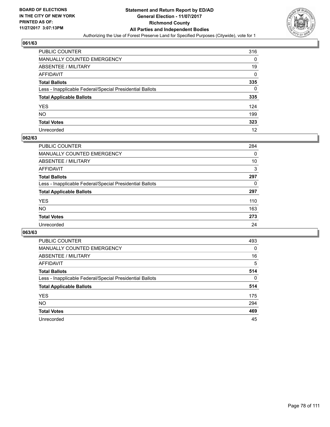

| PUBLIC COUNTER                                           | 316 |
|----------------------------------------------------------|-----|
| MANUALLY COUNTED EMERGENCY                               | 0   |
| ABSENTEE / MILITARY                                      | 19  |
| AFFIDAVIT                                                | 0   |
| <b>Total Ballots</b>                                     | 335 |
| Less - Inapplicable Federal/Special Presidential Ballots | 0   |
| <b>Total Applicable Ballots</b>                          | 335 |
| YES                                                      | 124 |
| NO.                                                      | 199 |
| <b>Total Votes</b>                                       | 323 |
| Unrecorded                                               | 12  |

#### **062/63**

| <b>PUBLIC COUNTER</b>                                    | 284 |
|----------------------------------------------------------|-----|
| <b>MANUALLY COUNTED EMERGENCY</b>                        | 0   |
| ABSENTEE / MILITARY                                      | 10  |
| AFFIDAVIT                                                | 3   |
| <b>Total Ballots</b>                                     | 297 |
| Less - Inapplicable Federal/Special Presidential Ballots | 0   |
| <b>Total Applicable Ballots</b>                          | 297 |
| <b>YES</b>                                               | 110 |
| <b>NO</b>                                                | 163 |
| <b>Total Votes</b>                                       | 273 |
| Unrecorded                                               | 24  |

| <b>PUBLIC COUNTER</b>                                    | 493      |
|----------------------------------------------------------|----------|
| <b>MANUALLY COUNTED EMERGENCY</b>                        | $\Omega$ |
| ABSENTEE / MILITARY                                      | 16       |
| AFFIDAVIT                                                | 5        |
| <b>Total Ballots</b>                                     | 514      |
| Less - Inapplicable Federal/Special Presidential Ballots | $\Omega$ |
| <b>Total Applicable Ballots</b>                          | 514      |
| <b>YES</b>                                               | 175      |
| <b>NO</b>                                                | 294      |
| <b>Total Votes</b>                                       | 469      |
| Unrecorded                                               | 45       |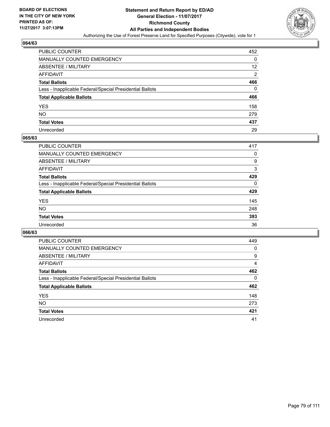

| <b>PUBLIC COUNTER</b>                                    | 452            |
|----------------------------------------------------------|----------------|
| MANUALLY COUNTED EMERGENCY                               | 0              |
| <b>ABSENTEE / MILITARY</b>                               | 12             |
| AFFIDAVIT                                                | $\overline{2}$ |
| <b>Total Ballots</b>                                     | 466            |
| Less - Inapplicable Federal/Special Presidential Ballots | 0              |
| <b>Total Applicable Ballots</b>                          | 466            |
| YES                                                      | 158            |
| NO.                                                      | 279            |
| <b>Total Votes</b>                                       | 437            |
| Unrecorded                                               | 29             |

#### **065/63**

| <b>PUBLIC COUNTER</b>                                    | 417      |
|----------------------------------------------------------|----------|
| MANUALLY COUNTED EMERGENCY                               | 0        |
| ABSENTEE / MILITARY                                      | 9        |
| AFFIDAVIT                                                | 3        |
| <b>Total Ballots</b>                                     | 429      |
| Less - Inapplicable Federal/Special Presidential Ballots | $\Omega$ |
| <b>Total Applicable Ballots</b>                          | 429      |
| <b>YES</b>                                               | 145      |
| <b>NO</b>                                                | 248      |
| <b>Total Votes</b>                                       | 393      |
| Unrecorded                                               | 36       |

| <b>PUBLIC COUNTER</b>                                    | 449 |
|----------------------------------------------------------|-----|
| MANUALLY COUNTED EMERGENCY                               | 0   |
| ABSENTEE / MILITARY                                      | 9   |
| AFFIDAVIT                                                | 4   |
| <b>Total Ballots</b>                                     | 462 |
| Less - Inapplicable Federal/Special Presidential Ballots | 0   |
| <b>Total Applicable Ballots</b>                          | 462 |
| <b>YES</b>                                               | 148 |
| <b>NO</b>                                                | 273 |
| <b>Total Votes</b>                                       | 421 |
| Unrecorded                                               | 41  |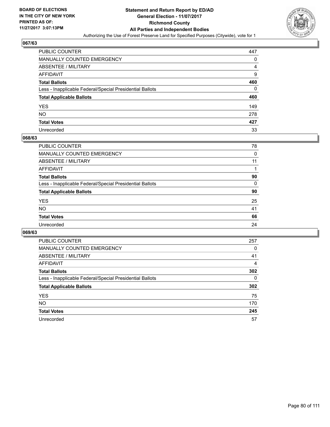

| <b>PUBLIC COUNTER</b>                                    | 447 |
|----------------------------------------------------------|-----|
| MANUALLY COUNTED EMERGENCY                               | 0   |
| <b>ABSENTEE / MILITARY</b>                               | 4   |
| AFFIDAVIT                                                | 9   |
| <b>Total Ballots</b>                                     | 460 |
| Less - Inapplicable Federal/Special Presidential Ballots | 0   |
| <b>Total Applicable Ballots</b>                          | 460 |
| YES                                                      | 149 |
| NO.                                                      | 278 |
| <b>Total Votes</b>                                       | 427 |
| Unrecorded                                               | 33  |

#### **068/63**

| PUBLIC COUNTER                                           | 78 |
|----------------------------------------------------------|----|
| MANUALLY COUNTED EMERGENCY                               | 0  |
| ABSENTEE / MILITARY                                      | 11 |
| AFFIDAVIT                                                |    |
| <b>Total Ballots</b>                                     | 90 |
| Less - Inapplicable Federal/Special Presidential Ballots | 0  |
| <b>Total Applicable Ballots</b>                          | 90 |
| <b>YES</b>                                               | 25 |
| <b>NO</b>                                                | 41 |
| <b>Total Votes</b>                                       | 66 |
| Unrecorded                                               | 24 |

| <b>PUBLIC COUNTER</b>                                    | 257 |
|----------------------------------------------------------|-----|
| MANUALLY COUNTED EMERGENCY                               | 0   |
| ABSENTEE / MILITARY                                      | 41  |
| AFFIDAVIT                                                | 4   |
| <b>Total Ballots</b>                                     | 302 |
| Less - Inapplicable Federal/Special Presidential Ballots | 0   |
| <b>Total Applicable Ballots</b>                          | 302 |
| <b>YES</b>                                               | 75  |
| NO.                                                      | 170 |
| <b>Total Votes</b>                                       | 245 |
| Unrecorded                                               | 57  |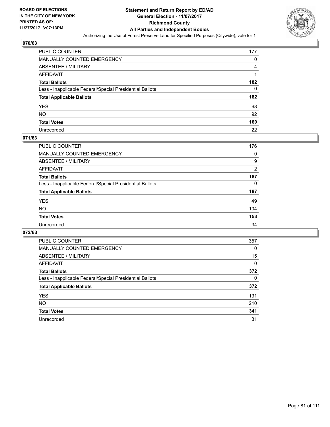

| PUBLIC COUNTER                                           | 177 |
|----------------------------------------------------------|-----|
| MANUALLY COUNTED EMERGENCY                               | 0   |
| ABSENTEE / MILITARY                                      | 4   |
| AFFIDAVIT                                                |     |
| Total Ballots                                            | 182 |
| Less - Inapplicable Federal/Special Presidential Ballots | 0   |
| <b>Total Applicable Ballots</b>                          | 182 |
| YES                                                      | 68  |
| NO.                                                      | 92  |
| <b>Total Votes</b>                                       | 160 |
| Unrecorded                                               | 22  |

#### **071/63**

| <b>PUBLIC COUNTER</b>                                    | 176      |
|----------------------------------------------------------|----------|
| <b>MANUALLY COUNTED EMERGENCY</b>                        | 0        |
| ABSENTEE / MILITARY                                      | 9        |
| AFFIDAVIT                                                | 2        |
| <b>Total Ballots</b>                                     | 187      |
| Less - Inapplicable Federal/Special Presidential Ballots | $\Omega$ |
| <b>Total Applicable Ballots</b>                          | 187      |
| <b>YES</b>                                               | 49       |
| <b>NO</b>                                                | 104      |
| <b>Total Votes</b>                                       | 153      |
| Unrecorded                                               | 34       |

| <b>PUBLIC COUNTER</b>                                    | 357 |
|----------------------------------------------------------|-----|
| MANUALLY COUNTED EMERGENCY                               | 0   |
| <b>ABSENTEE / MILITARY</b>                               | 15  |
| AFFIDAVIT                                                | 0   |
| <b>Total Ballots</b>                                     | 372 |
| Less - Inapplicable Federal/Special Presidential Ballots | 0   |
| <b>Total Applicable Ballots</b>                          | 372 |
| <b>YES</b>                                               | 131 |
| NO.                                                      | 210 |
| <b>Total Votes</b>                                       | 341 |
| Unrecorded                                               | 31  |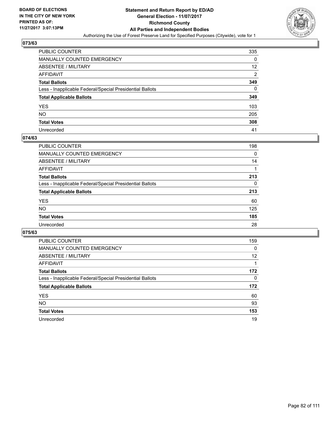

| PUBLIC COUNTER                                           | 335 |
|----------------------------------------------------------|-----|
| MANUALLY COUNTED EMERGENCY                               | 0   |
| ABSENTEE / MILITARY                                      | 12  |
| AFFIDAVIT                                                | 2   |
| <b>Total Ballots</b>                                     | 349 |
| Less - Inapplicable Federal/Special Presidential Ballots | 0   |
| <b>Total Applicable Ballots</b>                          | 349 |
| YES                                                      | 103 |
| NO.                                                      | 205 |
| <b>Total Votes</b>                                       | 308 |
| Unrecorded                                               | 41  |

#### **074/63**

| <b>PUBLIC COUNTER</b>                                    | 198 |
|----------------------------------------------------------|-----|
| <b>MANUALLY COUNTED EMERGENCY</b>                        | 0   |
| ABSENTEE / MILITARY                                      | 14  |
| AFFIDAVIT                                                |     |
| <b>Total Ballots</b>                                     | 213 |
| Less - Inapplicable Federal/Special Presidential Ballots | 0   |
| <b>Total Applicable Ballots</b>                          | 213 |
| <b>YES</b>                                               | 60  |
| <b>NO</b>                                                | 125 |
| <b>Total Votes</b>                                       | 185 |
| Unrecorded                                               | 28  |

| <b>PUBLIC COUNTER</b>                                    | 159      |
|----------------------------------------------------------|----------|
| <b>MANUALLY COUNTED EMERGENCY</b>                        | $\Omega$ |
| ABSENTEE / MILITARY                                      | 12       |
| AFFIDAVIT                                                |          |
| <b>Total Ballots</b>                                     | 172      |
| Less - Inapplicable Federal/Special Presidential Ballots | 0        |
| <b>Total Applicable Ballots</b>                          | 172      |
| <b>YES</b>                                               | 60       |
| <b>NO</b>                                                | 93       |
| <b>Total Votes</b>                                       | 153      |
| Unrecorded                                               | 19       |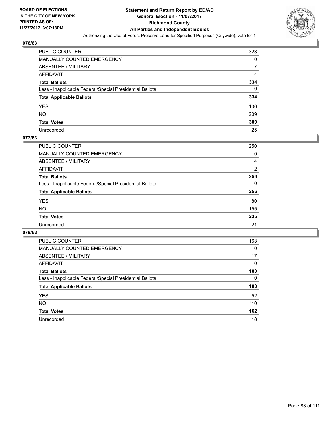

| PUBLIC COUNTER                                           | 323 |
|----------------------------------------------------------|-----|
| MANUALLY COUNTED EMERGENCY                               | 0   |
| ABSENTEE / MILITARY                                      |     |
| AFFIDAVIT                                                | 4   |
| <b>Total Ballots</b>                                     | 334 |
| Less - Inapplicable Federal/Special Presidential Ballots | 0   |
| <b>Total Applicable Ballots</b>                          | 334 |
| YES                                                      | 100 |
| NO.                                                      | 209 |
| <b>Total Votes</b>                                       | 309 |
| Unrecorded                                               | 25  |

# **077/63**

| <b>PUBLIC COUNTER</b>                                    | 250 |
|----------------------------------------------------------|-----|
| <b>MANUALLY COUNTED EMERGENCY</b>                        | 0   |
| <b>ABSENTEE / MILITARY</b>                               | 4   |
| AFFIDAVIT                                                | 2   |
| <b>Total Ballots</b>                                     | 256 |
| Less - Inapplicable Federal/Special Presidential Ballots | 0   |
| <b>Total Applicable Ballots</b>                          | 256 |
| <b>YES</b>                                               | 80  |
| NO                                                       | 155 |
| <b>Total Votes</b>                                       | 235 |
| Unrecorded                                               | 21  |

| <b>PUBLIC COUNTER</b>                                    | 163      |
|----------------------------------------------------------|----------|
| <b>MANUALLY COUNTED EMERGENCY</b>                        | 0        |
| ABSENTEE / MILITARY                                      | 17       |
| AFFIDAVIT                                                | $\Omega$ |
| <b>Total Ballots</b>                                     | 180      |
| Less - Inapplicable Federal/Special Presidential Ballots | 0        |
| <b>Total Applicable Ballots</b>                          | 180      |
| <b>YES</b>                                               | 52       |
| <b>NO</b>                                                | 110      |
| <b>Total Votes</b>                                       | 162      |
| Unrecorded                                               | 18       |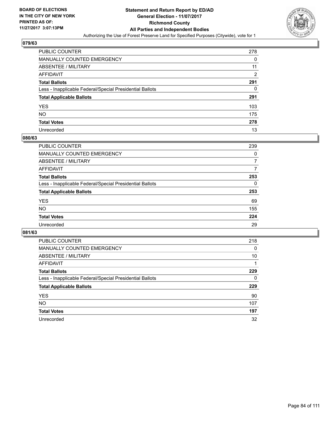

| <b>PUBLIC COUNTER</b>                                    | 278 |
|----------------------------------------------------------|-----|
| <b>MANUALLY COUNTED EMERGENCY</b>                        | 0   |
| ABSENTEE / MILITARY                                      | 11  |
| AFFIDAVIT                                                | 2   |
| <b>Total Ballots</b>                                     | 291 |
| Less - Inapplicable Federal/Special Presidential Ballots | 0   |
| <b>Total Applicable Ballots</b>                          | 291 |
| <b>YES</b>                                               | 103 |
| NO.                                                      | 175 |
| <b>Total Votes</b>                                       | 278 |
| Unrecorded                                               | 13  |

#### **080/63**

| <b>PUBLIC COUNTER</b>                                    | 239 |
|----------------------------------------------------------|-----|
| <b>MANUALLY COUNTED EMERGENCY</b>                        | 0   |
| <b>ABSENTEE / MILITARY</b>                               | 7   |
| AFFIDAVIT                                                | 7   |
| <b>Total Ballots</b>                                     | 253 |
| Less - Inapplicable Federal/Special Presidential Ballots | 0   |
| <b>Total Applicable Ballots</b>                          | 253 |
| <b>YES</b>                                               | 69  |
| NO                                                       | 155 |
| <b>Total Votes</b>                                       | 224 |
| Unrecorded                                               | 29  |

| <b>PUBLIC COUNTER</b>                                    | 218 |
|----------------------------------------------------------|-----|
| MANUALLY COUNTED EMERGENCY                               | 0   |
| ABSENTEE / MILITARY                                      | 10  |
| AFFIDAVIT                                                |     |
| <b>Total Ballots</b>                                     | 229 |
| Less - Inapplicable Federal/Special Presidential Ballots | 0   |
| <b>Total Applicable Ballots</b>                          | 229 |
| <b>YES</b>                                               | 90  |
| NO.                                                      | 107 |
|                                                          |     |
| <b>Total Votes</b>                                       | 197 |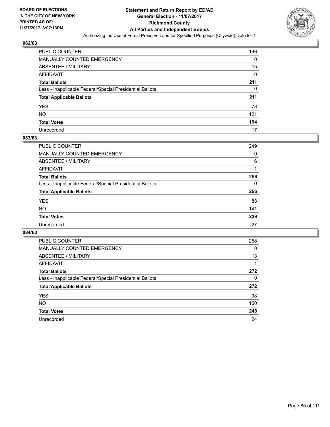

| <b>PUBLIC COUNTER</b>                                    | 196 |
|----------------------------------------------------------|-----|
| <b>MANUALLY COUNTED EMERGENCY</b>                        | 0   |
| ABSENTEE / MILITARY                                      | 15  |
| <b>AFFIDAVIT</b>                                         | 0   |
| <b>Total Ballots</b>                                     | 211 |
| Less - Inapplicable Federal/Special Presidential Ballots | 0   |
| <b>Total Applicable Ballots</b>                          | 211 |
| <b>YES</b>                                               | 73  |
| NO.                                                      | 121 |
| <b>Total Votes</b>                                       | 194 |
| Unrecorded                                               | 17  |

#### **083/63**

| <b>PUBLIC COUNTER</b>                                    | 249 |
|----------------------------------------------------------|-----|
| <b>MANUALLY COUNTED EMERGENCY</b>                        | 0   |
| <b>ABSENTEE / MILITARY</b>                               | 6   |
| AFFIDAVIT                                                |     |
| <b>Total Ballots</b>                                     | 256 |
| Less - Inapplicable Federal/Special Presidential Ballots | 0   |
| <b>Total Applicable Ballots</b>                          | 256 |
| <b>YES</b>                                               | 88  |
| NO                                                       | 141 |
| <b>Total Votes</b>                                       | 229 |
| Unrecorded                                               | 27  |

| <b>PUBLIC COUNTER</b>                                    | 258 |
|----------------------------------------------------------|-----|
| MANUALLY COUNTED EMERGENCY                               | 0   |
| ABSENTEE / MILITARY                                      | 13  |
| AFFIDAVIT                                                |     |
| <b>Total Ballots</b>                                     | 272 |
| Less - Inapplicable Federal/Special Presidential Ballots | 0   |
| <b>Total Applicable Ballots</b>                          | 272 |
| <b>YES</b>                                               | 98  |
| <b>NO</b>                                                | 150 |
| <b>Total Votes</b>                                       | 248 |
| Unrecorded                                               | 24  |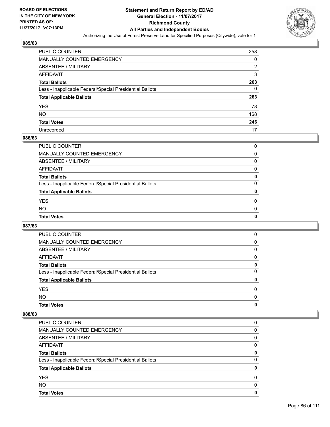

| <b>PUBLIC COUNTER</b>                                    | 258            |
|----------------------------------------------------------|----------------|
| MANUALLY COUNTED EMERGENCY                               | 0              |
| ABSENTEE / MILITARY                                      | $\overline{2}$ |
| AFFIDAVIT                                                | 3              |
| <b>Total Ballots</b>                                     | 263            |
| Less - Inapplicable Federal/Special Presidential Ballots | 0              |
| <b>Total Applicable Ballots</b>                          | 263            |
| YES                                                      | 78             |
| NO.                                                      | 168            |
| <b>Total Votes</b>                                       | 246            |
| Unrecorded                                               | 17             |

#### **086/63**

| <b>Total Votes</b>                                       | 0        |
|----------------------------------------------------------|----------|
| <b>NO</b>                                                | $\Omega$ |
| <b>YES</b>                                               | 0        |
| <b>Total Applicable Ballots</b>                          | 0        |
| Less - Inapplicable Federal/Special Presidential Ballots | $\Omega$ |
| <b>Total Ballots</b>                                     | 0        |
| AFFIDAVIT                                                | 0        |
| ABSENTEE / MILITARY                                      | $\Omega$ |
| MANUALLY COUNTED EMERGENCY                               | 0        |
| PUBLIC COUNTER                                           | 0        |

# **087/63**

| <b>PUBLIC COUNTER</b>                                    | $\Omega$     |
|----------------------------------------------------------|--------------|
| MANUALLY COUNTED EMERGENCY                               | 0            |
| ABSENTEE / MILITARY                                      | 0            |
| AFFIDAVIT                                                | 0            |
| <b>Total Ballots</b>                                     | 0            |
| Less - Inapplicable Federal/Special Presidential Ballots | 0            |
| <b>Total Applicable Ballots</b>                          | 0            |
| <b>YES</b>                                               | 0            |
| <b>NO</b>                                                | <sup>0</sup> |
| <b>Total Votes</b>                                       | 0            |

| PUBLIC COUNTER                                           | 0 |
|----------------------------------------------------------|---|
| MANUALLY COUNTED EMERGENCY                               | 0 |
| ABSENTEE / MILITARY                                      | 0 |
| AFFIDAVIT                                                | 0 |
| <b>Total Ballots</b>                                     | 0 |
| Less - Inapplicable Federal/Special Presidential Ballots | 0 |
| <b>Total Applicable Ballots</b>                          | 0 |
| <b>YES</b>                                               | 0 |
| <b>NO</b>                                                | 0 |
| <b>Total Votes</b>                                       | 0 |
|                                                          |   |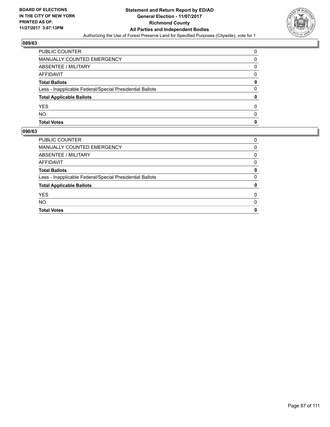

| PUBLIC COUNTER                                           | 0 |
|----------------------------------------------------------|---|
| MANUALLY COUNTED EMERGENCY                               | 0 |
| ABSENTEE / MILITARY                                      | 0 |
| AFFIDAVIT                                                | 0 |
| <b>Total Ballots</b>                                     | 0 |
| Less - Inapplicable Federal/Special Presidential Ballots | 0 |
| <b>Total Applicable Ballots</b>                          | 0 |
| <b>YES</b>                                               | 0 |
| <b>NO</b>                                                | 0 |
| <b>Total Votes</b>                                       | 0 |

| <b>PUBLIC COUNTER</b>                                    | 0 |
|----------------------------------------------------------|---|
| MANUALLY COUNTED EMERGENCY                               | 0 |
| ABSENTEE / MILITARY                                      | 0 |
| AFFIDAVIT                                                | 0 |
| <b>Total Ballots</b>                                     | 0 |
| Less - Inapplicable Federal/Special Presidential Ballots | 0 |
| <b>Total Applicable Ballots</b>                          | 0 |
| <b>YES</b>                                               | 0 |
| <b>NO</b>                                                | 0 |
| <b>Total Votes</b>                                       | 0 |
|                                                          |   |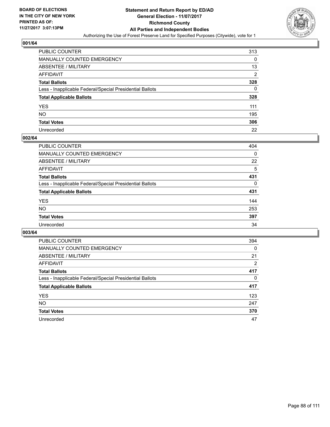

| PUBLIC COUNTER                                           | 313            |
|----------------------------------------------------------|----------------|
| MANUALLY COUNTED EMERGENCY                               | 0              |
| ABSENTEE / MILITARY                                      | 13             |
| AFFIDAVIT                                                | $\overline{2}$ |
| Total Ballots                                            | 328            |
| Less - Inapplicable Federal/Special Presidential Ballots | 0              |
| <b>Total Applicable Ballots</b>                          | 328            |
| YES                                                      | 111            |
| NO.                                                      | 195            |
| <b>Total Votes</b>                                       | 306            |
| Unrecorded                                               | 22             |

#### **002/64**

| <b>PUBLIC COUNTER</b>                                    | 404      |
|----------------------------------------------------------|----------|
| <b>MANUALLY COUNTED EMERGENCY</b>                        | 0        |
| ABSENTEE / MILITARY                                      | 22       |
| AFFIDAVIT                                                | 5        |
| <b>Total Ballots</b>                                     | 431      |
| Less - Inapplicable Federal/Special Presidential Ballots | $\Omega$ |
| <b>Total Applicable Ballots</b>                          | 431      |
| <b>YES</b>                                               | 144      |
| <b>NO</b>                                                | 253      |
| <b>Total Votes</b>                                       | 397      |
| Unrecorded                                               | 34       |

| <b>PUBLIC COUNTER</b>                                    | 394      |
|----------------------------------------------------------|----------|
| <b>MANUALLY COUNTED EMERGENCY</b>                        | $\Omega$ |
| ABSENTEE / MILITARY                                      | 21       |
| AFFIDAVIT                                                | 2        |
| <b>Total Ballots</b>                                     | 417      |
| Less - Inapplicable Federal/Special Presidential Ballots | 0        |
| <b>Total Applicable Ballots</b>                          | 417      |
| <b>YES</b>                                               | 123      |
| <b>NO</b>                                                | 247      |
| <b>Total Votes</b>                                       | 370      |
| Unrecorded                                               | 47       |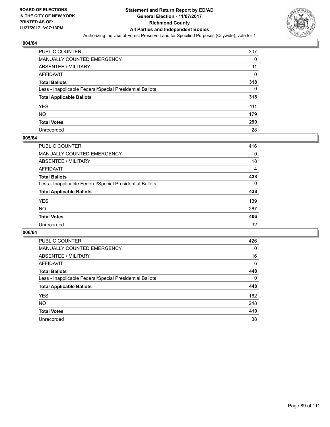

| <b>PUBLIC COUNTER</b>                                    | 307 |
|----------------------------------------------------------|-----|
| MANUALLY COUNTED EMERGENCY                               | 0   |
| <b>ABSENTEE / MILITARY</b>                               | 11  |
| AFFIDAVIT                                                | 0   |
| <b>Total Ballots</b>                                     | 318 |
| Less - Inapplicable Federal/Special Presidential Ballots | 0   |
| <b>Total Applicable Ballots</b>                          | 318 |
| YES                                                      | 111 |
| NO.                                                      | 179 |
| <b>Total Votes</b>                                       | 290 |
| Unrecorded                                               | 28  |

#### **005/64**

| <b>PUBLIC COUNTER</b>                                    | 416 |
|----------------------------------------------------------|-----|
| <b>MANUALLY COUNTED EMERGENCY</b>                        | 0   |
| ABSENTEE / MILITARY                                      | 18  |
| AFFIDAVIT                                                | 4   |
| <b>Total Ballots</b>                                     | 438 |
| Less - Inapplicable Federal/Special Presidential Ballots | 0   |
| <b>Total Applicable Ballots</b>                          | 438 |
| <b>YES</b>                                               | 139 |
| <b>NO</b>                                                | 267 |
| <b>Total Votes</b>                                       | 406 |
| Unrecorded                                               | 32  |

| <b>PUBLIC COUNTER</b>                                    | 426      |
|----------------------------------------------------------|----------|
| MANUALLY COUNTED EMERGENCY                               | $\Omega$ |
| ABSENTEE / MILITARY                                      | 16       |
| AFFIDAVIT                                                | 6        |
| <b>Total Ballots</b>                                     | 448      |
| Less - Inapplicable Federal/Special Presidential Ballots | 0        |
| <b>Total Applicable Ballots</b>                          | 448      |
| <b>YES</b>                                               | 162      |
| NO.                                                      | 248      |
| <b>Total Votes</b>                                       | 410      |
| Unrecorded                                               | 38       |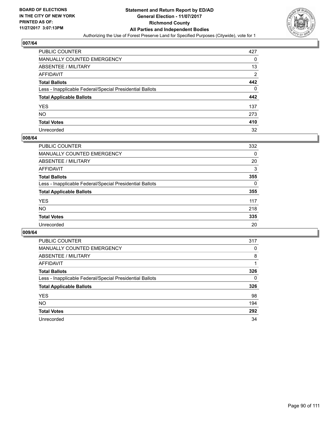

| <b>PUBLIC COUNTER</b>                                    | 427            |
|----------------------------------------------------------|----------------|
| MANUALLY COUNTED EMERGENCY                               | 0              |
| <b>ABSENTEE / MILITARY</b>                               | 13             |
| AFFIDAVIT                                                | $\overline{2}$ |
| <b>Total Ballots</b>                                     | 442            |
| Less - Inapplicable Federal/Special Presidential Ballots | 0              |
| <b>Total Applicable Ballots</b>                          | 442            |
| YES                                                      | 137            |
| NO.                                                      | 273            |
| <b>Total Votes</b>                                       | 410            |
| Unrecorded                                               | 32             |

#### **008/64**

| <b>PUBLIC COUNTER</b>                                    | 332 |
|----------------------------------------------------------|-----|
| <b>MANUALLY COUNTED EMERGENCY</b>                        | 0   |
| ABSENTEE / MILITARY                                      | 20  |
| AFFIDAVIT                                                | 3   |
| <b>Total Ballots</b>                                     | 355 |
| Less - Inapplicable Federal/Special Presidential Ballots | 0   |
| <b>Total Applicable Ballots</b>                          | 355 |
| <b>YES</b>                                               | 117 |
| <b>NO</b>                                                | 218 |
| <b>Total Votes</b>                                       | 335 |
| Unrecorded                                               | 20  |

| <b>PUBLIC COUNTER</b>                                    | 317 |
|----------------------------------------------------------|-----|
| MANUALLY COUNTED EMERGENCY                               | 0   |
| ABSENTEE / MILITARY                                      | 8   |
| AFFIDAVIT                                                |     |
| <b>Total Ballots</b>                                     | 326 |
| Less - Inapplicable Federal/Special Presidential Ballots | 0   |
| <b>Total Applicable Ballots</b>                          | 326 |
| <b>YES</b>                                               | 98  |
| <b>NO</b>                                                | 194 |
| <b>Total Votes</b>                                       | 292 |
| Unrecorded                                               | 34  |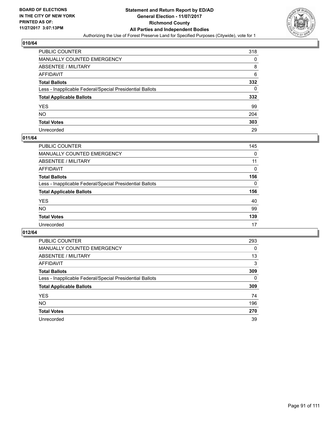

| PUBLIC COUNTER                                           | 318 |
|----------------------------------------------------------|-----|
| MANUALLY COUNTED EMERGENCY                               | 0   |
| ABSENTEE / MILITARY                                      | 8   |
| AFFIDAVIT                                                | 6   |
| <b>Total Ballots</b>                                     | 332 |
| Less - Inapplicable Federal/Special Presidential Ballots | 0   |
| <b>Total Applicable Ballots</b>                          | 332 |
| YES                                                      | 99  |
| NO.                                                      | 204 |
| <b>Total Votes</b>                                       | 303 |
| Unrecorded                                               | 29  |

#### **011/64**

| <b>PUBLIC COUNTER</b>                                    | 145 |
|----------------------------------------------------------|-----|
| <b>MANUALLY COUNTED EMERGENCY</b>                        | 0   |
|                                                          |     |
| ABSENTEE / MILITARY                                      | 11  |
| AFFIDAVIT                                                | 0   |
| <b>Total Ballots</b>                                     | 156 |
| Less - Inapplicable Federal/Special Presidential Ballots | 0   |
| <b>Total Applicable Ballots</b>                          | 156 |
| <b>YES</b>                                               | 40  |
| <b>NO</b>                                                | 99  |
| <b>Total Votes</b>                                       | 139 |
| Unrecorded                                               | 17  |

| <b>PUBLIC COUNTER</b>                                    | 293      |
|----------------------------------------------------------|----------|
| MANUALLY COUNTED EMERGENCY                               | $\Omega$ |
| ABSENTEE / MILITARY                                      | 13       |
| AFFIDAVIT                                                | 3        |
| <b>Total Ballots</b>                                     | 309      |
| Less - Inapplicable Federal/Special Presidential Ballots | 0        |
| <b>Total Applicable Ballots</b>                          | 309      |
| <b>YES</b>                                               | 74       |
| NO.                                                      | 196      |
| <b>Total Votes</b>                                       | 270      |
| Unrecorded                                               | 39       |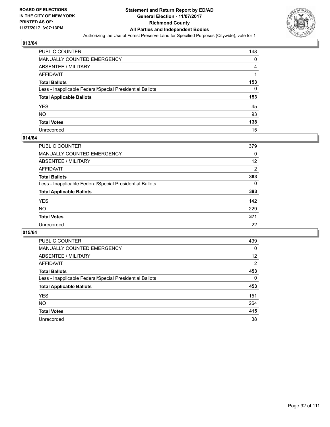

| PUBLIC COUNTER                                           | 148 |
|----------------------------------------------------------|-----|
| <b>MANUALLY COUNTED EMERGENCY</b>                        | 0   |
| ABSENTEE / MILITARY                                      | 4   |
| AFFIDAVIT                                                |     |
| <b>Total Ballots</b>                                     | 153 |
| Less - Inapplicable Federal/Special Presidential Ballots | 0   |
| <b>Total Applicable Ballots</b>                          | 153 |
| YES                                                      | 45  |
| NO.                                                      | 93  |
| <b>Total Votes</b>                                       | 138 |
| Unrecorded                                               | 15  |

#### **014/64**

| <b>PUBLIC COUNTER</b>                                    | 379 |
|----------------------------------------------------------|-----|
| MANUALLY COUNTED EMERGENCY                               | 0   |
| ABSENTEE / MILITARY                                      | 12  |
| AFFIDAVIT                                                | 2   |
| <b>Total Ballots</b>                                     | 393 |
| Less - Inapplicable Federal/Special Presidential Ballots | 0   |
| <b>Total Applicable Ballots</b>                          | 393 |
| <b>YES</b>                                               | 142 |
| <b>NO</b>                                                | 229 |
| <b>Total Votes</b>                                       | 371 |
| Unrecorded                                               | 22  |

| <b>PUBLIC COUNTER</b>                                    | 439            |
|----------------------------------------------------------|----------------|
| MANUALLY COUNTED EMERGENCY                               | 0              |
| ABSENTEE / MILITARY                                      | 12             |
| AFFIDAVIT                                                | $\overline{2}$ |
| <b>Total Ballots</b>                                     | 453            |
| Less - Inapplicable Federal/Special Presidential Ballots | 0              |
| <b>Total Applicable Ballots</b>                          | 453            |
| <b>YES</b>                                               | 151            |
| NO.                                                      | 264            |
| <b>Total Votes</b>                                       | 415            |
| Unrecorded                                               | 38             |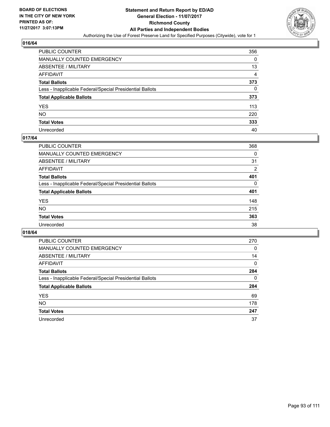

| <b>PUBLIC COUNTER</b>                                    | 356 |
|----------------------------------------------------------|-----|
| MANUALLY COUNTED EMERGENCY                               | 0   |
| <b>ABSENTEE / MILITARY</b>                               | 13  |
| AFFIDAVIT                                                | 4   |
| <b>Total Ballots</b>                                     | 373 |
| Less - Inapplicable Federal/Special Presidential Ballots | 0   |
| <b>Total Applicable Ballots</b>                          | 373 |
| YES                                                      | 113 |
| NΟ                                                       | 220 |
| <b>Total Votes</b>                                       | 333 |
| Unrecorded                                               | 40  |

#### **017/64**

| PUBLIC COUNTER                                           | 368            |
|----------------------------------------------------------|----------------|
| <b>MANUALLY COUNTED EMERGENCY</b>                        | 0              |
| <b>ABSENTEE / MILITARY</b>                               | 31             |
| AFFIDAVIT                                                | $\overline{2}$ |
| <b>Total Ballots</b>                                     | 401            |
| Less - Inapplicable Federal/Special Presidential Ballots | 0              |
| <b>Total Applicable Ballots</b>                          | 401            |
| <b>YES</b>                                               | 148            |
| <b>NO</b>                                                | 215            |
| <b>Total Votes</b>                                       | 363            |
| Unrecorded                                               | 38             |

| <b>PUBLIC COUNTER</b>                                    | 270          |
|----------------------------------------------------------|--------------|
| MANUALLY COUNTED EMERGENCY                               | 0            |
| ABSENTEE / MILITARY                                      | 14           |
| AFFIDAVIT                                                | $\mathbf{0}$ |
| <b>Total Ballots</b>                                     | 284          |
| Less - Inapplicable Federal/Special Presidential Ballots | 0            |
| <b>Total Applicable Ballots</b>                          | 284          |
| <b>YES</b>                                               | 69           |
| <b>NO</b>                                                | 178          |
| <b>Total Votes</b>                                       | 247          |
| Unrecorded                                               | 37           |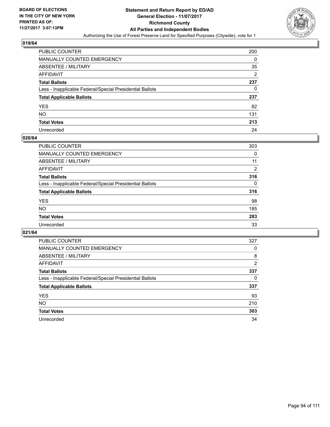

| PUBLIC COUNTER                                           | 200            |
|----------------------------------------------------------|----------------|
| MANUALLY COUNTED EMERGENCY                               | 0              |
| ABSENTEE / MILITARY                                      | 35             |
| AFFIDAVIT                                                | $\overline{2}$ |
| Total Ballots                                            | 237            |
| Less - Inapplicable Federal/Special Presidential Ballots | 0              |
| <b>Total Applicable Ballots</b>                          | 237            |
| YES                                                      | 82             |
| NO.                                                      | 131            |
| <b>Total Votes</b>                                       | 213            |
| Unrecorded                                               | 24             |

#### **020/64**

| <b>PUBLIC COUNTER</b>                                    | 303      |
|----------------------------------------------------------|----------|
| MANUALLY COUNTED EMERGENCY                               | 0        |
| ABSENTEE / MILITARY                                      | 11       |
| AFFIDAVIT                                                | 2        |
| <b>Total Ballots</b>                                     | 316      |
| Less - Inapplicable Federal/Special Presidential Ballots | $\Omega$ |
| <b>Total Applicable Ballots</b>                          | 316      |
| <b>YES</b>                                               | 98       |
| <b>NO</b>                                                | 185      |
| <b>Total Votes</b>                                       | 283      |
| Unrecorded                                               | 33       |

| <b>PUBLIC COUNTER</b>                                    | 327            |
|----------------------------------------------------------|----------------|
| MANUALLY COUNTED EMERGENCY                               | 0              |
| ABSENTEE / MILITARY                                      | 8              |
| AFFIDAVIT                                                | $\overline{2}$ |
| <b>Total Ballots</b>                                     | 337            |
| Less - Inapplicable Federal/Special Presidential Ballots | 0              |
| <b>Total Applicable Ballots</b>                          | 337            |
| <b>YES</b>                                               | 93             |
| NO.                                                      | 210            |
| <b>Total Votes</b>                                       | 303            |
| Unrecorded                                               | 34             |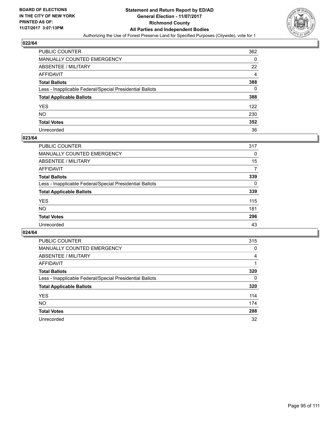

| PUBLIC COUNTER                                           | 362 |
|----------------------------------------------------------|-----|
| MANUALLY COUNTED EMERGENCY                               | 0   |
| <b>ABSENTEE / MILITARY</b>                               | 22  |
| AFFIDAVIT                                                | 4   |
| <b>Total Ballots</b>                                     | 388 |
| Less - Inapplicable Federal/Special Presidential Ballots | 0   |
| <b>Total Applicable Ballots</b>                          | 388 |
| YES                                                      | 122 |
| NO.                                                      | 230 |
| <b>Total Votes</b>                                       | 352 |
| Unrecorded                                               | 36  |

#### **023/64**

| <b>PUBLIC COUNTER</b>                                    | 317 |
|----------------------------------------------------------|-----|
| <b>MANUALLY COUNTED EMERGENCY</b>                        | 0   |
| ABSENTEE / MILITARY                                      | 15  |
| AFFIDAVIT                                                | 7   |
| <b>Total Ballots</b>                                     | 339 |
| Less - Inapplicable Federal/Special Presidential Ballots | 0   |
| <b>Total Applicable Ballots</b>                          | 339 |
| <b>YES</b>                                               | 115 |
| <b>NO</b>                                                | 181 |
| <b>Total Votes</b>                                       | 296 |
| Unrecorded                                               | 43  |

| <b>PUBLIC COUNTER</b>                                    | 315 |
|----------------------------------------------------------|-----|
| <b>MANUALLY COUNTED EMERGENCY</b>                        | 0   |
| ABSENTEE / MILITARY                                      | 4   |
| AFFIDAVIT                                                |     |
| <b>Total Ballots</b>                                     | 320 |
| Less - Inapplicable Federal/Special Presidential Ballots | 0   |
| <b>Total Applicable Ballots</b>                          | 320 |
| <b>YES</b>                                               | 114 |
| NO.                                                      | 174 |
| <b>Total Votes</b>                                       | 288 |
| Unrecorded                                               | 32  |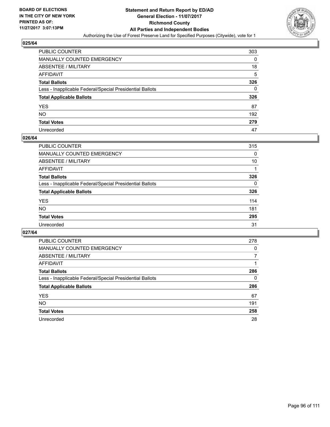

| PUBLIC COUNTER                                           | 303 |
|----------------------------------------------------------|-----|
| MANUALLY COUNTED EMERGENCY                               | 0   |
| ABSENTEE / MILITARY                                      | 18  |
| AFFIDAVIT                                                | 5   |
| <b>Total Ballots</b>                                     | 326 |
| Less - Inapplicable Federal/Special Presidential Ballots | 0   |
| <b>Total Applicable Ballots</b>                          | 326 |
| YES                                                      | 87  |
| NO.                                                      | 192 |
| <b>Total Votes</b>                                       | 279 |
| Unrecorded                                               | 47  |

#### **026/64**

| <b>PUBLIC COUNTER</b>                                    | 315      |
|----------------------------------------------------------|----------|
| <b>MANUALLY COUNTED EMERGENCY</b>                        | 0        |
| <b>ABSENTEE / MILITARY</b>                               | 10       |
| AFFIDAVIT                                                |          |
| <b>Total Ballots</b>                                     | 326      |
| Less - Inapplicable Federal/Special Presidential Ballots | $\Omega$ |
| <b>Total Applicable Ballots</b>                          | 326      |
| <b>YES</b>                                               | 114      |
| <b>NO</b>                                                | 181      |
| <b>Total Votes</b>                                       | 295      |
| Unrecorded                                               | 31       |

| <b>PUBLIC COUNTER</b>                                    | 278 |
|----------------------------------------------------------|-----|
| <b>MANUALLY COUNTED EMERGENCY</b>                        | 0   |
| ABSENTEE / MILITARY                                      | 7   |
| AFFIDAVIT                                                |     |
| <b>Total Ballots</b>                                     | 286 |
| Less - Inapplicable Federal/Special Presidential Ballots | 0   |
| <b>Total Applicable Ballots</b>                          | 286 |
| <b>YES</b>                                               | 67  |
| NO.                                                      | 191 |
| <b>Total Votes</b>                                       | 258 |
| Unrecorded                                               | 28  |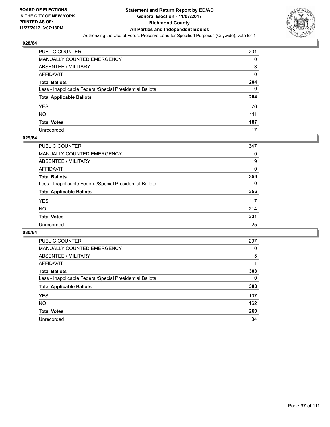

| PUBLIC COUNTER                                           | 201 |
|----------------------------------------------------------|-----|
| MANUALLY COUNTED EMERGENCY                               | 0   |
| ABSENTEE / MILITARY                                      | 3   |
| AFFIDAVIT                                                | 0   |
| Total Ballots                                            | 204 |
| Less - Inapplicable Federal/Special Presidential Ballots | 0   |
| <b>Total Applicable Ballots</b>                          | 204 |
| YES                                                      | 76  |
| NO.                                                      | 111 |
| <b>Total Votes</b>                                       | 187 |
| Unrecorded                                               | 17  |

#### **029/64**

| <b>PUBLIC COUNTER</b>                                    | 347 |
|----------------------------------------------------------|-----|
| <b>MANUALLY COUNTED EMERGENCY</b>                        | 0   |
| ABSENTEE / MILITARY                                      | 9   |
| AFFIDAVIT                                                | 0   |
| <b>Total Ballots</b>                                     | 356 |
| Less - Inapplicable Federal/Special Presidential Ballots | 0   |
| <b>Total Applicable Ballots</b>                          | 356 |
| <b>YES</b>                                               | 117 |
| <b>NO</b>                                                | 214 |
| <b>Total Votes</b>                                       | 331 |
| Unrecorded                                               | 25  |

| <b>PUBLIC COUNTER</b>                                    | 297 |
|----------------------------------------------------------|-----|
| <b>MANUALLY COUNTED EMERGENCY</b>                        | 0   |
| ABSENTEE / MILITARY                                      | 5   |
| AFFIDAVIT                                                |     |
| <b>Total Ballots</b>                                     | 303 |
| Less - Inapplicable Federal/Special Presidential Ballots | 0   |
| <b>Total Applicable Ballots</b>                          | 303 |
| <b>YES</b>                                               | 107 |
| <b>NO</b>                                                | 162 |
| <b>Total Votes</b>                                       | 269 |
| Unrecorded                                               | 34  |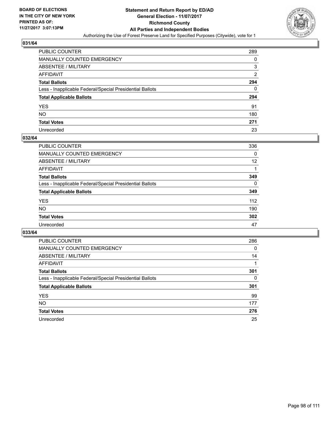

| <b>PUBLIC COUNTER</b>                                    | 289 |
|----------------------------------------------------------|-----|
| MANUALLY COUNTED EMERGENCY                               | 0   |
| <b>ABSENTEE / MILITARY</b>                               | 3   |
| AFFIDAVIT                                                | 2   |
| <b>Total Ballots</b>                                     | 294 |
| Less - Inapplicable Federal/Special Presidential Ballots | 0   |
| <b>Total Applicable Ballots</b>                          | 294 |
| YES                                                      | 91  |
| NO.                                                      | 180 |
| <b>Total Votes</b>                                       | 271 |
| Unrecorded                                               | 23  |

#### **032/64**

| PUBLIC COUNTER                                           | 336 |
|----------------------------------------------------------|-----|
| <b>MANUALLY COUNTED EMERGENCY</b>                        | 0   |
| <b>ABSENTEE / MILITARY</b>                               | 12  |
| AFFIDAVIT                                                |     |
| <b>Total Ballots</b>                                     | 349 |
| Less - Inapplicable Federal/Special Presidential Ballots | 0   |
| <b>Total Applicable Ballots</b>                          | 349 |
| <b>YES</b>                                               | 112 |
| <b>NO</b>                                                | 190 |
| <b>Total Votes</b>                                       | 302 |
| Unrecorded                                               | 47  |

| <b>PUBLIC COUNTER</b>                                    | 286 |
|----------------------------------------------------------|-----|
| MANUALLY COUNTED EMERGENCY                               | 0   |
| ABSENTEE / MILITARY                                      | 14  |
| AFFIDAVIT                                                |     |
| <b>Total Ballots</b>                                     | 301 |
| Less - Inapplicable Federal/Special Presidential Ballots | 0   |
| <b>Total Applicable Ballots</b>                          | 301 |
| <b>YES</b>                                               | 99  |
| NO.                                                      | 177 |
| <b>Total Votes</b>                                       | 276 |
| Unrecorded                                               | 25  |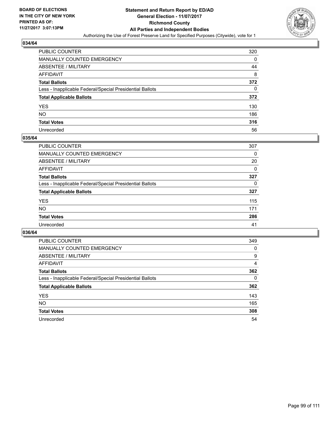

| <b>PUBLIC COUNTER</b>                                    | 320 |
|----------------------------------------------------------|-----|
| MANUALLY COUNTED EMERGENCY                               | 0   |
| <b>ABSENTEE / MILITARY</b>                               | 44  |
| AFFIDAVIT                                                | 8   |
| <b>Total Ballots</b>                                     | 372 |
| Less - Inapplicable Federal/Special Presidential Ballots | 0   |
| <b>Total Applicable Ballots</b>                          | 372 |
| YES                                                      | 130 |
| NO.                                                      | 186 |
| <b>Total Votes</b>                                       | 316 |
| Unrecorded                                               | 56  |

#### **035/64**

| PUBLIC COUNTER                                           | 307 |
|----------------------------------------------------------|-----|
| <b>MANUALLY COUNTED EMERGENCY</b>                        | 0   |
| <b>ABSENTEE / MILITARY</b>                               | 20  |
| AFFIDAVIT                                                | 0   |
| <b>Total Ballots</b>                                     | 327 |
| Less - Inapplicable Federal/Special Presidential Ballots | 0   |
| <b>Total Applicable Ballots</b>                          | 327 |
| <b>YES</b>                                               | 115 |
| <b>NO</b>                                                | 171 |
| <b>Total Votes</b>                                       | 286 |
| Unrecorded                                               | 41  |

| <b>PUBLIC COUNTER</b>                                    | 349 |
|----------------------------------------------------------|-----|
| MANUALLY COUNTED EMERGENCY                               | 0   |
| ABSENTEE / MILITARY                                      | 9   |
| AFFIDAVIT                                                | 4   |
| <b>Total Ballots</b>                                     | 362 |
| Less - Inapplicable Federal/Special Presidential Ballots | 0   |
| <b>Total Applicable Ballots</b>                          | 362 |
| <b>YES</b>                                               | 143 |
| <b>NO</b>                                                | 165 |
| <b>Total Votes</b>                                       | 308 |
| Unrecorded                                               | 54  |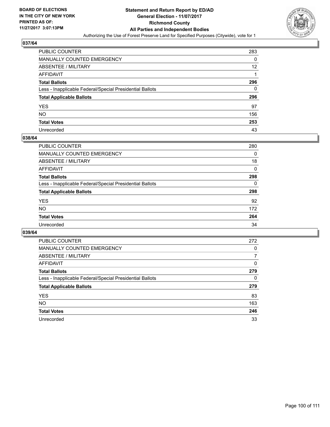

| PUBLIC COUNTER                                           | 283 |
|----------------------------------------------------------|-----|
| MANUALLY COUNTED EMERGENCY                               | 0   |
| <b>ABSENTEE / MILITARY</b>                               | 12  |
| AFFIDAVIT                                                |     |
| <b>Total Ballots</b>                                     | 296 |
| Less - Inapplicable Federal/Special Presidential Ballots | 0   |
| <b>Total Applicable Ballots</b>                          | 296 |
| YES                                                      | 97  |
| NO.                                                      | 156 |
| <b>Total Votes</b>                                       | 253 |
| Unrecorded                                               | 43  |

#### **038/64**

| <b>PUBLIC COUNTER</b>                                    | 280 |
|----------------------------------------------------------|-----|
| <b>MANUALLY COUNTED EMERGENCY</b>                        | 0   |
| <b>ABSENTEE / MILITARY</b>                               | 18  |
| AFFIDAVIT                                                | 0   |
| <b>Total Ballots</b>                                     | 298 |
| Less - Inapplicable Federal/Special Presidential Ballots | 0   |
| <b>Total Applicable Ballots</b>                          | 298 |
| <b>YES</b>                                               | 92  |
| NO                                                       | 172 |
| <b>Total Votes</b>                                       | 264 |
| Unrecorded                                               | 34  |

| <b>PUBLIC COUNTER</b>                                    | 272 |
|----------------------------------------------------------|-----|
| MANUALLY COUNTED EMERGENCY                               | 0   |
| ABSENTEE / MILITARY                                      | 7   |
| AFFIDAVIT                                                | 0   |
| <b>Total Ballots</b>                                     | 279 |
| Less - Inapplicable Federal/Special Presidential Ballots | 0   |
| <b>Total Applicable Ballots</b>                          | 279 |
| <b>YES</b>                                               | 83  |
| NO.                                                      | 163 |
| <b>Total Votes</b>                                       | 246 |
| Unrecorded                                               | 33  |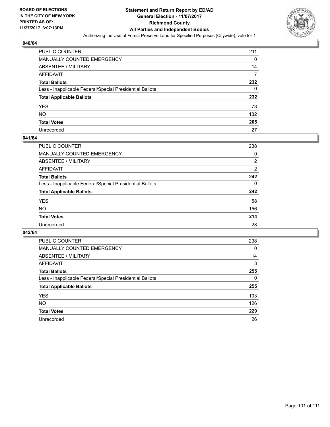

| <b>PUBLIC COUNTER</b>                                    | 211 |
|----------------------------------------------------------|-----|
| MANUALLY COUNTED EMERGENCY                               | 0   |
| <b>ABSENTEE / MILITARY</b>                               | 14  |
| AFFIDAVIT                                                |     |
| <b>Total Ballots</b>                                     | 232 |
| Less - Inapplicable Federal/Special Presidential Ballots | 0   |
| <b>Total Applicable Ballots</b>                          | 232 |
| YES                                                      | 73  |
| NO.                                                      | 132 |
| <b>Total Votes</b>                                       | 205 |
| Unrecorded                                               | 27  |

#### **041/64**

| <b>PUBLIC COUNTER</b>                                    | 238 |
|----------------------------------------------------------|-----|
| <b>MANUALLY COUNTED EMERGENCY</b>                        | 0   |
| ABSENTEE / MILITARY                                      | 2   |
| AFFIDAVIT                                                | 2   |
| <b>Total Ballots</b>                                     | 242 |
| Less - Inapplicable Federal/Special Presidential Ballots | 0   |
| <b>Total Applicable Ballots</b>                          | 242 |
| <b>YES</b>                                               | 58  |
| <b>NO</b>                                                | 156 |
| <b>Total Votes</b>                                       | 214 |
| Unrecorded                                               | 28  |

| <b>PUBLIC COUNTER</b>                                    | 238 |
|----------------------------------------------------------|-----|
| <b>MANUALLY COUNTED EMERGENCY</b>                        | 0   |
| ABSENTEE / MILITARY                                      | 14  |
| AFFIDAVIT                                                | 3   |
| <b>Total Ballots</b>                                     | 255 |
| Less - Inapplicable Federal/Special Presidential Ballots | 0   |
| <b>Total Applicable Ballots</b>                          | 255 |
| <b>YES</b>                                               | 103 |
| NO.                                                      | 126 |
| <b>Total Votes</b>                                       | 229 |
| Unrecorded                                               | 26  |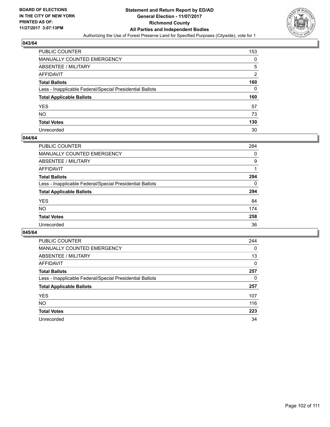

| <b>PUBLIC COUNTER</b>                                    | 153 |
|----------------------------------------------------------|-----|
| MANUALLY COUNTED EMERGENCY                               | 0   |
| <b>ABSENTEE / MILITARY</b>                               | 5   |
| AFFIDAVIT                                                | 2   |
| <b>Total Ballots</b>                                     | 160 |
| Less - Inapplicable Federal/Special Presidential Ballots | 0   |
| <b>Total Applicable Ballots</b>                          | 160 |
| YES                                                      | 57  |
| NO.                                                      | 73  |
| <b>Total Votes</b>                                       | 130 |
| Unrecorded                                               | 30  |

#### **044/64**

| <b>PUBLIC COUNTER</b>                                    | 284      |
|----------------------------------------------------------|----------|
| MANUALLY COUNTED EMERGENCY                               | 0        |
| ABSENTEE / MILITARY                                      | 9        |
| AFFIDAVIT                                                |          |
| <b>Total Ballots</b>                                     | 294      |
| Less - Inapplicable Federal/Special Presidential Ballots | $\Omega$ |
| <b>Total Applicable Ballots</b>                          | 294      |
| <b>YES</b>                                               | 84       |
| <b>NO</b>                                                | 174      |
| <b>Total Votes</b>                                       | 258      |
| Unrecorded                                               | 36       |

| <b>PUBLIC COUNTER</b>                                    | 244      |
|----------------------------------------------------------|----------|
| <b>MANUALLY COUNTED EMERGENCY</b>                        | $\Omega$ |
| ABSENTEE / MILITARY                                      | 13       |
| AFFIDAVIT                                                | 0        |
| <b>Total Ballots</b>                                     | 257      |
| Less - Inapplicable Federal/Special Presidential Ballots | 0        |
| <b>Total Applicable Ballots</b>                          | 257      |
| <b>YES</b>                                               | 107      |
| <b>NO</b>                                                | 116      |
| <b>Total Votes</b>                                       | 223      |
| Unrecorded                                               | 34       |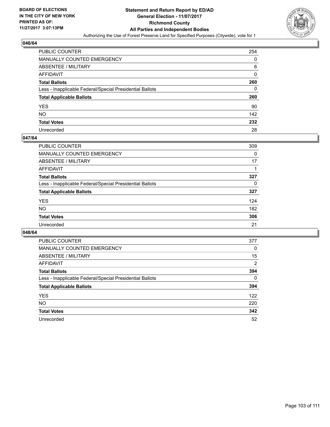

| PUBLIC COUNTER                                           | 254      |
|----------------------------------------------------------|----------|
| MANUALLY COUNTED EMERGENCY                               | 0        |
| <b>ABSENTEE / MILITARY</b>                               | 6        |
| AFFIDAVIT                                                | $\Omega$ |
| <b>Total Ballots</b>                                     | 260      |
| Less - Inapplicable Federal/Special Presidential Ballots | 0        |
| <b>Total Applicable Ballots</b>                          | 260      |
| YES                                                      | 90       |
| NO.                                                      | 142      |
| <b>Total Votes</b>                                       | 232      |
| Unrecorded                                               | 28       |

#### **047/64**

| PUBLIC COUNTER                                           | 309 |
|----------------------------------------------------------|-----|
| <b>MANUALLY COUNTED EMERGENCY</b>                        | 0   |
| <b>ABSENTEE / MILITARY</b>                               | 17  |
| AFFIDAVIT                                                |     |
| <b>Total Ballots</b>                                     | 327 |
| Less - Inapplicable Federal/Special Presidential Ballots | 0   |
| <b>Total Applicable Ballots</b>                          | 327 |
| <b>YES</b>                                               | 124 |
| <b>NO</b>                                                | 182 |
| <b>Total Votes</b>                                       | 306 |
| Unrecorded                                               | 21  |

| <b>PUBLIC COUNTER</b>                                    | 377            |
|----------------------------------------------------------|----------------|
| MANUALLY COUNTED EMERGENCY                               | 0              |
| ABSENTEE / MILITARY                                      | 15             |
| <b>AFFIDAVIT</b>                                         | $\overline{2}$ |
| <b>Total Ballots</b>                                     | 394            |
| Less - Inapplicable Federal/Special Presidential Ballots | 0              |
| <b>Total Applicable Ballots</b>                          | 394            |
| <b>YES</b>                                               | 122            |
| NO.                                                      | 220            |
| <b>Total Votes</b>                                       | 342            |
| Unrecorded                                               | 52             |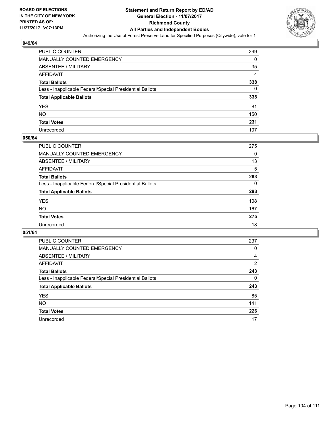

| <b>PUBLIC COUNTER</b>                                    | 299 |
|----------------------------------------------------------|-----|
| MANUALLY COUNTED EMERGENCY                               | 0   |
| <b>ABSENTEE / MILITARY</b>                               | 35  |
| AFFIDAVIT                                                | 4   |
| <b>Total Ballots</b>                                     | 338 |
| Less - Inapplicable Federal/Special Presidential Ballots | 0   |
| <b>Total Applicable Ballots</b>                          | 338 |
| YES                                                      | 81  |
| NO.                                                      | 150 |
| <b>Total Votes</b>                                       | 231 |
| Unrecorded                                               | 107 |

#### **050/64**

| <b>PUBLIC COUNTER</b>                                    | 275 |
|----------------------------------------------------------|-----|
| <b>MANUALLY COUNTED EMERGENCY</b>                        | 0   |
| <b>ABSENTEE / MILITARY</b>                               | 13  |
| AFFIDAVIT                                                | 5   |
| <b>Total Ballots</b>                                     | 293 |
| Less - Inapplicable Federal/Special Presidential Ballots | 0   |
| <b>Total Applicable Ballots</b>                          | 293 |
| <b>YES</b>                                               | 108 |
| NO                                                       | 167 |
| <b>Total Votes</b>                                       | 275 |
| Unrecorded                                               | 18  |

| <b>PUBLIC COUNTER</b>                                    | 237 |
|----------------------------------------------------------|-----|
| <b>MANUALLY COUNTED EMERGENCY</b>                        | 0   |
| ABSENTEE / MILITARY                                      | 4   |
| AFFIDAVIT                                                | 2   |
| <b>Total Ballots</b>                                     | 243 |
| Less - Inapplicable Federal/Special Presidential Ballots | 0   |
| <b>Total Applicable Ballots</b>                          | 243 |
| <b>YES</b>                                               | 85  |
| <b>NO</b>                                                | 141 |
| <b>Total Votes</b>                                       | 226 |
| Unrecorded                                               | 17  |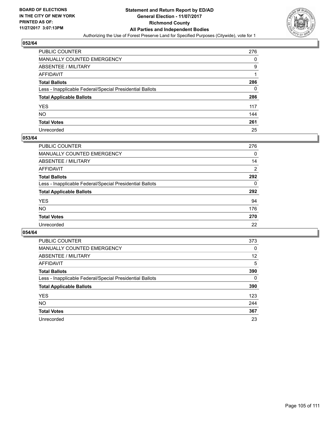

| PUBLIC COUNTER                                           | 276 |
|----------------------------------------------------------|-----|
| MANUALLY COUNTED EMERGENCY                               | 0   |
| <b>ABSENTEE / MILITARY</b>                               | 9   |
| AFFIDAVIT                                                |     |
| <b>Total Ballots</b>                                     | 286 |
| Less - Inapplicable Federal/Special Presidential Ballots | 0   |
| <b>Total Applicable Ballots</b>                          | 286 |
| YES                                                      | 117 |
| NΟ                                                       | 144 |
| <b>Total Votes</b>                                       | 261 |
| Unrecorded                                               | 25  |

#### **053/64**

| <b>PUBLIC COUNTER</b>                                    | 276 |
|----------------------------------------------------------|-----|
| <b>MANUALLY COUNTED EMERGENCY</b>                        | 0   |
| ABSENTEE / MILITARY                                      | 14  |
| AFFIDAVIT                                                | 2   |
| <b>Total Ballots</b>                                     | 292 |
| Less - Inapplicable Federal/Special Presidential Ballots | 0   |
| <b>Total Applicable Ballots</b>                          | 292 |
| <b>YES</b>                                               | 94  |
| <b>NO</b>                                                | 176 |
| <b>Total Votes</b>                                       | 270 |
| Unrecorded                                               | 22  |

| <b>PUBLIC COUNTER</b>                                    | 373 |
|----------------------------------------------------------|-----|
| MANUALLY COUNTED EMERGENCY                               | 0   |
| ABSENTEE / MILITARY                                      | 12  |
| <b>AFFIDAVIT</b>                                         | 5   |
| <b>Total Ballots</b>                                     | 390 |
| Less - Inapplicable Federal/Special Presidential Ballots | 0   |
| <b>Total Applicable Ballots</b>                          | 390 |
| <b>YES</b>                                               | 123 |
| NO.                                                      | 244 |
| <b>Total Votes</b>                                       | 367 |
| Unrecorded                                               | 23  |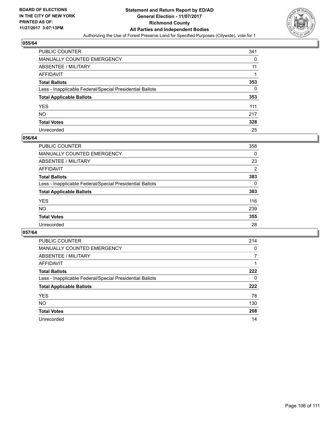

| <b>PUBLIC COUNTER</b>                                    | 341 |
|----------------------------------------------------------|-----|
| MANUALLY COUNTED EMERGENCY                               | 0   |
| <b>ABSENTEE / MILITARY</b>                               | 11  |
| AFFIDAVIT                                                |     |
| <b>Total Ballots</b>                                     | 353 |
| Less - Inapplicable Federal/Special Presidential Ballots | 0   |
| <b>Total Applicable Ballots</b>                          | 353 |
| YES                                                      | 111 |
| NO.                                                      | 217 |
| <b>Total Votes</b>                                       | 328 |
| Unrecorded                                               | 25  |

#### **056/64**

| <b>PUBLIC COUNTER</b>                                    | 358            |
|----------------------------------------------------------|----------------|
| <b>MANUALLY COUNTED EMERGENCY</b>                        | 0              |
| <b>ABSENTEE / MILITARY</b>                               | 23             |
| AFFIDAVIT                                                | $\overline{2}$ |
| <b>Total Ballots</b>                                     | 383            |
| Less - Inapplicable Federal/Special Presidential Ballots | 0              |
| <b>Total Applicable Ballots</b>                          | 383            |
| <b>YES</b>                                               | 116            |
| <b>NO</b>                                                | 239            |
| <b>Total Votes</b>                                       | 355            |
| Unrecorded                                               | 28             |

| <b>PUBLIC COUNTER</b>                                    | 214 |
|----------------------------------------------------------|-----|
| MANUALLY COUNTED EMERGENCY                               | 0   |
| ABSENTEE / MILITARY                                      | 7   |
| AFFIDAVIT                                                |     |
| <b>Total Ballots</b>                                     | 222 |
| Less - Inapplicable Federal/Special Presidential Ballots | 0   |
| <b>Total Applicable Ballots</b>                          | 222 |
| <b>YES</b>                                               | 78  |
| <b>NO</b>                                                | 130 |
| <b>Total Votes</b>                                       | 208 |
| Unrecorded                                               | 14  |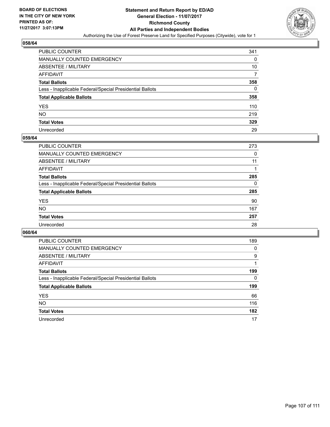

| <b>PUBLIC COUNTER</b>                                    | 341 |
|----------------------------------------------------------|-----|
| MANUALLY COUNTED EMERGENCY                               | 0   |
| <b>ABSENTEE / MILITARY</b>                               | 10  |
| AFFIDAVIT                                                |     |
| <b>Total Ballots</b>                                     | 358 |
| Less - Inapplicable Federal/Special Presidential Ballots | 0   |
| <b>Total Applicable Ballots</b>                          | 358 |
| YES                                                      | 110 |
| NΟ                                                       | 219 |
| <b>Total Votes</b>                                       | 329 |
| Unrecorded                                               | 29  |

#### **059/64**

| <b>PUBLIC COUNTER</b>                                    | 273 |
|----------------------------------------------------------|-----|
| <b>MANUALLY COUNTED EMERGENCY</b>                        | 0   |
| <b>ABSENTEE / MILITARY</b>                               | 11  |
| AFFIDAVIT                                                |     |
| <b>Total Ballots</b>                                     | 285 |
| Less - Inapplicable Federal/Special Presidential Ballots | 0   |
| <b>Total Applicable Ballots</b>                          | 285 |
| <b>YES</b>                                               | 90  |
| <b>NO</b>                                                | 167 |
| <b>Total Votes</b>                                       | 257 |
| Unrecorded                                               | 28  |

| <b>PUBLIC COUNTER</b>                                    | 189 |
|----------------------------------------------------------|-----|
| <b>MANUALLY COUNTED EMERGENCY</b>                        | 0   |
| ABSENTEE / MILITARY                                      | 9   |
| AFFIDAVIT                                                |     |
| <b>Total Ballots</b>                                     | 199 |
| Less - Inapplicable Federal/Special Presidential Ballots | 0   |
| <b>Total Applicable Ballots</b>                          | 199 |
| <b>YES</b>                                               | 66  |
| <b>NO</b>                                                | 116 |
| <b>Total Votes</b>                                       | 182 |
| Unrecorded                                               | 17  |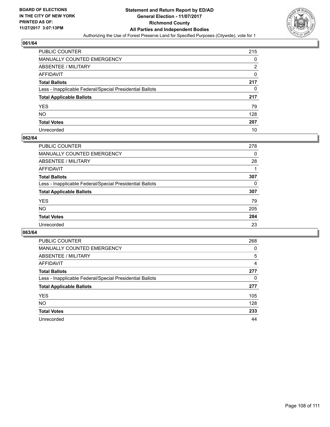

| PUBLIC COUNTER                                           | 215 |
|----------------------------------------------------------|-----|
| MANUALLY COUNTED EMERGENCY                               | 0   |
| ABSENTEE / MILITARY                                      | 2   |
| AFFIDAVIT                                                | 0   |
| <b>Total Ballots</b>                                     | 217 |
| Less - Inapplicable Federal/Special Presidential Ballots | 0   |
| <b>Total Applicable Ballots</b>                          | 217 |
| YES                                                      | 79  |
| NO.                                                      | 128 |
| <b>Total Votes</b>                                       | 207 |
| Unrecorded                                               | 10  |

#### **062/64**

| <b>PUBLIC COUNTER</b>                                    | 278 |
|----------------------------------------------------------|-----|
| <b>MANUALLY COUNTED EMERGENCY</b>                        | 0   |
| <b>ABSENTEE / MILITARY</b>                               | 28  |
| AFFIDAVIT                                                |     |
| <b>Total Ballots</b>                                     | 307 |
| Less - Inapplicable Federal/Special Presidential Ballots | 0   |
| <b>Total Applicable Ballots</b>                          | 307 |
| <b>YES</b>                                               | 79  |
| <b>NO</b>                                                | 205 |
| <b>Total Votes</b>                                       | 284 |
| Unrecorded                                               | 23  |

| <b>PUBLIC COUNTER</b>                                    | 268 |
|----------------------------------------------------------|-----|
| <b>MANUALLY COUNTED EMERGENCY</b>                        | 0   |
| ABSENTEE / MILITARY                                      | 5   |
| AFFIDAVIT                                                | 4   |
| <b>Total Ballots</b>                                     | 277 |
| Less - Inapplicable Federal/Special Presidential Ballots | 0   |
| <b>Total Applicable Ballots</b>                          | 277 |
| <b>YES</b>                                               | 105 |
| <b>NO</b>                                                | 128 |
| <b>Total Votes</b>                                       | 233 |
| Unrecorded                                               | 44  |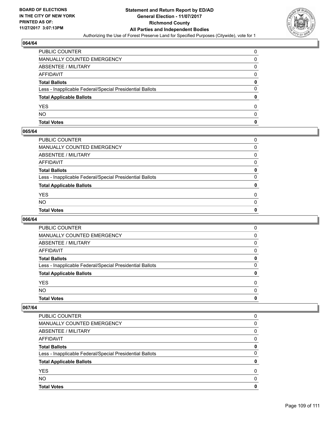

# **064/64**

| PUBLIC COUNTER                                           | ŋ |
|----------------------------------------------------------|---|
| MANUALLY COUNTED EMERGENCY                               | 0 |
| ABSENTEE / MILITARY                                      | 0 |
| AFFIDAVIT                                                | O |
| <b>Total Ballots</b>                                     | 0 |
| Less - Inapplicable Federal/Special Presidential Ballots | 0 |
| <b>Total Applicable Ballots</b>                          |   |
| <b>YES</b>                                               | O |
| <b>NO</b>                                                | O |
| <b>Total Votes</b>                                       | 0 |

# **065/64**

| PUBLIC COUNTER                                           | 0        |
|----------------------------------------------------------|----------|
| MANUALLY COUNTED EMERGENCY                               | 0        |
| ABSENTEE / MILITARY                                      | 0        |
| AFFIDAVIT                                                | 0        |
| Total Ballots                                            | 0        |
| Less - Inapplicable Federal/Special Presidential Ballots | 0        |
| <b>Total Applicable Ballots</b>                          | 0        |
| YES                                                      | 0        |
| NO.                                                      | $\Omega$ |
| <b>Total Votes</b>                                       | 0        |
|                                                          |          |

# **066/64**

| <b>Total Votes</b>                                       | 0        |
|----------------------------------------------------------|----------|
| <b>NO</b>                                                | $\Omega$ |
| <b>YES</b>                                               | 0        |
| <b>Total Applicable Ballots</b>                          | 0        |
| Less - Inapplicable Federal/Special Presidential Ballots | 0        |
| <b>Total Ballots</b>                                     | 0        |
| AFFIDAVIT                                                | 0        |
| ABSENTEE / MILITARY                                      | 0        |
| MANUALLY COUNTED EMERGENCY                               | 0        |
| PUBLIC COUNTER                                           | 0        |

#### **067/64**

| <b>Total Votes</b>                                       | O |
|----------------------------------------------------------|---|
| <b>NO</b>                                                | O |
| <b>YES</b>                                               | 0 |
| <b>Total Applicable Ballots</b>                          |   |
| Less - Inapplicable Federal/Special Presidential Ballots | 0 |
| <b>Total Ballots</b>                                     | 0 |
| AFFIDAVIT                                                | 0 |
| ABSENTEE / MILITARY                                      | 0 |
| MANUALLY COUNTED EMERGENCY                               | 0 |
| PUBLIC COUNTER                                           | 0 |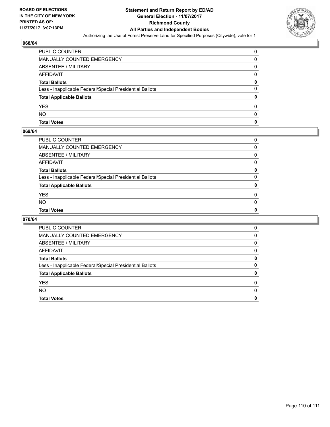

## **068/64**

| PUBLIC COUNTER                                           | ŋ |
|----------------------------------------------------------|---|
| MANUALLY COUNTED EMERGENCY                               | 0 |
| ABSENTEE / MILITARY                                      | 0 |
| AFFIDAVIT                                                | 0 |
| <b>Total Ballots</b>                                     | 0 |
| Less - Inapplicable Federal/Special Presidential Ballots | 0 |
| <b>Total Applicable Ballots</b>                          |   |
| <b>YES</b>                                               | 0 |
| <b>NO</b>                                                | 0 |
| <b>Total Votes</b>                                       | O |

# **069/64**

| PUBLIC COUNTER                                           | 0        |
|----------------------------------------------------------|----------|
| MANUALLY COUNTED EMERGENCY                               | 0        |
| ABSENTEE / MILITARY                                      | $\Omega$ |
| AFFIDAVIT                                                | $\Omega$ |
| Total Ballots                                            | 0        |
| Less - Inapplicable Federal/Special Presidential Ballots | 0        |
| <b>Total Applicable Ballots</b>                          | 0        |
| YES                                                      | 0        |
| NO.                                                      | 0        |
| <b>Total Votes</b>                                       | 0        |
|                                                          |          |

# **070/64**

| <b>Total Votes</b>                                       | 0 |
|----------------------------------------------------------|---|
| <b>NO</b>                                                | 0 |
| <b>YES</b>                                               | 0 |
| <b>Total Applicable Ballots</b>                          | 0 |
| Less - Inapplicable Federal/Special Presidential Ballots | 0 |
| <b>Total Ballots</b>                                     | 0 |
| AFFIDAVIT                                                | 0 |
| ABSENTEE / MILITARY                                      | 0 |
| <b>MANUALLY COUNTED EMERGENCY</b>                        | 0 |
| PUBLIC COUNTER                                           | 0 |